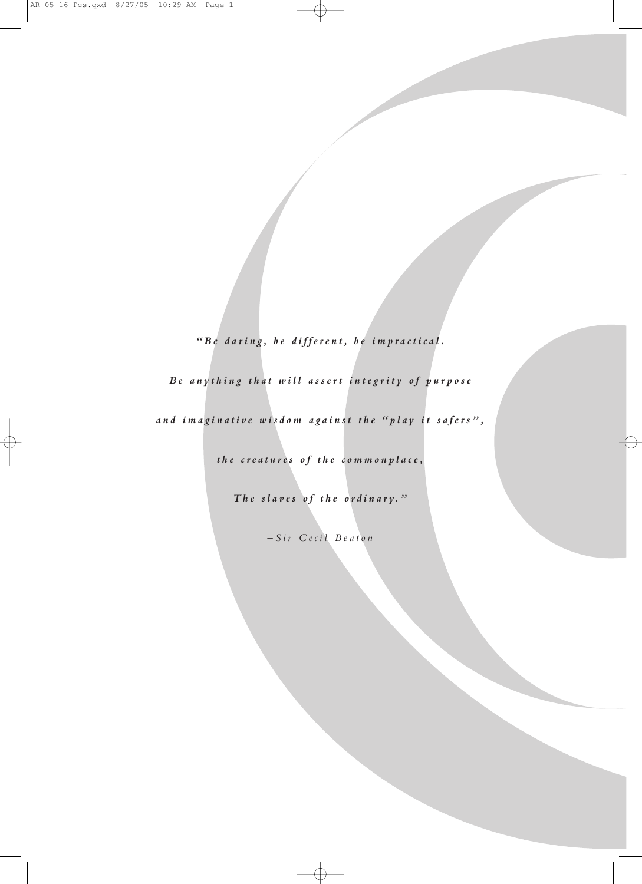*"Be daring, be different, be impractical.*

*Be anything that will assert integrity of purpose*

*and imaginative wisdom against the "play it safers",*

*the creatures of the commonplace,*

*The slaves of the ordinary."*

*–Sir Cecil Beaton*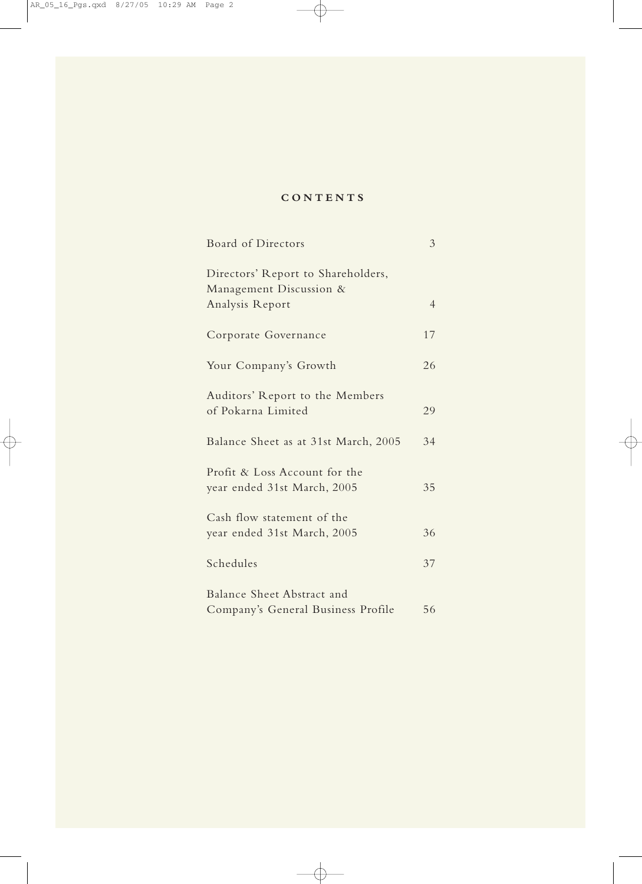# **CONTENTS**

| Board of Directors                                               | 3  |
|------------------------------------------------------------------|----|
| Directors' Report to Shareholders,<br>Management Discussion &    |    |
| Analysis Report                                                  | 4  |
| Corporate Governance                                             | 17 |
| Your Company's Growth                                            | 26 |
| Auditors' Report to the Members<br>of Pokarna Limited            | 29 |
| Balance Sheet as at 31st March, 2005                             | 34 |
| Profit & Loss Account for the<br>year ended 31st March, 2005     | 35 |
| Cash flow statement of the<br>year ended 31st March, 2005        | 36 |
| Schedules                                                        | 37 |
| Balance Sheet Abstract and<br>Company's General Business Profile | 56 |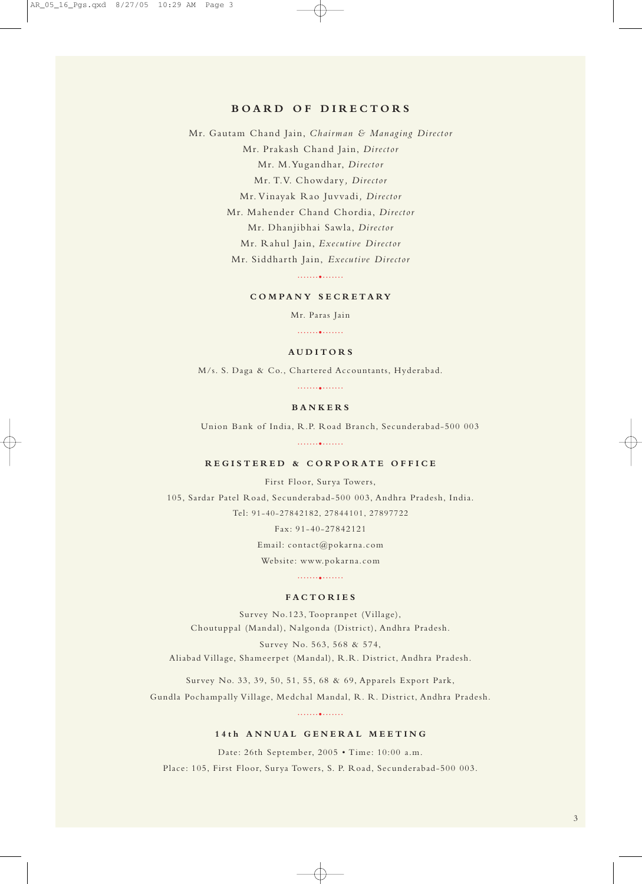# **BOARD OF DIRECTORS**

Mr. Gautam Chand Jain, *Chairman & Managing Director*  Mr. Prakash Chand Jain, *Director* Mr. M.Yugandhar, *Director* Mr. T.V. Chowdary*, Director*  Mr. Vinayak Rao Juvvadi*, Director*  Mr. Mahender Chand Chordia, *Director*  Mr. Dhanjibhai Sawla, *Director*  Mr. Rahul Jain, *Executive Director*  Mr. Siddharth Jain, *Executive Director* 

.......•.......

**COMPANY SECRETARY**

Mr. Paras Jain

.......•.......

### **AUDITORS**

M/s. S. Daga & Co., Chartered Accountants, Hyderabad.

.......•.......

#### **BANKERS**

Union Bank of India, R.P. Road Branch, Secunderabad-500 003

.......•.......

### **REGISTERED & CORPORATE OFFICE**

First Floor, Surya Towers, 105, Sardar Patel Road, Secunderabad-500 003, Andhra Pradesh, India. Tel: 91-40-27842182, 27844101, 27897722 Fax: 91-40-27842121

Email: contact@pokarna.com

Website: www.pokarna.com

# .......•.......

## **FACTORIES**

Survey No.123, Toopranpet (Village), Choutuppal (Mandal), Nalgonda (District), Andhra Pradesh. Survey No. 563, 568 & 574,

Aliabad Village, Shameerpet (Mandal), R.R. District, Andhra Pradesh.

Survey No. 33, 39, 50, 51, 55, 68 & 69, Apparels Export Park, Gundla Pochampally Village, Medchal Mandal, R. R. District, Andhra Pradesh.

#### .......•.......

# **14th ANNUAL GENERAL MEETING**

Date: 26th September, 2005 • Time: 10:00 a.m. Place: 105, First Floor, Surya Towers, S. P. Road, Secunderabad-500 003.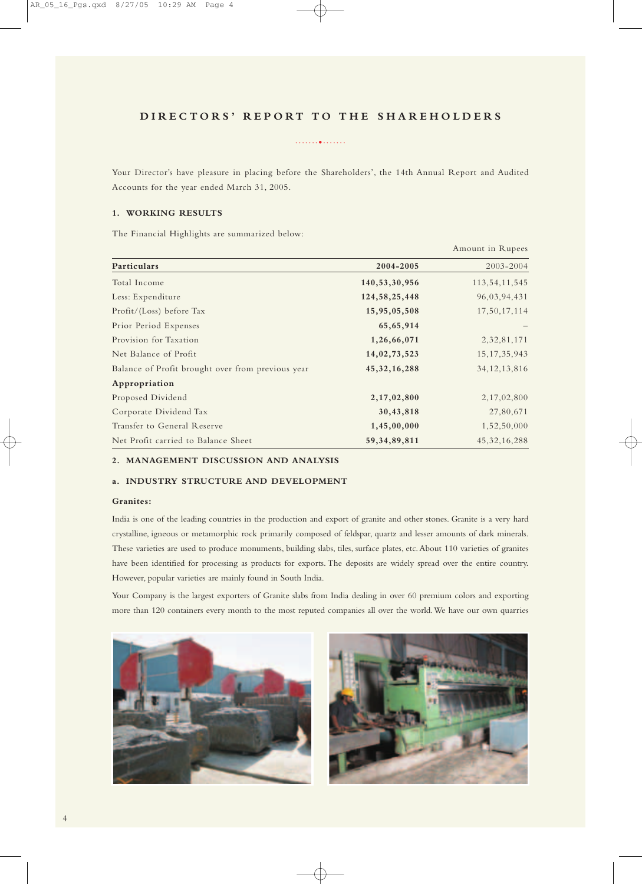# **DIRECTORS' REPORT TO THE SHAREHOLDERS**

.......•.......

Your Director's have pleasure in placing before the Shareholders', the 14th Annual Report and Audited Accounts for the year ended March 31, 2005.

Amount in Rupees

### **1. WORKING RESULTS**

The Financial Highlights are summarized below:

|                                                   |                  | Alliount in Rupees |
|---------------------------------------------------|------------------|--------------------|
| Particulars                                       | 2004-2005        | 2003-2004          |
| Total Income                                      | 140,53,30,956    | 113, 54, 11, 545   |
| Less: Expenditure                                 | 124, 58, 25, 448 | 96, 03, 94, 431    |
| Profit/(Loss) before Tax                          | 15,95,05,508     | 17,50,17,114       |
| Prior Period Expenses                             | 65,65,914        |                    |
| Provision for Taxation                            | 1,26,66,071      | 2,32,81,171        |
| Net Balance of Profit                             | 14,02,73,523     | 15, 17, 35, 943    |
| Balance of Profit brought over from previous year | 45, 32, 16, 288  | 34, 12, 13, 816    |
| Appropriation                                     |                  |                    |
| Proposed Dividend                                 | 2, 17, 02, 800   | 2, 17, 02, 800     |
| Corporate Dividend Tax                            | 30,43,818        | 27,80,671          |
| Transfer to General Reserve                       | 1,45,00,000      | 1,52,50,000        |
| Net Profit carried to Balance Sheet               | 59, 34, 89, 811  | 45, 32, 16, 288    |

### **2. MANAGEMENT DISCUSSION AND ANALYSIS**

### **a. INDUSTRY STRUCTURE AND DEVELOPMENT**

#### **Granites:**

India is one of the leading countries in the production and export of granite and other stones. Granite is a very hard crystalline, igneous or metamorphic rock primarily composed of feldspar, quartz and lesser amounts of dark minerals. These varieties are used to produce monuments, building slabs, tiles, surface plates, etc. About 110 varieties of granites have been identified for processing as products for exports. The deposits are widely spread over the entire country. However, popular varieties are mainly found in South India.

Your Company is the largest exporters of Granite slabs from India dealing in over 60 premium colors and exporting more than 120 containers every month to the most reputed companies all over the world.We have our own quarries

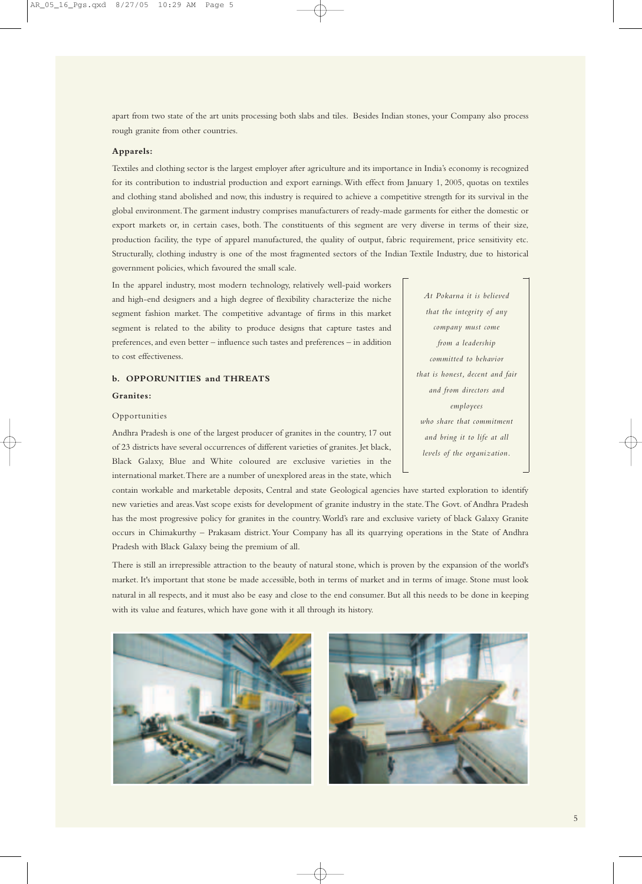apart from two state of the art units processing both slabs and tiles. Besides Indian stones, your Company also process rough granite from other countries.

### **Apparels:**

Textiles and clothing sector is the largest employer after agriculture and its importance in India's economy is recognized for its contribution to industrial production and export earnings.With effect from January 1, 2005, quotas on textiles and clothing stand abolished and now, this industry is required to achieve a competitive strength for its survival in the global environment.The garment industry comprises manufacturers of ready-made garments for either the domestic or export markets or, in certain cases, both. The constituents of this segment are very diverse in terms of their size, production facility, the type of apparel manufactured, the quality of output, fabric requirement, price sensitivity etc. Structurally, clothing industry is one of the most fragmented sectors of the Indian Textile Industry, due to historical government policies, which favoured the small scale.

In the apparel industry, most modern technology, relatively well-paid workers and high-end designers and a high degree of flexibility characterize the niche segment fashion market. The competitive advantage of firms in this market segment is related to the ability to produce designs that capture tastes and preferences, and even better – influence such tastes and preferences – in addition to cost effectiveness.

# **b. OPPORUNITIES and THREATS**

#### **Granites:**

#### Opportunities

Andhra Pradesh is one of the largest producer of granites in the country, 17 out of 23 districts have several occurrences of different varieties of granites. Jet black, Black Galaxy, Blue and White coloured are exclusive varieties in the international market.There are a number of unexplored areas in the state, which

contain workable and marketable deposits, Central and state Geological agencies have started exploration to identify new varieties and areas.Vast scope exists for development of granite industry in the state.The Govt. of Andhra Pradesh has the most progressive policy for granites in the country.World's rare and exclusive variety of black Galaxy Granite occurs in Chimakurthy – Prakasam district. Your Company has all its quarrying operations in the State of Andhra Pradesh with Black Galaxy being the premium of all.

There is still an irrepressible attraction to the beauty of natural stone, which is proven by the expansion of the world's market. It's important that stone be made accessible, both in terms of market and in terms of image. Stone must look natural in all respects, and it must also be easy and close to the end consumer. But all this needs to be done in keeping with its value and features, which have gone with it all through its history.





*At Pokarna it is believed that the integrity of any company must come from a leadership committed to behavior that is honest, decent and fair and from directors and employees who share that commitment and bring it to life at all levels of the organization.*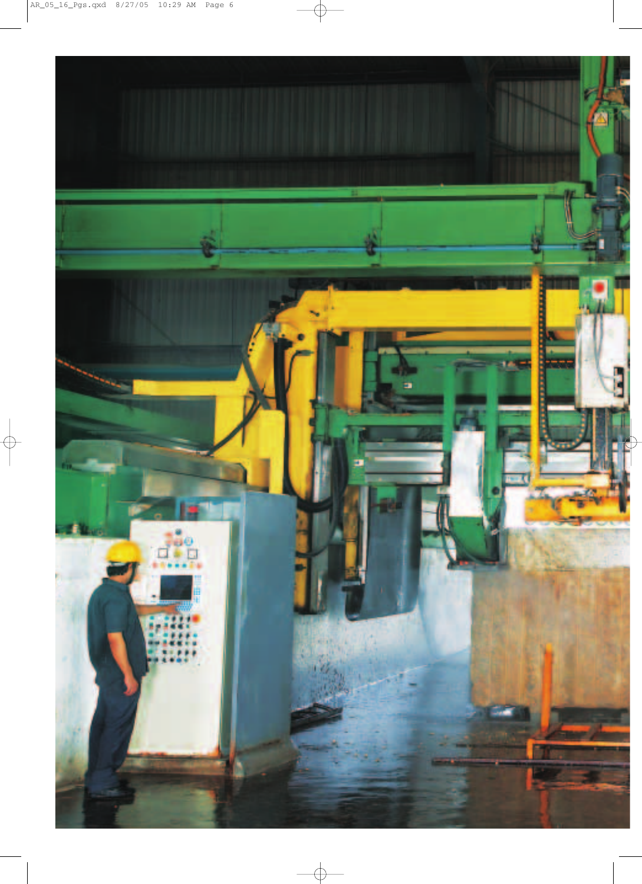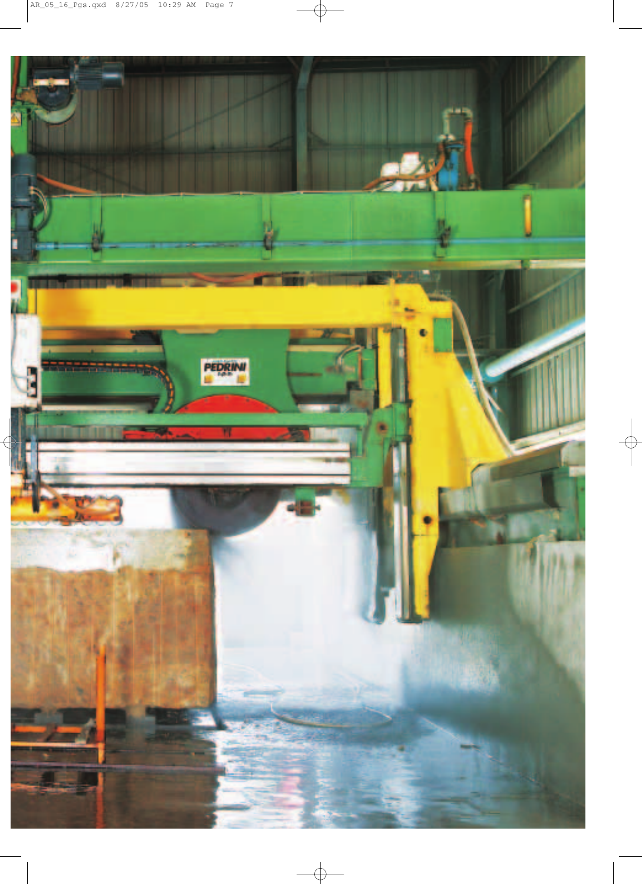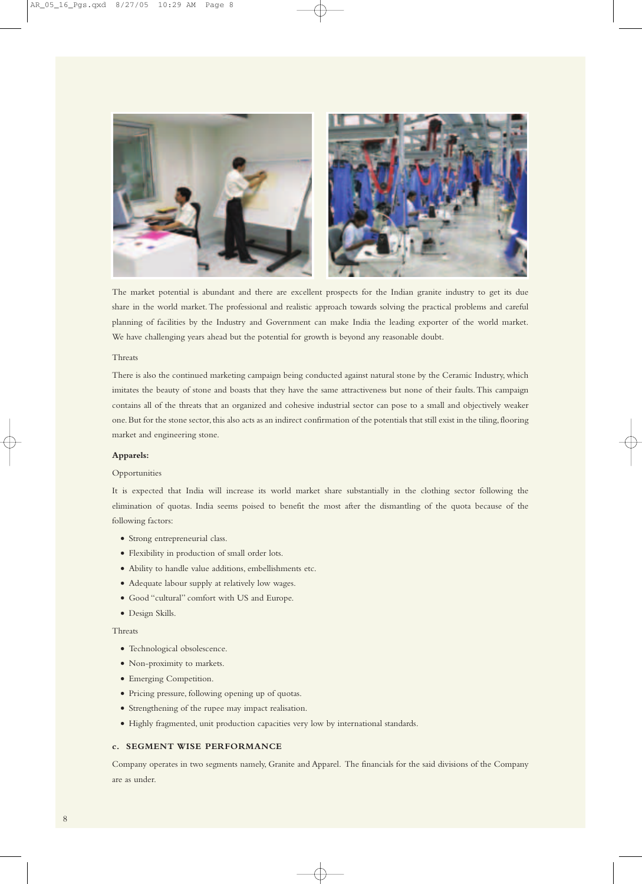

The market potential is abundant and there are excellent prospects for the Indian granite industry to get its due share in the world market. The professional and realistic approach towards solving the practical problems and careful planning of facilities by the Industry and Government can make India the leading exporter of the world market. We have challenging years ahead but the potential for growth is beyond any reasonable doubt.

### **Threats**

There is also the continued marketing campaign being conducted against natural stone by the Ceramic Industry, which imitates the beauty of stone and boasts that they have the same attractiveness but none of their faults.This campaign contains all of the threats that an organized and cohesive industrial sector can pose to a small and objectively weaker one.But for the stone sector,this also acts as an indirect confirmation of the potentials that still exist in the tiling,flooring market and engineering stone.

### **Apparels:**

#### Opportunities

It is expected that India will increase its world market share substantially in the clothing sector following the elimination of quotas. India seems poised to benefit the most after the dismantling of the quota because of the following factors:

- Strong entrepreneurial class.
- Flexibility in production of small order lots.
- Ability to handle value additions, embellishments etc.
- Adequate labour supply at relatively low wages.
- Good "cultural" comfort with US and Europe.
- Design Skills.

### **Threats**

- Technological obsolescence.
- Non-proximity to markets.
- Emerging Competition.
- Pricing pressure, following opening up of quotas.
- Strengthening of the rupee may impact realisation.
- Highly fragmented, unit production capacities very low by international standards.

# **c. SEGMENT WISE PERFORMANCE**

Company operates in two segments namely, Granite and Apparel. The financials for the said divisions of the Company are as under.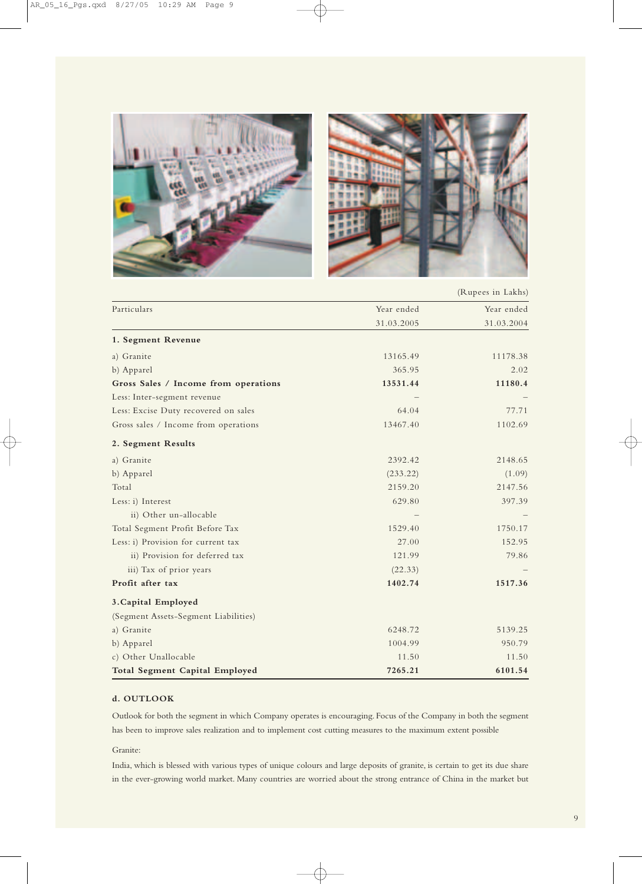



(Rupees in Lakhs)

| Particulars                          | Year ended | Year ended |
|--------------------------------------|------------|------------|
|                                      | 31.03.2005 | 31.03.2004 |
| 1. Segment Revenue                   |            |            |
| a) Granite                           | 13165.49   | 11178.38   |
| b) Apparel                           | 365.95     | 2.02       |
| Gross Sales / Income from operations | 13531.44   | 11180.4    |
| Less: Inter-segment revenue          |            |            |
| Less: Excise Duty recovered on sales | 64.04      | 77.71      |
| Gross sales / Income from operations | 13467.40   | 1102.69    |
| 2. Segment Results                   |            |            |
| a) Granite                           | 2392.42    | 2148.65    |
| b) Apparel                           | (233.22)   | (1.09)     |
| Total                                | 2159.20    | 2147.56    |
| Less: i) Interest                    | 629.80     | 397.39     |
| ii) Other un-allocable               |            |            |
| Total Segment Profit Before Tax      | 1529.40    | 1750.17    |
| Less: i) Provision for current tax   | 27.00      | 152.95     |
| ii) Provision for deferred tax       | 121.99     | 79.86      |
| iii) Tax of prior years              | (22.33)    |            |
| Profit after tax                     | 1402.74    | 1517.36    |
| 3. Capital Employed                  |            |            |
| (Segment Assets-Segment Liabilities) |            |            |
| a) Granite                           | 6248.72    | 5139.25    |
| b) Apparel                           | 1004.99    | 950.79     |
| c) Other Unallocable                 | 11.50      | 11.50      |
| Total Segment Capital Employed       | 7265.21    | 6101.54    |

### **d. OUTLOOK**

Outlook for both the segment in which Company operates is encouraging. Focus of the Company in both the segment has been to improve sales realization and to implement cost cutting measures to the maximum extent possible

Granite:

India, which is blessed with various types of unique colours and large deposits of granite, is certain to get its due share in the ever-growing world market. Many countries are worried about the strong entrance of China in the market but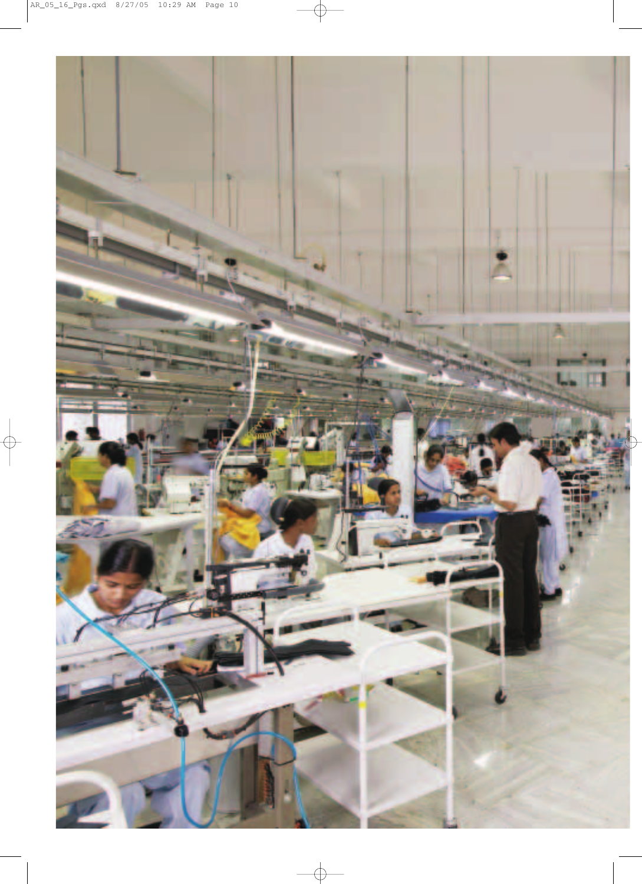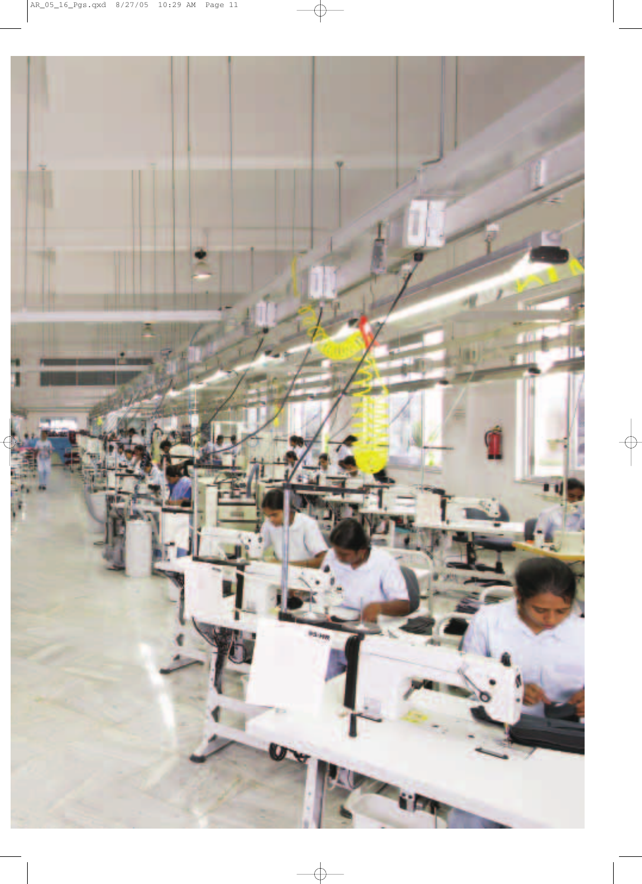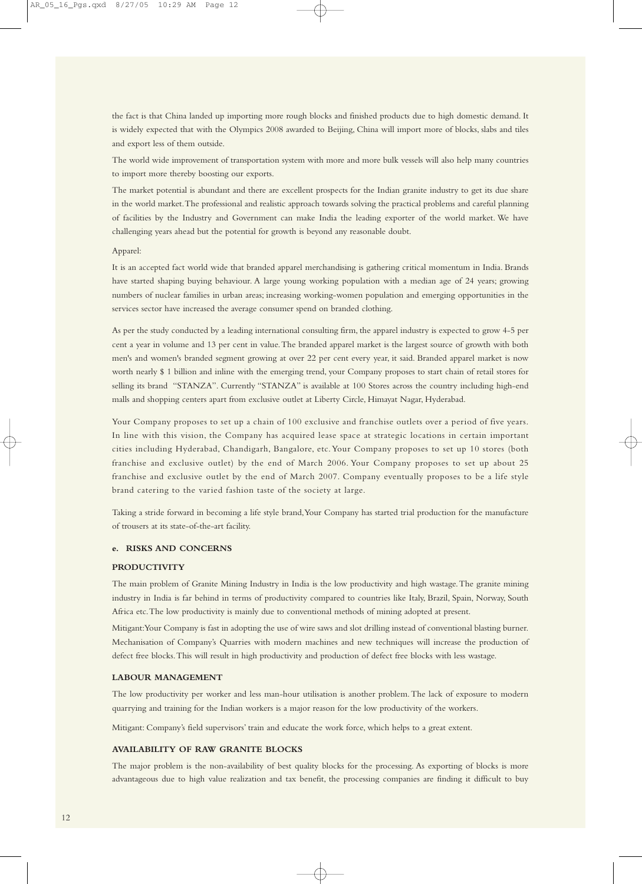the fact is that China landed up importing more rough blocks and finished products due to high domestic demand. It is widely expected that with the Olympics 2008 awarded to Beijing, China will import more of blocks, slabs and tiles and export less of them outside.

The world wide improvement of transportation system with more and more bulk vessels will also help many countries to import more thereby boosting our exports.

The market potential is abundant and there are excellent prospects for the Indian granite industry to get its due share in the world market.The professional and realistic approach towards solving the practical problems and careful planning of facilities by the Industry and Government can make India the leading exporter of the world market. We have challenging years ahead but the potential for growth is beyond any reasonable doubt.

#### Apparel:

It is an accepted fact world wide that branded apparel merchandising is gathering critical momentum in India. Brands have started shaping buying behaviour. A large young working population with a median age of 24 years; growing numbers of nuclear families in urban areas; increasing working-women population and emerging opportunities in the services sector have increased the average consumer spend on branded clothing.

As per the study conducted by a leading international consulting firm, the apparel industry is expected to grow 4-5 per cent a year in volume and 13 per cent in value.The branded apparel market is the largest source of growth with both men's and women's branded segment growing at over 22 per cent every year, it said. Branded apparel market is now worth nearly \$ 1 billion and inline with the emerging trend, your Company proposes to start chain of retail stores for selling its brand "STANZA". Currently "STANZA" is available at 100 Stores across the country including high-end malls and shopping centers apart from exclusive outlet at Liberty Circle, Himayat Nagar, Hyderabad.

Your Company proposes to set up a chain of 100 exclusive and franchise outlets over a period of five years. In line with this vision, the Company has acquired lease space at strategic locations in certain important cities including Hyderabad, Chandigarh, Bangalore, etc. Your Company proposes to set up 10 stores (both franchise and exclusive outlet) by the end of March 2006. Your Company proposes to set up about 25 franchise and exclusive outlet by the end of March 2007. Company eventually proposes to be a life style brand catering to the varied fashion taste of the society at large.

Taking a stride forward in becoming a life style brand,Your Company has started trial production for the manufacture of trousers at its state-of-the-art facility.

## **e. RISKS AND CONCERNS**

#### **PRODUCTIVITY**

The main problem of Granite Mining Industry in India is the low productivity and high wastage.The granite mining industry in India is far behind in terms of productivity compared to countries like Italy, Brazil, Spain, Norway, South Africa etc.The low productivity is mainly due to conventional methods of mining adopted at present.

Mitigant:Your Company is fast in adopting the use of wire saws and slot drilling instead of conventional blasting burner. Mechanisation of Company's Quarries with modern machines and new techniques will increase the production of defect free blocks.This will result in high productivity and production of defect free blocks with less wastage.

#### **LABOUR MANAGEMENT**

The low productivity per worker and less man-hour utilisation is another problem.The lack of exposure to modern quarrying and training for the Indian workers is a major reason for the low productivity of the workers.

Mitigant: Company's field supervisors' train and educate the work force, which helps to a great extent.

### **AVAILABILITY OF RAW GRANITE BLOCKS**

The major problem is the non-availability of best quality blocks for the processing. As exporting of blocks is more advantageous due to high value realization and tax benefit, the processing companies are finding it difficult to buy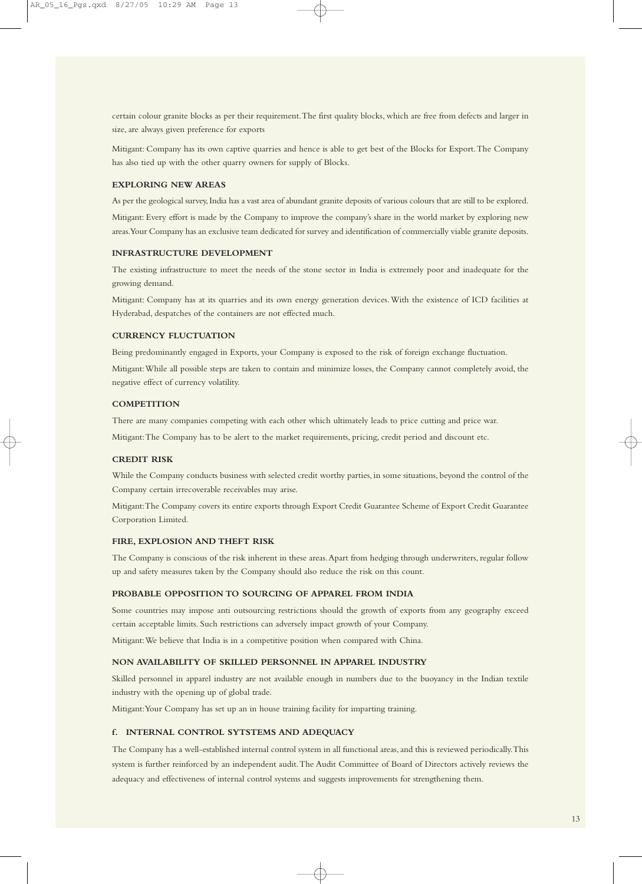certain colour granite blocks as per their requirement.The first quality blocks, which are free from defects and larger in size, are always given preference for exports

Mitigant: Company has its own captive quarries and hence is able to get best of the Blocks for Export.The Company has also tied up with the other quarry owners for supply of Blocks.

### **EXPLORING NEW AREAS**

As per the geological survey,India has a vast area of abundant granite deposits of various colours that are still to be explored. Mitigant: Every effort is made by the Company to improve the company's share in the world market by exploring new areas.Your Company has an exclusive team dedicated for survey and identification of commercially viable granite deposits.

#### **INED A STRUCTURE DEVELOPMENT**

The existing infrastructure to meet the needs of the stone sector in India is extremely poor and inadequate for the growing demand.

Mitigant: Company has at its quarries and its own energy generation devices.With the existence of ICD facilities at Hyderabad, despatches of the containers are not effected much.

### **CURRENCY FLUCTUATION**

Being predominantly engaged in Exports, your Company is exposed to the risk of foreign exchange fluctuation.

Mitigant:While all possible steps are taken to contain and minimize losses, the Company cannot completely avoid, the negative effect of currency volatility.

### **COMPETITION**

There are many companies competing with each other which ultimately leads to price cutting and price war.

Mitigant:The Company has to be alert to the market requirements, pricing, credit period and discount etc.

### **CREDIT RISK**

While the Company conducts business with selected credit worthy parties, in some situations, beyond the control of the Company certain irrecoverable receivables may arise.

Mitigant:The Company covers its entire exports through Export Credit Guarantee Scheme of Export Credit Guarantee Corporation Limited.

### **FIRE, EXPLOSION AND THEFT RISK**

The Company is conscious of the risk inherent in these areas.Apart from hedging through underwriters, regular follow up and safety measures taken by the Company should also reduce the risk on this count.

#### **PROBABLE OPPOSITION TO SOURCING OF APPAREL FROM INDIA**

Some countries may impose anti outsourcing restrictions should the growth of exports from any geography exceed certain acceptable limits. Such restrictions can adversely impact growth of your Company.

Mitigant:We believe that India is in a competitive position when compared with China.

#### **NON AVAILABILITY OF SKILLED PERSONNEL IN APPAREL INDUSTRY**

Skilled personnel in apparel industry are not available enough in numbers due to the buoyancy in the Indian textile industry with the opening up of global trade.

Mitigant:Your Company has set up an in house training facility for imparting training.

### **f. INTERNAL CONTROL SYTSTEMS AND ADEQUACY**

The Company has a well-established internal control system in all functional areas, and this is reviewed periodically.This system is further reinforced by an independent audit.The Audit Committee of Board of Directors actively reviews the adequacy and effectiveness of internal control systems and suggests improvements for strengthening them.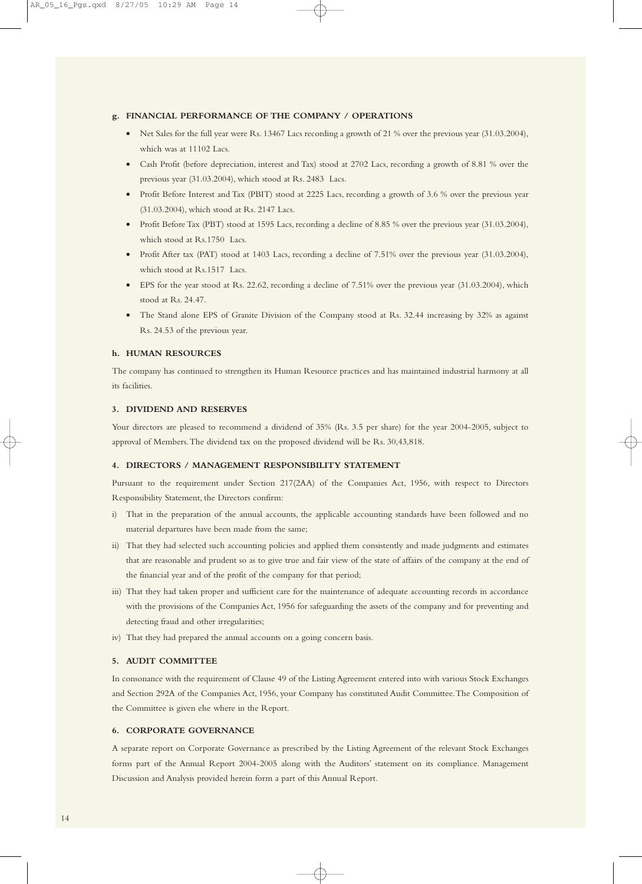#### **g. FINANCIAL PERFORMANCE OF THE COMPANY / OPERATIONS**

- Net Sales for the full year were Rs. 13467 Lacs recording a growth of 21 % over the previous year (31.03.2004), which was at 11102 Lacs.
- Cash Profit (before depreciation, interest and Tax) stood at 2702 Lacs, recording a growth of 8.81 % over the previous year (31.03.2004), which stood at Rs. 2483 Lacs.
- Profit Before Interest and Tax (PBIT) stood at 2225 Lacs, recording a growth of 3.6 % over the previous year (31.03.2004), which stood at Rs. 2147 Lacs.
- Profit Before Tax (PBT) stood at 1595 Lacs, recording a decline of 8.85 % over the previous year (31.03.2004), which stood at Rs.1750 Lacs.
- Profit After tax (PAT) stood at 1403 Lacs, recording a decline of 7.51% over the previous year (31.03.2004), which stood at Rs.1517 Lacs.
- EPS for the year stood at Rs. 22.62, recording a decline of 7.51% over the previous year (31.03.2004), which stood at Rs. 24.47.
- The Stand alone EPS of Granite Division of the Company stood at Rs. 32.44 increasing by 32% as against Rs. 24.53 of the previous year.

#### **h. HUMAN RESOURCES**

The company has continued to strengthen its Human Resource practices and has maintained industrial harmony at all its facilities.

### **3. DIVIDEND AND RESERVES**

Your directors are pleased to recommend a dividend of 35% (Rs. 3.5 per share) for the year 2004-2005, subject to approval of Members.The dividend tax on the proposed dividend will be Rs. 30,43,818.

# **4. DIRECTORS / MANAGEMENT RESPONSIBILITY STATEMENT**

Pursuant to the requirement under Section 217(2AA) of the Companies Act, 1956, with respect to Directors Responsibility Statement, the Directors confirm:

- i) That in the preparation of the annual accounts, the applicable accounting standards have been followed and no material departures have been made from the same;
- ii) That they had selected such accounting policies and applied them consistently and made judgments and estimates that are reasonable and prudent so as to give true and fair view of the state of affairs of the company at the end of the financial year and of the profit of the company for that period;
- iii) That they had taken proper and sufficient care for the maintenance of adequate accounting records in accordance with the provisions of the Companies Act, 1956 for safeguarding the assets of the company and for preventing and detecting fraud and other irregularities;
- iv) That they had prepared the annual accounts on a going concern basis.

#### **5. AUDIT COMMITTEE**

In consonance with the requirement of Clause 49 of the Listing Agreement entered into with various Stock Exchanges and Section 292A of the Companies Act, 1956, your Company has constituted Audit Committee.The Composition of the Committee is given else where in the Report.

#### **6. CORPORATE GOVERNANCE**

A separate report on Corporate Governance as prescribed by the Listing Agreement of the relevant Stock Exchanges forms part of the Annual Report 2004-2005 along with the Auditors' statement on its compliance. Management Discussion and Analysis provided herein form a part of this Annual Report.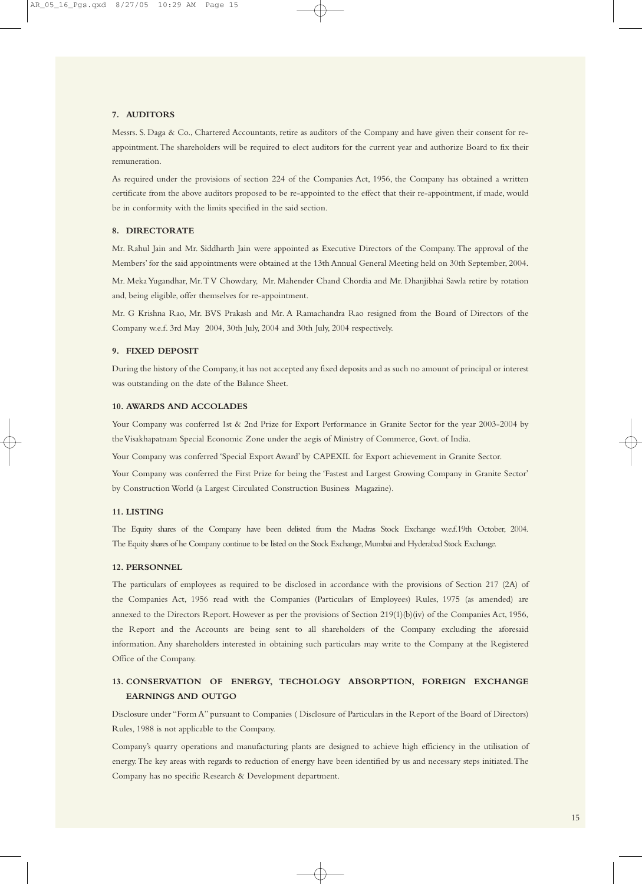### **7. AUDITORS**

Messrs. S. Daga & Co., Chartered Accountants, retire as auditors of the Company and have given their consent for reappointment.The shareholders will be required to elect auditors for the current year and authorize Board to fix their remuneration.

As required under the provisions of section 224 of the Companies Act, 1956, the Company has obtained a written certificate from the above auditors proposed to be re-appointed to the effect that their re-appointment, if made, would be in conformity with the limits specified in the said section.

### **8. DIRECTORATE**

Mr. Rahul Jain and Mr. Siddharth Jain were appointed as Executive Directors of the Company. The approval of the Members' for the said appointments were obtained at the 13th Annual General Meeting held on 30th September, 2004.

Mr. Meka Yugandhar, Mr.T V Chowdary, Mr. Mahender Chand Chordia and Mr. Dhanjibhai Sawla retire by rotation and, being eligible, offer themselves for re-appointment.

Mr. G Krishna Rao, Mr. BVS Prakash and Mr. A Ramachandra Rao resigned from the Board of Directors of the Company w.e.f. 3rd May 2004, 30th July, 2004 and 30th July, 2004 respectively.

### **9. FIXED DEPOSIT**

During the history of the Company, it has not accepted any fixed deposits and as such no amount of principal or interest was outstanding on the date of the Balance Sheet.

### **10. AWARDS AND ACCOLADES**

Your Company was conferred 1st & 2nd Prize for Export Performance in Granite Sector for the year 2003-2004 by the Visakhapatnam Special Economic Zone under the aegis of Ministry of Commerce, Govt. of India.

Your Company was conferred 'Special Export Award' by CAPEXIL for Export achievement in Granite Sector.

Your Company was conferred the First Prize for being the 'Fastest and Largest Growing Company in Granite Sector' by Construction World (a Largest Circulated Construction Business Magazine).

#### **11. LISTING**

The Equity shares of the Company have been delisted from the Madras Stock Exchange w.e.f.19th October, 2004. The Equity shares of he Company continue to be listed on the Stock Exchange,Mumbai and Hyderabad Stock Exchange.

### **12. PERSONNEL**

The particulars of employees as required to be disclosed in accordance with the provisions of Section 217 (2A) of the Companies Act, 1956 read with the Companies (Particulars of Employees) Rules, 1975 (as amended) are annexed to the Directors Report. However as per the provisions of Section 219(1)(b)(iv) of the Companies Act, 1956, the Report and the Accounts are being sent to all shareholders of the Company excluding the aforesaid information. Any shareholders interested in obtaining such particulars may write to the Company at the Registered Office of the Company.

# **13. CONSERVATION OF ENERGY, TECHOLOGY ABSORPTION, FOREIGN EXCHANGE EARNINGS AND OUTGO**

Disclosure under "Form A" pursuant to Companies ( Disclosure of Particulars in the Report of the Board of Directors) Rules, 1988 is not applicable to the Company.

Company's quarry operations and manufacturing plants are designed to achieve high efficiency in the utilisation of energy.The key areas with regards to reduction of energy have been identified by us and necessary steps initiated.The Company has no specific Research & Development department.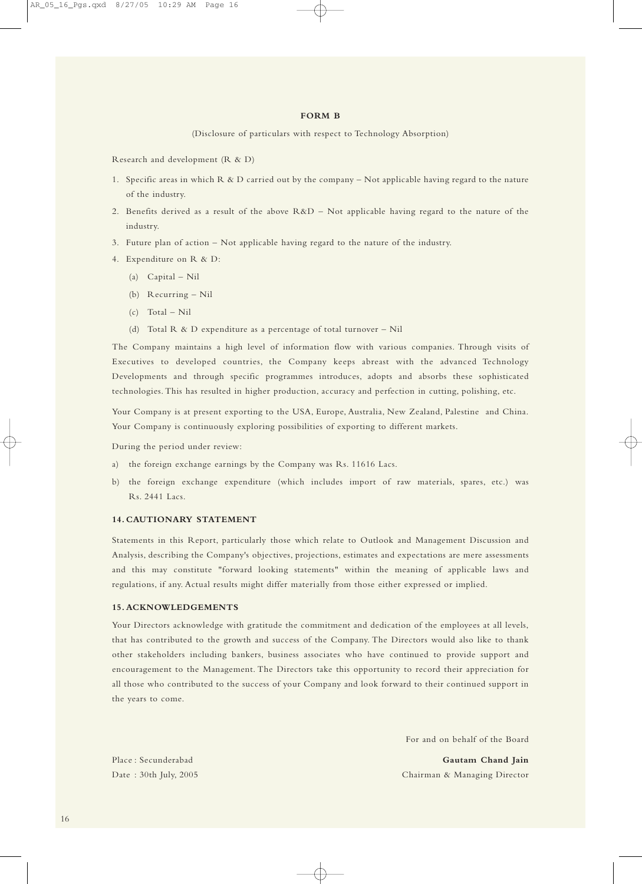#### **FORM B**

(Disclosure of particulars with respect to Technology Absorption)

Research and development (R & D)

- 1. Specific areas in which  $R \& D$  carried out by the company Not applicable having regard to the nature of the industry.
- 2. Benefits derived as a result of the above R&D Not applicable having regard to the nature of the industry.
- 3. Future plan of action Not applicable having regard to the nature of the industry.
- 4. Expenditure on R & D:
	- (a) Capital Nil
	- (b) Recurring Nil
	- (c) Total Nil
	- (d) Total R & D expenditure as a percentage of total turnover Nil

The Company maintains a high level of information flow with various companies. Through visits of Executives to developed countries, the Company keeps abreast with the advanced Technology Developments and through specific programmes introduces, adopts and absorbs these sophisticated technologies. This has resulted in higher production, accuracy and perfection in cutting, polishing, etc.

Your Company is at present exporting to the USA, Europe, Australia, New Zealand, Palestine and China. Your Company is continuously exploring possibilities of exporting to different markets.

During the period under review:

- a) the foreign exchange earnings by the Company was Rs. 11616 Lacs.
- b) the foreign exchange expenditure (which includes import of raw materials, spares, etc.) was Rs. 2441 Lacs.

### **14.CAUTIONARY STATEMENT**

Statements in this Report, particularly those which relate to Outlook and Management Discussion and Analysis, describing the Company's objectives, projections, estimates and expectations are mere assessments and this may constitute "forward looking statements" within the meaning of applicable laws and regulations, if any. Actual results might differ materially from those either expressed or implied.

#### **15.ACKNOWLEDGEMENTS**

Your Directors acknowledge with gratitude the commitment and dedication of the employees at all levels, that has contributed to the growth and success of the Company. The Directors would also like to thank other stakeholders including bankers, business associates who have continued to provide support and encouragement to the Management. The Directors take this opportunity to record their appreciation for all those who contributed to the success of your Company and look forward to their continued support in the years to come.

For and on behalf of the Board

Place : Secunderabad **Gautam Chand Jain**  Date : 30th July, 2005 Chairman & Managing Director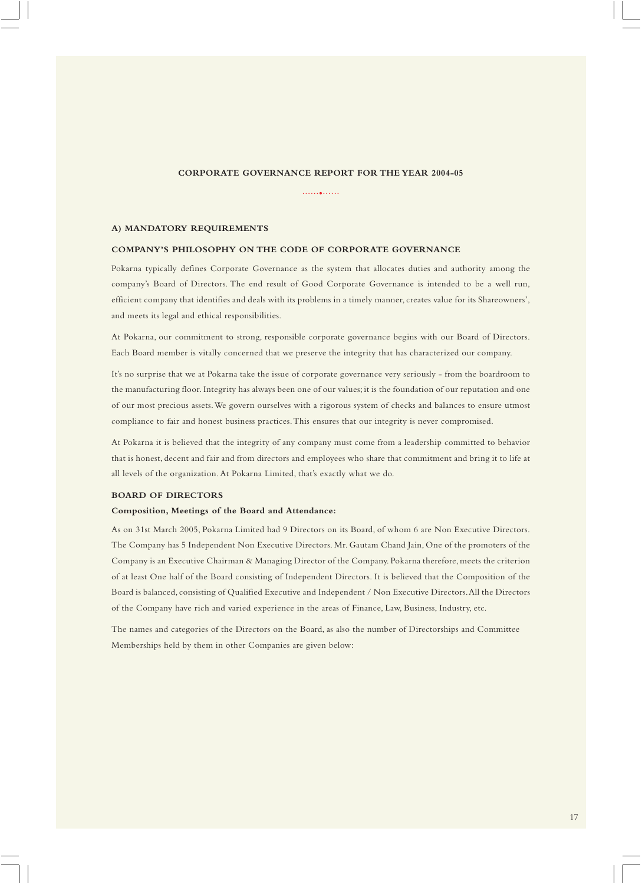### **CORPORATE GOVERNANCE REPORT FOR THE YEAR 2004-05**

......•......

### **A) MANDATORY REQUIREMENTS**

### **COMPANY'S PHILOSOPHY ON THE CODE OF CORPORATE GOVERNANCE**

Pokarna typically defines Corporate Governance as the system that allocates duties and authority among the company's Board of Directors. The end result of Good Corporate Governance is intended to be a well run, efficient company that identifies and deals with its problems in a timely manner, creates value for its Shareowners', and meets its legal and ethical responsibilities.

At Pokarna, our commitment to strong, responsible corporate governance begins with our Board of Directors. Each Board member is vitally concerned that we preserve the integrity that has characterized our company.

It's no surprise that we at Pokarna take the issue of corporate governance very seriously - from the boardroom to the manufacturing floor. Integrity has always been one of our values; it is the foundation of our reputation and one of our most precious assets. We govern ourselves with a rigorous system of checks and balances to ensure utmost compliance to fair and honest business practices. This ensures that our integrity is never compromised.

At Pokarna it is believed that the integrity of any company must come from a leadership committed to behavior that is honest, decent and fair and from directors and employees who share that commitment and bring it to life at all levels of the organization. At Pokarna Limited, that's exactly what we do.

### **BOARD OF DIRECTORS**

### **Composition, Meetings of the Board and Attendance:**

As on 31st March 2005, Pokarna Limited had 9 Directors on its Board, of whom 6 are Non Executive Directors. The Company has 5 Independent Non Executive Directors. Mr. Gautam Chand Jain, One of the promoters of the Company is an Executive Chairman & Managing Director of the Company. Pokarna therefore, meets the criterion of at least One half of the Board consisting of Independent Directors. It is believed that the Composition of the Board is balanced, consisting of Qualified Executive and Independent / Non Executive Directors. All the Directors of the Company have rich and varied experience in the areas of Finance, Law, Business, Industry, etc.

The names and categories of the Directors on the Board, as also the number of Directorships and Committee Memberships held by them in other Companies are given below: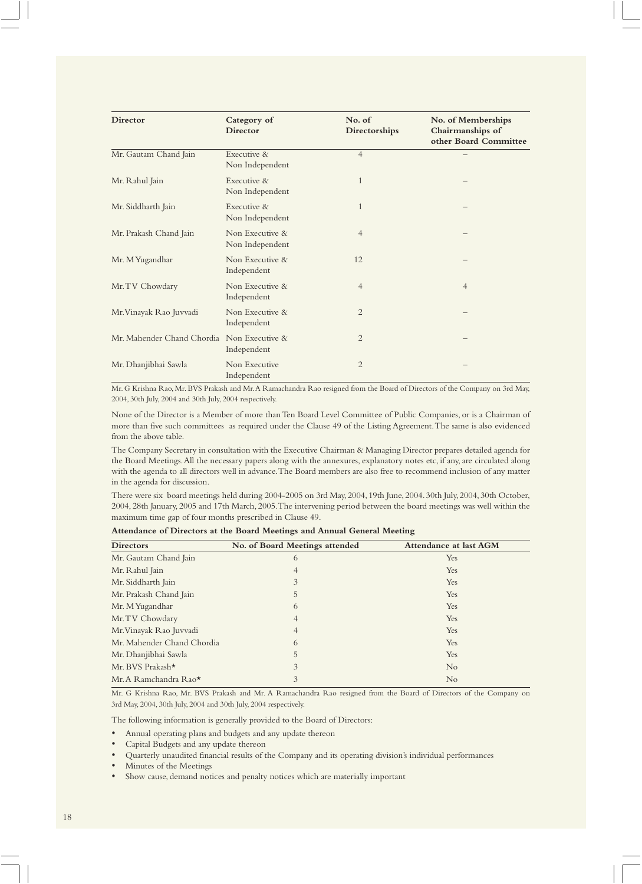| Director                   | Category of<br>Director            | No. of<br>Directorships | No. of Memberships<br>Chairmanships of<br>other Board Committee |
|----------------------------|------------------------------------|-------------------------|-----------------------------------------------------------------|
| Mr. Gautam Chand Jain      | Executive &<br>Non Independent     | $\overline{4}$          |                                                                 |
| Mr. Rahul Jain             | Executive &<br>Non Independent     | $\mathbf{1}$            |                                                                 |
| Mr. Siddharth Jain         | Executive &<br>Non Independent     | $\mathbf{1}$            |                                                                 |
| Mr. Prakash Chand Jain     | Non Executive &<br>Non Independent | 4                       |                                                                 |
| Mr. M Yugandhar            | Non Executive &<br>Independent     | 12                      |                                                                 |
| Mr. TV Chowdary            | Non Executive &<br>Independent     | 4                       | $\overline{4}$                                                  |
| Mr. Vinayak Rao Juvvadi    | Non Executive &<br>Independent     | $\overline{2}$          |                                                                 |
| Mr. Mahender Chand Chordia | Non Executive &<br>Independent     | $\overline{2}$          |                                                                 |
| Mr. Dhanjibhai Sawla       | Non Executive<br>Independent       | $\overline{2}$          |                                                                 |

Mr. G Krishna Rao, Mr. BVS Prakash and Mr. A Ramachandra Rao resigned from the Board of Directors of the Company on 3rd May, 2004, 30th July, 2004 and 30th July, 2004 respectively.

None of the Director is a Member of more than Ten Board Level Committee of Public Companies, or is a Chairman of more than five such committees as required under the Clause 49 of the Listing Agreement. The same is also evidenced from the above table.

The Company Secretary in consultation with the Executive Chairman & Managing Director prepares detailed agenda for the Board Meetings. All the necessary papers along with the annexures, explanatory notes etc, if any, are circulated along with the agenda to all directors well in advance. The Board members are also free to recommend inclusion of any matter in the agenda for discussion.

There were six board meetings held during 2004-2005 on 3rd May, 2004, 19th June, 2004. 30th July, 2004, 30th October, 2004, 28th January, 2005 and 17th March, 2005. The intervening period between the board meetings was well within the maximum time gap of four months prescribed in Clause 49.

| <b>Directors</b>           | No. of Board Meetings attended | Attendance at last AGM |
|----------------------------|--------------------------------|------------------------|
| Mr. Gautam Chand Jain      | 6                              | Yes                    |
| Mr. Rahul Jain             | 4                              | Yes                    |
| Mr. Siddharth Jain         | 3                              | Yes                    |
| Mr. Prakash Chand Jain     | 5                              | Yes                    |
| Mr. M Yugandhar            | 6                              | Yes                    |
| Mr. TV Chowdary            | 4                              | Yes                    |
| Mr. Vinayak Rao Juvvadi    | 4                              | Yes                    |
| Mr. Mahender Chand Chordia | 6                              | Yes                    |
| Mr. Dhanjibhai Sawla       | 5                              | Yes                    |
| Mr. BVS Prakash*           | 3                              | $\rm No$               |
| Mr. A Ramchandra Rao*      | 3                              | N <sub>o</sub>         |

**Attendance of Directors at the Board Meetings and Annual General Meeting**

Mr. G Krishna Rao, Mr. BVS Prakash and Mr. A Ramachandra Rao resigned from the Board of Directors of the Company on 3rd May, 2004, 30th July, 2004 and 30th July, 2004 respectively.

The following information is generally provided to the Board of Directors:

- Annual operating plans and budgets and any update thereon
- Capital Budgets and any update thereon
- Quarterly unaudited financial results of the Company and its operating division's individual performances
- Minutes of the Meetings
- Show cause, demand notices and penalty notices which are materially important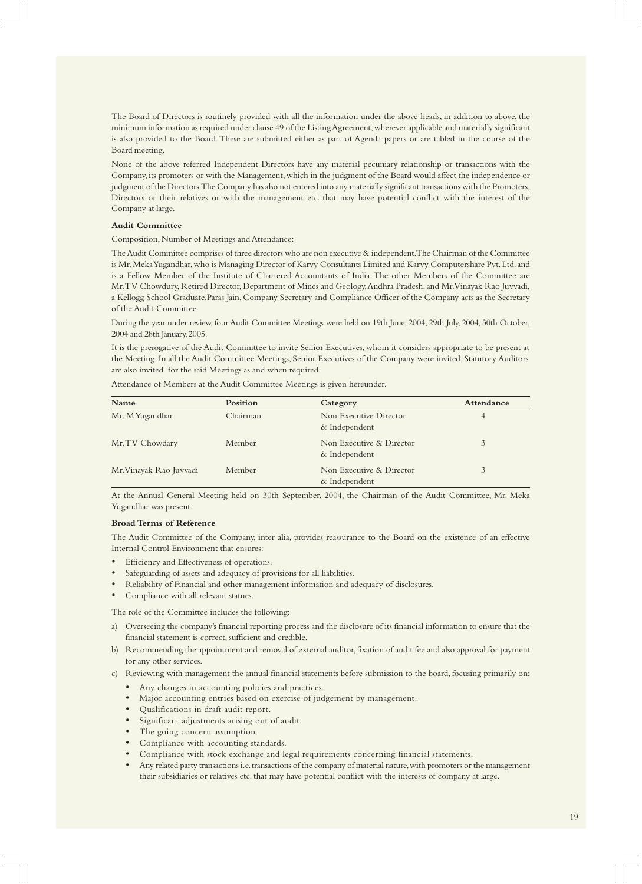The Board of Directors is routinely provided with all the information under the above heads, in addition to above, the minimum information as required under clause 49 of the Listing Agreement, wherever applicable and materially significant is also provided to the Board. These are submitted either as part of Agenda papers or are tabled in the course of the Board meeting.

None of the above referred Independent Directors have any material pecuniary relationship or transactions with the Company, its promoters or with the Management, which in the judgment of the Board would affect the independence or judgment of the Directors. The Company has also not entered into any materially significant transactions with the Promoters, Directors or their relatives or with the management etc. that may have potential conflict with the interest of the Company at large.

#### **Audit Committee**

Composition, Number of Meetings and Attendance:

The Audit Committee comprises of three directors who are non executive & independent. The Chairman of the Committee is Mr. Meka Yugandhar, who is Managing Director of Karvy Consultants Limited and Karvy Computershare Pvt. Ltd. and is a Fellow Member of the Institute of Chartered Accountants of India. The other Members of the Committee are Mr. T V Chowdury, Retired Director, Department of Mines and Geology, Andhra Pradesh, and Mr. Vinayak Rao Juvvadi, a Kellogg School Graduate.Paras Jain, Company Secretary and Compliance Officer of the Company acts as the Secretary of the Audit Committee.

During the year under review, four Audit Committee Meetings were held on 19th June, 2004, 29th July, 2004, 30th October, 2004 and 28th January, 2005.

It is the prerogative of the Audit Committee to invite Senior Executives, whom it considers appropriate to be present at the Meeting. In all the Audit Committee Meetings, Senior Executives of the Company were invited. Statutory Auditors are also invited for the said Meetings as and when required.

Attendance of Members at the Audit Committee Meetings is given hereunder.

| Name                    | Position | Category                                  | Attendance |
|-------------------------|----------|-------------------------------------------|------------|
| Mr. M Yugandhar         | Chairman | Non Executive Director<br>& Independent   | 4          |
| Mr.TV Chowdary          | Member   | Non Executive & Director<br>& Independent |            |
| Mr. Vinayak Rao Juvvadi | Member   | Non Executive & Director<br>& Independent | 3          |

At the Annual General Meeting held on 30th September, 2004, the Chairman of the Audit Committee, Mr. Meka Yugandhar was present.

### **Broad Terms of Reference**

The Audit Committee of the Company, inter alia, provides reassurance to the Board on the existence of an effective Internal Control Environment that ensures:

- Efficiency and Effectiveness of operations.
- Safeguarding of assets and adequacy of provisions for all liabilities.
- Reliability of Financial and other management information and adequacy of disclosures.
- Compliance with all relevant statues.

The role of the Committee includes the following:

- a) Overseeing the company's financial reporting process and the disclosure of its financial information to ensure that the financial statement is correct, sufficient and credible.
- b) Recommending the appointment and removal of external auditor, fixation of audit fee and also approval for payment for any other services.
- c) Reviewing with management the annual financial statements before submission to the board, focusing primarily on:
	- Any changes in accounting policies and practices.
	- Major accounting entries based on exercise of judgement by management.
	- Qualifications in draft audit report.
	- Significant adjustments arising out of audit.
	- The going concern assumption.
	- Compliance with accounting standards.
	- Compliance with stock exchange and legal requirements concerning financial statements.
	- Any related party transactions i.e. transactions of the company of material nature, with promoters or the management their subsidiaries or relatives etc. that may have potential conflict with the interests of company at large.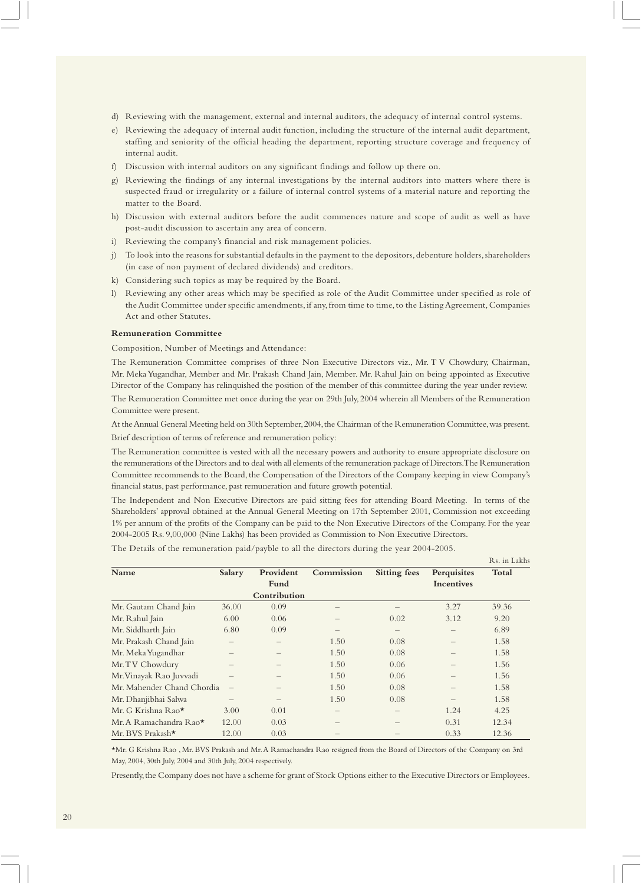- d) Reviewing with the management, external and internal auditors, the adequacy of internal control systems.
- e) Reviewing the adequacy of internal audit function, including the structure of the internal audit department, staffing and seniority of the official heading the department, reporting structure coverage and frequency of internal audit.
- f) Discussion with internal auditors on any significant findings and follow up there on.
- g) Reviewing the findings of any internal investigations by the internal auditors into matters where there is suspected fraud or irregularity or a failure of internal control systems of a material nature and reporting the matter to the Board.
- h) Discussion with external auditors before the audit commences nature and scope of audit as well as have post-audit discussion to ascertain any area of concern.
- i) Reviewing the company's financial and risk management policies.
- j) To look into the reasons for substantial defaults in the payment to the depositors, debenture holders, shareholders (in case of non payment of declared dividends) and creditors.
- k) Considering such topics as may be required by the Board.
- l) Reviewing any other areas which may be specified as role of the Audit Committee under specified as role of the Audit Committee under specific amendments, if any, from time to time, to the Listing Agreement, Companies Act and other Statutes.

#### **Remuneration Committee**

Composition, Number of Meetings and Attendance:

The Remuneration Committee comprises of three Non Executive Directors viz., Mr. T V Chowdury, Chairman, Mr. Meka Yugandhar, Member and Mr. Prakash Chand Jain, Member. Mr. Rahul Jain on being appointed as Executive Director of the Company has relinquished the position of the member of this committee during the year under review.

The Remuneration Committee met once during the year on 29th July, 2004 wherein all Members of the Remuneration Committee were present.

At the Annual General Meeting held on 30th September, 2004, the Chairman of the Remuneration Committee, was present. Brief description of terms of reference and remuneration policy:

The Remuneration committee is vested with all the necessary powers and authority to ensure appropriate disclosure on the remunerations of the Directors and to deal with all elements of the remuneration package of Directors. The Remuneration Committee recommends to the Board, the Compensation of the Directors of the Company keeping in view Company's financial status, past performance, past remuneration and future growth potential.

The Independent and Non Executive Directors are paid sitting fees for attending Board Meeting. In terms of the Shareholders' approval obtained at the Annual General Meeting on 17th September 2001, Commission not exceeding 1% per annum of the profits of the Company can be paid to the Non Executive Directors of the Company. For the year 2004-2005 Rs. 9,00,000 (Nine Lakhs) has been provided as Commission to Non Executive Directors.

The Details of the remuneration paid/payble to all the directors during the year 2004-2005.

|                            |                          |              |                                 |                     |                   | Rs. in Lakhs |
|----------------------------|--------------------------|--------------|---------------------------------|---------------------|-------------------|--------------|
| Name                       | Salary                   | Provident    | Commission                      | <b>Sitting fees</b> | Perquisites       | Total        |
|                            |                          | Fund         |                                 |                     | <b>Incentives</b> |              |
|                            |                          | Contribution |                                 |                     |                   |              |
| Mr. Gautam Chand Jain      | 36.00                    | 0.09         |                                 |                     | 3.27              | 39.36        |
| Mr. Rahul Jain             | 6.00                     | 0.06         |                                 | 0.02                | 3.12              | 9.20         |
| Mr. Siddharth Jain         | 6.80                     | 0.09         |                                 |                     |                   | 6.89         |
| Mr. Prakash Chand Jain     |                          |              | 1.50                            | 0.08                |                   | 1.58         |
| Mr. Meka Yugandhar         |                          |              | 1.50                            | 0.08                |                   | 1.58         |
| Mr. TV Chowdury            |                          |              | 1.50                            | 0.06                |                   | 1.56         |
| Mr. Vinayak Rao Juvvadi    |                          |              | 1.50                            | 0.06                |                   | 1.56         |
| Mr. Mahender Chand Chordia | $\overline{\phantom{0}}$ |              | 1.50                            | 0.08                |                   | 1.58         |
| Mr. Dhanjibhai Salwa       |                          |              | 1.50                            | 0.08                |                   | 1.58         |
| Mr. G Krishna Rao*         | 3.00                     | 0.01         | $\hspace{0.1mm}-\hspace{0.1mm}$ |                     | 1.24              | 4.25         |
| Mr. A Ramachandra Rao*     | 12.00                    | 0.03         |                                 |                     | 0.31              | 12.34        |
| Mr. BVS Prakash*           | 12.00                    | 0.03         |                                 |                     | 0.33              | 12.36        |

\*Mr. G Krishna Rao , Mr. BVS Prakash and Mr. A Ramachandra Rao resigned from the Board of Directors of the Company on 3rd May, 2004, 30th July, 2004 and 30th July, 2004 respectively.

Presently, the Company does not have a scheme for grant of Stock Options either to the Executive Directors or Employees.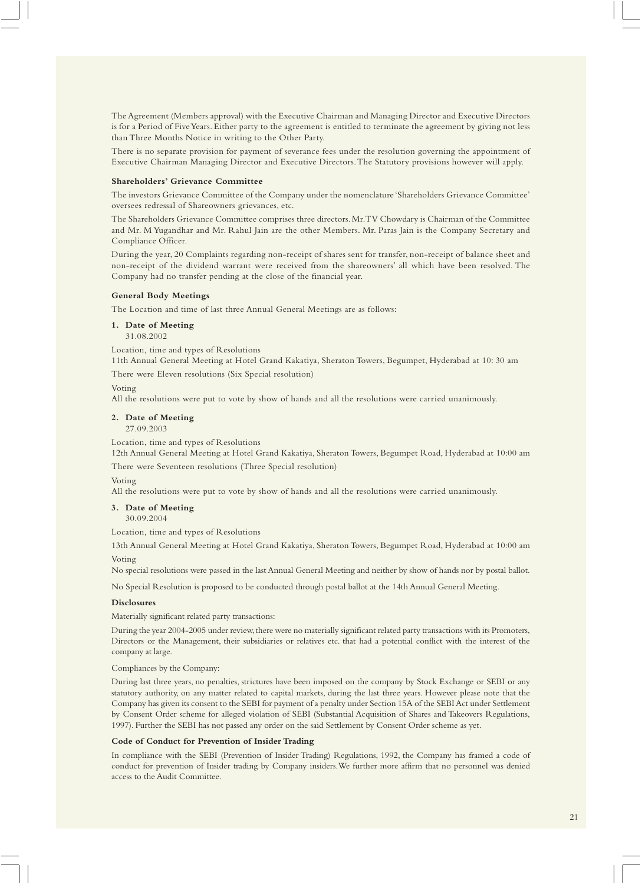The Agreement (Members approval) with the Executive Chairman and Managing Director and Executive Directors is for a Period of Five Years. Either party to the agreement is entitled to terminate the agreement by giving not less than Three Months Notice in writing to the Other Party.

There is no separate provision for payment of severance fees under the resolution governing the appointment of Executive Chairman Managing Director and Executive Directors. The Statutory provisions however will apply.

#### **Shareholders' Grievance Committee**

The investors Grievance Committee of the Company under the nomenclature 'Shareholders Grievance Committee' oversees redressal of Shareowners grievances, etc.

The Shareholders Grievance Committee comprises three directors. Mr. T V Chowdary is Chairman of the Committee and Mr. M Yugandhar and Mr. Rahul Jain are the other Members. Mr. Paras Jain is the Company Secretary and Compliance Officer.

During the year, 20 Complaints regarding non-receipt of shares sent for transfer, non-receipt of balance sheet and non-receipt of the dividend warrant were received from the shareowners' all which have been resolved. The Company had no transfer pending at the close of the financial year.

#### **General Body Meetings**

The Location and time of last three Annual General Meetings are as follows:

### **1. Date of Meeting**

31.08.2002

Location, time and types of Resolutions

11th Annual General Meeting at Hotel Grand Kakatiya, Sheraton Towers, Begumpet, Hyderabad at 10: 30 am

There were Eleven resolutions (Six Special resolution)

#### Voting

All the resolutions were put to vote by show of hands and all the resolutions were carried unanimously.

# **2. Date of Meeting**

27.09.2003

Location, time and types of Resolutions

12th Annual General Meeting at Hotel Grand Kakatiya, Sheraton Towers, Begumpet Road, Hyderabad at 10:00 am There were Seventeen resolutions (Three Special resolution)

Voting

All the resolutions were put to vote by show of hands and all the resolutions were carried unanimously.

#### **3. Date of Meeting**

30.09.2004

Location, time and types of Resolutions

13th Annual General Meeting at Hotel Grand Kakatiya, Sheraton Towers, Begumpet Road, Hyderabad at 10:00 am Voting

No special resolutions were passed in the last Annual General Meeting and neither by show of hands nor by postal ballot.

No Special Resolution is proposed to be conducted through postal ballot at the 14th Annual General Meeting.

#### **Disclosures**

Materially significant related party transactions:

During the year 2004-2005 under review, there were no materially significant related party transactions with its Promoters, Directors or the Management, their subsidiaries or relatives etc. that had a potential conflict with the interest of the company at large.

### Compliances by the Company:

During last three years, no penalties, strictures have been imposed on the company by Stock Exchange or SEBI or any statutory authority, on any matter related to capital markets, during the last three years. However please note that the Company has given its consent to the SEBI for payment of a penalty under Section 15A of the SEBI Act under Settlement by Consent Order scheme for alleged violation of SEBI (Substantial Acquisition of Shares and Takeovers Regulations, 1997). Further the SEBI has not passed any order on the said Settlement by Consent Order scheme as yet.

#### **Code of Conduct for Prevention of Insider Trading**

In compliance with the SEBI (Prevention of Insider Trading) Regulations, 1992, the Company has framed a code of conduct for prevention of Insider trading by Company insiders.We further more affirm that no personnel was denied access to the Audit Committee.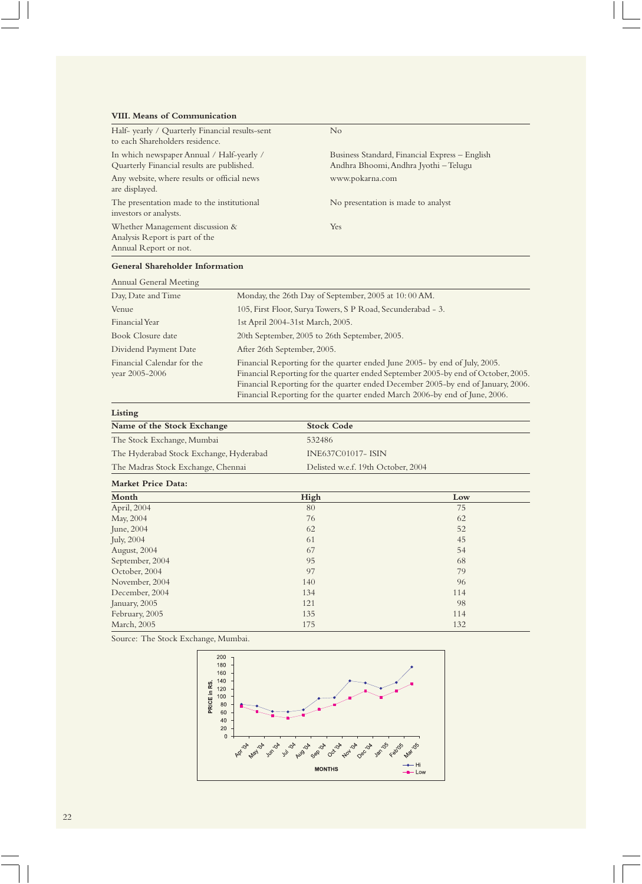## **VIII. Means of Communication**

| Half- yearly / Quarterly Financial results-sent<br>to each Shareholders residence.         | $\overline{N}$ <sup>o</sup>                                                             |
|--------------------------------------------------------------------------------------------|-----------------------------------------------------------------------------------------|
| In which newspaper Annual / Half-yearly /<br>Quarterly Financial results are published.    | Business Standard, Financial Express - English<br>Andhra Bhoomi, Andhra Jyothi - Telugu |
| Any website, where results or official news<br>are displayed.                              | www.pokarna.com                                                                         |
| The presentation made to the institutional<br>investors or analysts.                       | No presentation is made to analyst                                                      |
| Whether Management discussion &<br>Analysis Report is part of the<br>Annual Report or not. | Yes.                                                                                    |

## **General Shareholder Information**

| Annual General Meeting                       |                                                                                                                                                                                                                                                                                                                                   |
|----------------------------------------------|-----------------------------------------------------------------------------------------------------------------------------------------------------------------------------------------------------------------------------------------------------------------------------------------------------------------------------------|
| Day, Date and Time                           | Monday, the 26th Day of September, 2005 at 10:00 AM.                                                                                                                                                                                                                                                                              |
| Venue                                        | 105, First Floor, Surya Towers, S P Road, Secunderabad - 3.                                                                                                                                                                                                                                                                       |
| Financial Year                               | 1st April 2004-31st March, 2005.                                                                                                                                                                                                                                                                                                  |
| Book Closure date                            | 20th September, 2005 to 26th September, 2005.                                                                                                                                                                                                                                                                                     |
| Dividend Payment Date                        | After 26th September, 2005.                                                                                                                                                                                                                                                                                                       |
| Financial Calendar for the<br>year 2005-2006 | Financial Reporting for the quarter ended June 2005- by end of July, 2005.<br>Financial Reporting for the quarter ended September 2005-by end of October, 2005.<br>Financial Reporting for the quarter ended December 2005-by end of January, 2006.<br>Financial Reporting for the quarter ended March 2006-by end of June, 2006. |

| Listing                                 |                                    |  |  |
|-----------------------------------------|------------------------------------|--|--|
| Name of the Stock Exchange              | <b>Stock Code</b>                  |  |  |
| The Stock Exchange, Mumbai              | 532486                             |  |  |
| The Hyderabad Stock Exchange, Hyderabad | <b>INE637C01017- ISIN</b>          |  |  |
| The Madras Stock Exchange, Chennai      | Delisted w.e.f. 19th October, 2004 |  |  |

### **Market Price Data:**

| Month           | High | Low |
|-----------------|------|-----|
| April, 2004     | 80   | 75  |
| May, 2004       | 76   | 62  |
| June, 2004      | 62   | 52  |
| July, 2004      | 61   | 45  |
| August, 2004    | 67   | 54  |
| September, 2004 | 95   | 68  |
| October, 2004   | 97   | 79  |
| November, 2004  | 140  | 96  |
| December, 2004  | 134  | 114 |
| January, 2005   | 121  | 98  |
| February, 2005  | 135  | 114 |
| March, 2005     | 175  | 132 |

Source: The Stock Exchange, Mumbai.

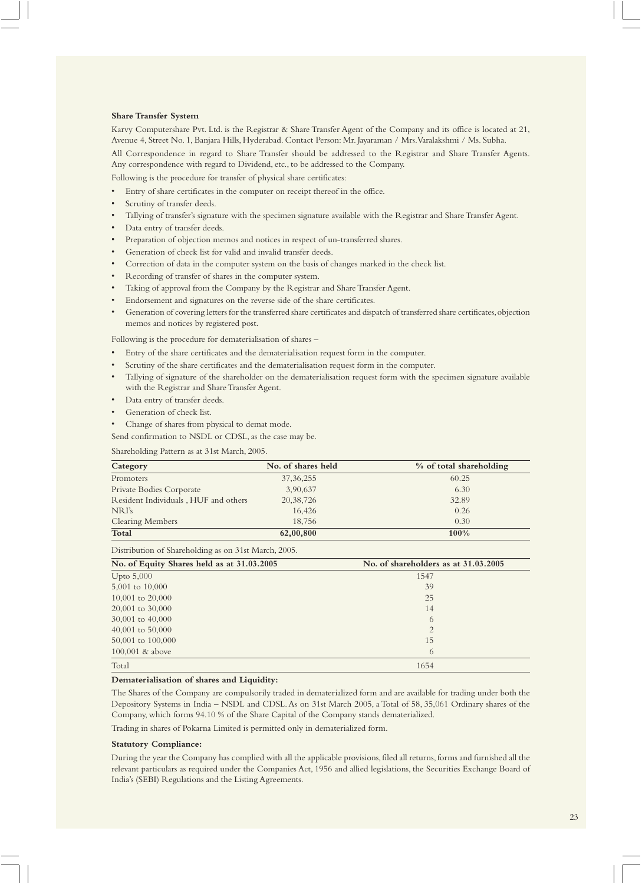#### **Share Transfer System**

Karvy Computershare Pvt. Ltd. is the Registrar & Share Transfer Agent of the Company and its office is located at 21, Avenue 4, Street No. 1, Banjara Hills, Hyderabad. Contact Person: Mr. Jayaraman / Mrs. Varalakshmi / Ms. Subha.

All Correspondence in regard to Share Transfer should be addressed to the Registrar and Share Transfer Agents. Any correspondence with regard to Dividend, etc., to be addressed to the Company.

Following is the procedure for transfer of physical share certificates:

- Entry of share certificates in the computer on receipt thereof in the office.
- Scrutiny of transfer deeds.
- Tallying of transfer's signature with the specimen signature available with the Registrar and Share Transfer Agent.
- Data entry of transfer deeds.
- Preparation of objection memos and notices in respect of un-transferred shares.
- Generation of check list for valid and invalid transfer deeds.
- Correction of data in the computer system on the basis of changes marked in the check list.
- Recording of transfer of shares in the computer system.
- Taking of approval from the Company by the Registrar and Share Transfer Agent.
- Endorsement and signatures on the reverse side of the share certificates.
- Generation of covering letters for the transferred share certificates and dispatch of transferred share certificates, objection memos and notices by registered post.

Following is the procedure for dematerialisation of shares –

- Entry of the share certificates and the dematerialisation request form in the computer.
- Scrutiny of the share certificates and the dematerialisation request form in the computer.
- Tallying of signature of the shareholder on the dematerialisation request form with the specimen signature available with the Registrar and Share Transfer Agent.
- Data entry of transfer deeds.
- Generation of check list.
- Change of shares from physical to demat mode.

Send confirmation to NSDL or CDSL, as the case may be.

Shareholding Pattern as at 31st March, 2005.

| Category                             | No. of shares held | % of total shareholding |
|--------------------------------------|--------------------|-------------------------|
| Promoters                            | 37, 36, 255        | 60.25                   |
| Private Bodies Corporate             | 3,90,637           | 6.30                    |
| Resident Individuals, HUF and others | 20, 38, 726        | 32.89                   |
| NRI's                                | 16,426             | 0.26                    |
| <b>Clearing Members</b>              | 18.756             | 0.30                    |
| Total                                | 62,00,800          | 100%                    |

Distribution of Shareholding as on 31st March, 2005.

| No. of Equity Shares held as at 31.03.2005 | No. of shareholders as at 31.03.2005 |
|--------------------------------------------|--------------------------------------|
| Upto $5,000$                               | 1547                                 |
| 5,001 to 10,000                            | 39                                   |
| $10,001$ to $20,000$                       | 25                                   |
| 20,001 to 30,000                           | 14                                   |
| 30,001 to 40,000                           | 6                                    |
| $40,001$ to $50,000$                       | $\mathcal{D}_{\mathcal{L}}$          |
| 50,001 to 100,000                          | 15                                   |
| 100,001 $\&$ above                         | 6                                    |
| Total                                      | 1654                                 |

#### **Dematerialisation of shares and Liquidity:**

The Shares of the Company are compulsorily traded in dematerialized form and are available for trading under both the Depository Systems in India – NSDL and CDSL. As on 31st March 2005, a Total of 58, 35,061 Ordinary shares of the Company, which forms 94.10 % of the Share Capital of the Company stands dematerialized.

Trading in shares of Pokarna Limited is permitted only in dematerialized form.

#### **Statutory Compliance:**

During the year the Company has complied with all the applicable provisions, filed all returns, forms and furnished all the relevant particulars as required under the Companies Act, 1956 and allied legislations, the Securities Exchange Board of India's (SEBI) Regulations and the Listing Agreements.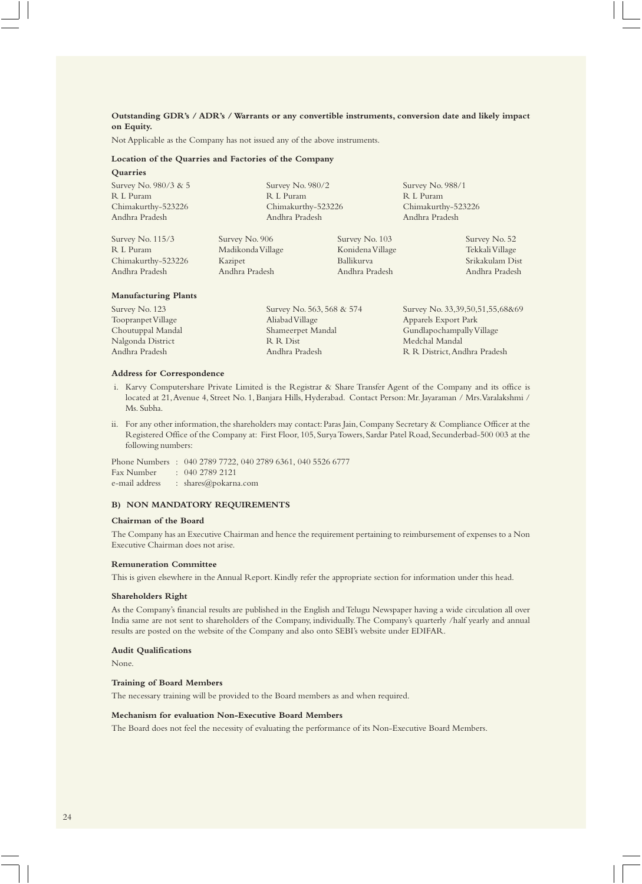### **Outstanding GDR's / ADR's / Warrants or any convertible instruments, conversion date and likely impact on Equity.**

Not Applicable as the Company has not issued any of the above instruments.

#### **Location of the Quarries and Factories of the Company**

#### **Quarries**

Survey No. 980/3 & 5 Survey No. 980/2 Survey No. 988/1<br>
R L Puram R L Puram R L Puram R L Puram R L Puram R L Puram R L Puram R L Puram R L Puram R L Puram R L Puram R L Puram R L Puram R L Puram R L Puram R L Puram R L Pu Chimakurthy-523226 Chimakurthy-523226 Chimakurthy-523226 Andhra Pradesh Andhra Pradesh Andhra Pradesh

R L Puram

Survey No. 115/3 Survey No. 906 Survey No. 103 Survey No. 52<br>
R L Puram Madikonda Village Konidena Village Tekkali Village Chimakurthy-523226 Kazipet Andhra Pradesh Andhra Pradesh Andhra Pradesh Andhra Pradesh

R L Puram Madikonda Village Konidena Village Tekkali Village

#### **Manufacturing Plants**

Survey No. 123 Survey No. 563, 568 & 574 Survey No. 33,39,50,51,55,68&69 Toopranpet Village Aliabad Village Apparels Export Park Choutuppal Mandal Shameerpet Mandal Gundlapochampally Village Nalgonda District R R Dist Medchal Mandal Andhra Pradesh Andhra Pradesh R R District, Andhra Pradesh

#### **Address for Correspondence**

- i. Karvy Computershare Private Limited is the Registrar & Share Transfer Agent of the Company and its office is located at 21, Avenue 4, Street No. 1, Banjara Hills, Hyderabad. Contact Person: Mr. Jayaraman / Mrs. Varalakshmi / Ms. Subha.
- ii. For any other information, the shareholders may contact: Paras Jain, Company Secretary & Compliance Officer at the Registered Office of the Company at: First Floor, 105, Surya Towers, Sardar Patel Road, Secunderbad-500 003 at the following numbers:

Phone Numbers : 040 2789 7722, 040 2789 6361, 040 5526 6777 Fax Number : 040 2789 2121 e-mail address : shares@pokarna.com

#### **B) NON MANDATORY REQUIREMENTS**

#### **Chairman of the Board**

The Company has an Executive Chairman and hence the requirement pertaining to reimbursement of expenses to a Non Executive Chairman does not arise.

### **Remuneration Committee**

This is given elsewhere in the Annual Report. Kindly refer the appropriate section for information under this head.

#### **Shareholders Right**

As the Company's financial results are published in the English and Telugu Newspaper having a wide circulation all over India same are not sent to shareholders of the Company, individually. The Company's quarterly /half yearly and annual results are posted on the website of the Company and also onto SEBI's website under EDIFAR.

#### **Audit Qualifications**

None.

#### **Training of Board Members**

The necessary training will be provided to the Board members as and when required.

### **Mechanism for evaluation Non-Executive Board Members**

The Board does not feel the necessity of evaluating the performance of its Non-Executive Board Members.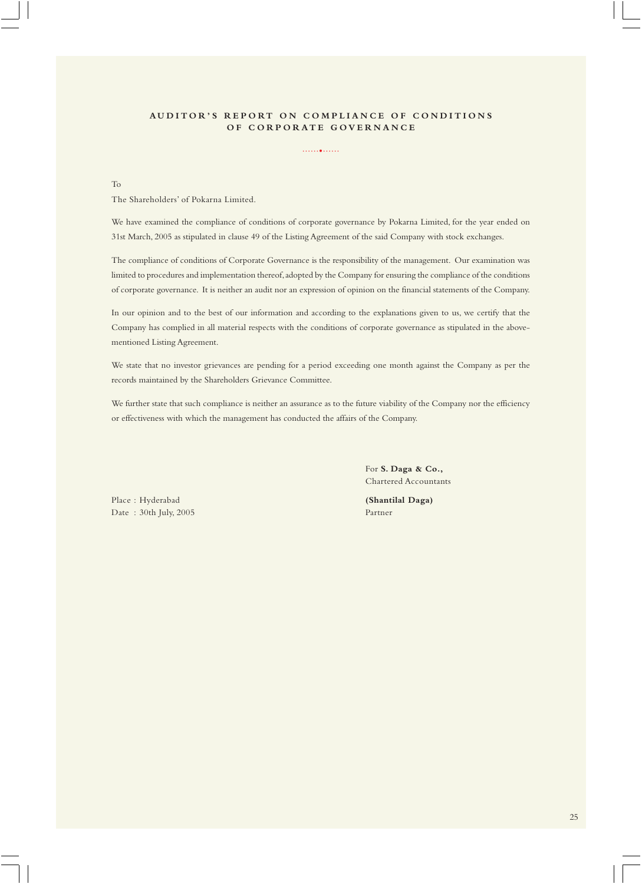## **AUDITOR'S REPORT ON COMPLIANCE OF CONDITIONS OF CORPORATE GOVERNANCE**

......•......

To

The Shareholders' of Pokarna Limited.

We have examined the compliance of conditions of corporate governance by Pokarna Limited, for the year ended on 31st March, 2005 as stipulated in clause 49 of the Listing Agreement of the said Company with stock exchanges.

The compliance of conditions of Corporate Governance is the responsibility of the management. Our examination was limited to procedures and implementation thereof, adopted by the Company for ensuring the compliance of the conditions of corporate governance. It is neither an audit nor an expression of opinion on the financial statements of the Company.

In our opinion and to the best of our information and according to the explanations given to us, we certify that the Company has complied in all material respects with the conditions of corporate governance as stipulated in the abovementioned Listing Agreement.

We state that no investor grievances are pending for a period exceeding one month against the Company as per the records maintained by the Shareholders Grievance Committee.

We further state that such compliance is neither an assurance as to the future viability of the Company nor the efficiency or effectiveness with which the management has conducted the affairs of the Company.

> For **S. Daga & Co.,** Chartered Accountants

Place : Hyderabad **(Shantilal Daga)** Date : 30th July, 2005 Partner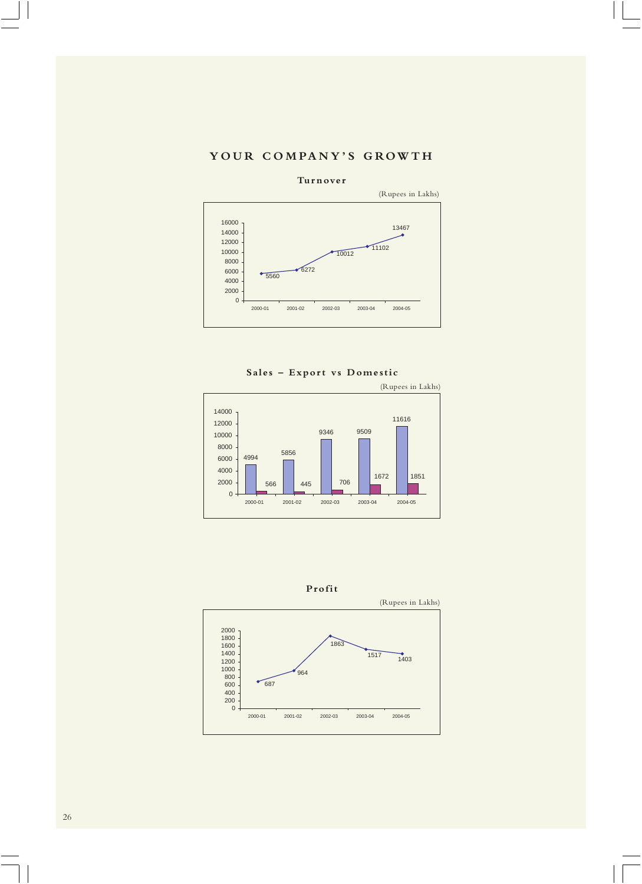# **YOUR COMPANY'S GROWTH**

**Turnover**







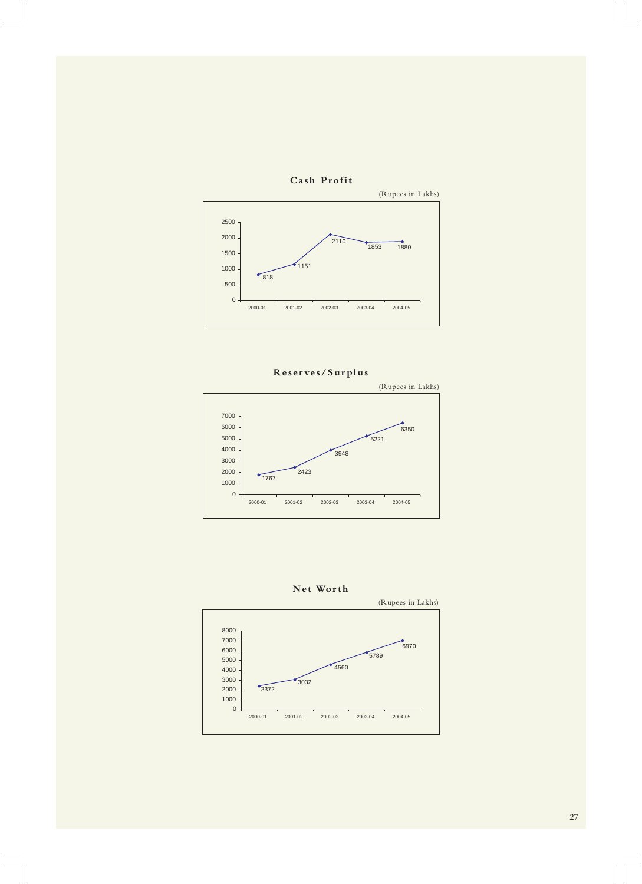







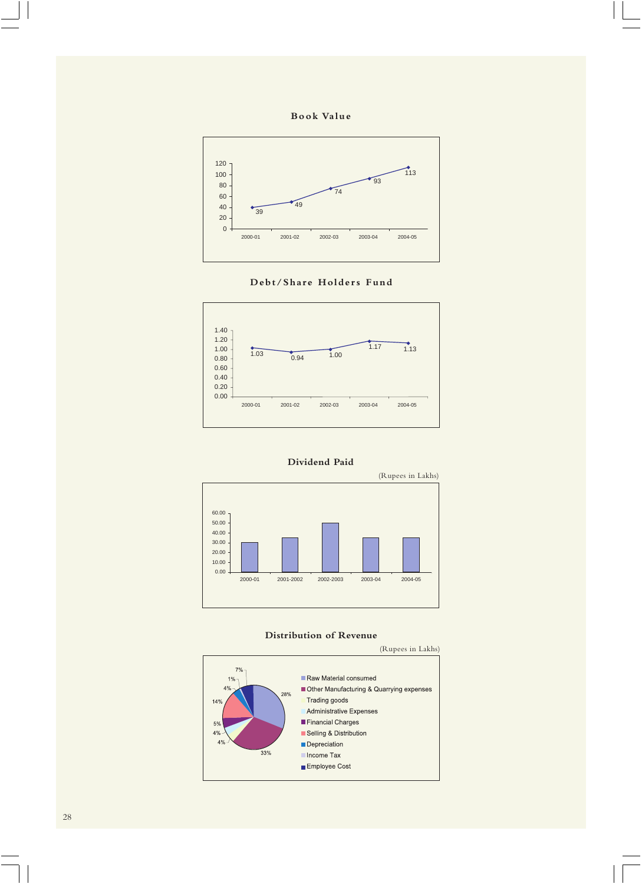











# **Distribution of Revenue**

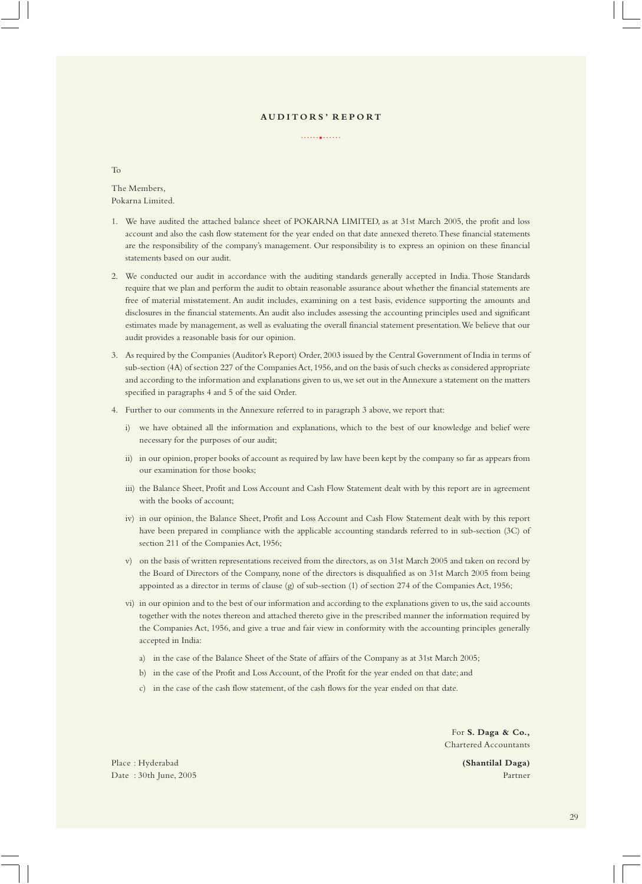## **AU D I T O R S ' R E P O RT**

......•......

To

The Members, Pokarna Limited.

- 1. We have audited the attached balance sheet of POKARNA LIMITED, as at 31st March 2005, the profit and loss account and also the cash flow statement for the year ended on that date annexed thereto. These financial statements are the responsibility of the company's management. Our responsibility is to express an opinion on these financial statements based on our audit.
- 2. We conducted our audit in accordance with the auditing standards generally accepted in India. Those Standards require that we plan and perform the audit to obtain reasonable assurance about whether the financial statements are free of material misstatement. An audit includes, examining on a test basis, evidence supporting the amounts and disclosures in the financial statements. An audit also includes assessing the accounting principles used and significant estimates made by management, as well as evaluating the overall financial statement presentation. We believe that our audit provides a reasonable basis for our opinion.
- 3. As required by the Companies (Auditor's Report) Order, 2003 issued by the Central Government of India in terms of sub-section (4A) of section 227 of the Companies Act, 1956, and on the basis of such checks as considered appropriate and according to the information and explanations given to us, we set out in the Annexure a statement on the matters specified in paragraphs 4 and 5 of the said Order.
- 4. Further to our comments in the Annexure referred to in paragraph 3 above, we report that:
	- i) we have obtained all the information and explanations, which to the best of our knowledge and belief were necessary for the purposes of our audit;
	- ii) in our opinion, proper books of account as required by law have been kept by the company so far as appears from our examination for those books;
	- iii) the Balance Sheet, Profit and Loss Account and Cash Flow Statement dealt with by this report are in agreement with the books of account;
	- iv) in our opinion, the Balance Sheet, Profit and Loss Account and Cash Flow Statement dealt with by this report have been prepared in compliance with the applicable accounting standards referred to in sub-section (3C) of section 211 of the Companies Act, 1956;
	- v) on the basis of written representations received from the directors, as on 31st March 2005 and taken on record by the Board of Directors of the Company, none of the directors is disqualified as on 31st March 2005 from being appointed as a director in terms of clause (g) of sub-section (1) of section 274 of the Companies Act, 1956;
	- vi) in our opinion and to the best of our information and according to the explanations given to us, the said accounts together with the notes thereon and attached thereto give in the prescribed manner the information required by the Companies Act, 1956, and give a true and fair view in conformity with the accounting principles generally accepted in India:
		- a) in the case of the Balance Sheet of the State of affairs of the Company as at 31st March 2005;
		- b) in the case of the Profit and Loss Account, of the Profit for the year ended on that date; and
		- c) in the case of the cash flow statement, of the cash flows for the year ended on that date.

For **S. Daga & Co.,** Chartered Accountants

Place : Hyderabad **(Shantilal Daga)** Date : 30th June, 2005 Partner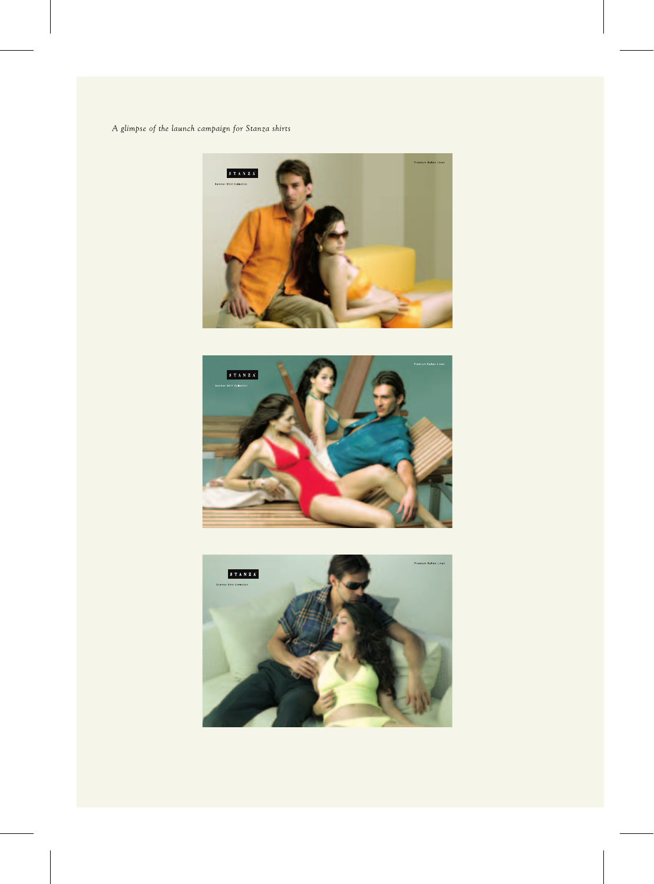A glimpse of the launch campaign for Stanza shirts





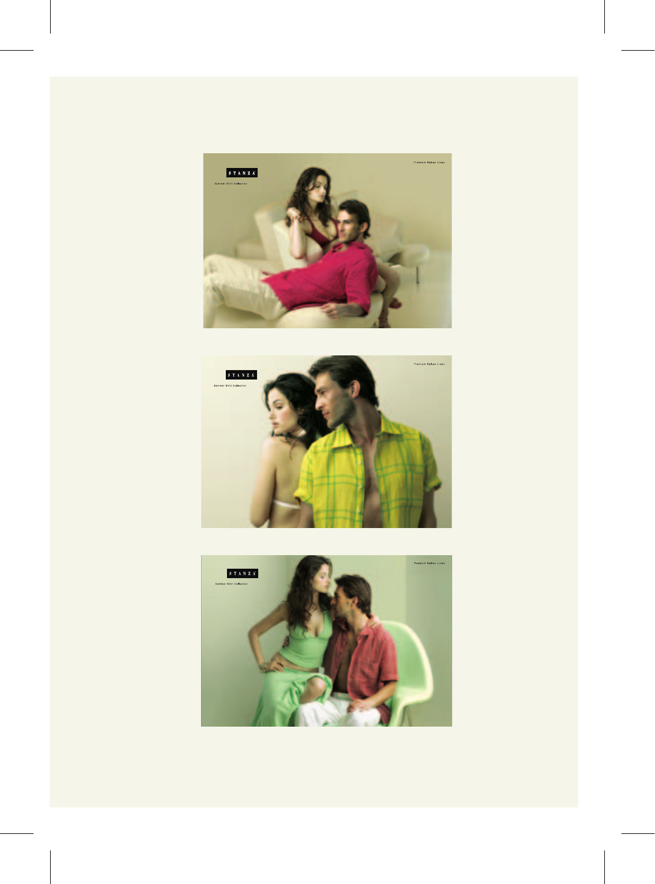



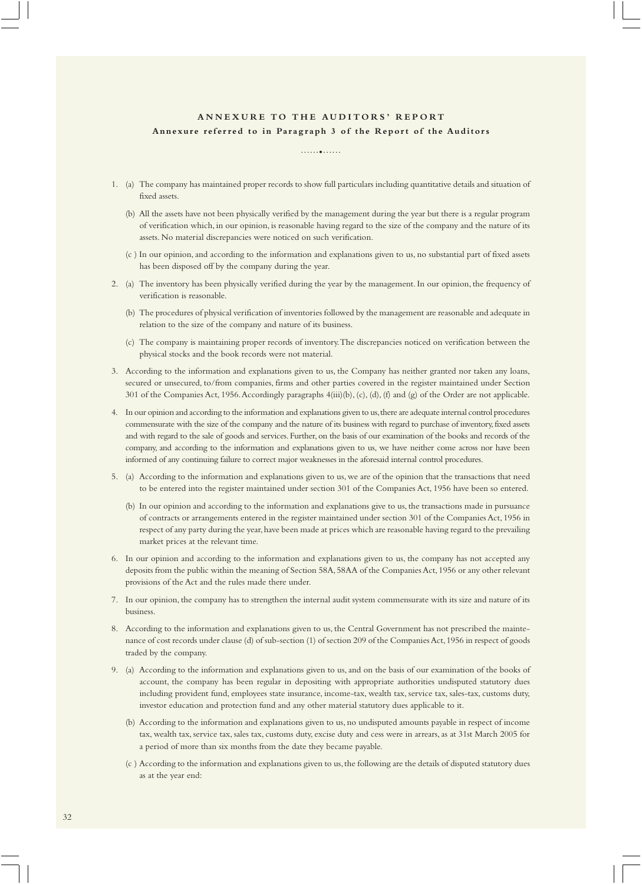# **ANNEXURE TO THE AUDITORS' REPORT Annexure referred to in Paragraph 3 of the Report of the Auditors**

......•......

- 1. (a) The company has maintained proper records to show full particulars including quantitative details and situation of fixed assets.
	- (b) All the assets have not been physically verified by the management during the year but there is a regular program of verification which, in our opinion, is reasonable having regard to the size of the company and the nature of its assets. No material discrepancies were noticed on such verification.
	- (c ) In our opinion, and according to the information and explanations given to us, no substantial part of fixed assets has been disposed off by the company during the year.
- 2. (a) The inventory has been physically verified during the year by the management. In our opinion, the frequency of verification is reasonable.
	- (b) The procedures of physical verification of inventories followed by the management are reasonable and adequate in relation to the size of the company and nature of its business.
	- (c) The company is maintaining proper records of inventory. The discrepancies noticed on verification between the physical stocks and the book records were not material.
- 3. According to the information and explanations given to us, the Company has neither granted nor taken any loans, secured or unsecured, to/from companies, firms and other parties covered in the register maintained under Section 301 of the Companies Act, 1956. Accordingly paragraphs 4(iii)(b), (c), (d), (f) and (g) of the Order are not applicable.
- 4. In our opinion and according to the information and explanations given to us, there are adequate internal control procedures commensurate with the size of the company and the nature of its business with regard to purchase of inventory, fixed assets and with regard to the sale of goods and services. Further, on the basis of our examination of the books and records of the company, and according to the information and explanations given to us, we have neither come across nor have been informed of any continuing failure to correct major weaknesses in the aforesaid internal control procedures.
- 5. (a) According to the information and explanations given to us, we are of the opinion that the transactions that need to be entered into the register maintained under section 301 of the Companies Act, 1956 have been so entered.
	- (b) In our opinion and according to the information and explanations give to us, the transactions made in pursuance of contracts or arrangements entered in the register maintained under section 301 of the Companies Act, 1956 in respect of any party during the year, have been made at prices which are reasonable having regard to the prevailing market prices at the relevant time.
- 6. In our opinion and according to the information and explanations given to us, the company has not accepted any deposits from the public within the meaning of Section 58A, 58AA of the Companies Act, 1956 or any other relevant provisions of the Act and the rules made there under.
- 7. In our opinion, the company has to strengthen the internal audit system commensurate with its size and nature of its business.
- 8. According to the information and explanations given to us, the Central Government has not prescribed the maintenance of cost records under clause (d) of sub-section (1) of section 209 of the Companies Act, 1956 in respect of goods traded by the company.
- 9. (a) According to the information and explanations given to us, and on the basis of our examination of the books of account, the company has been regular in depositing with appropriate authorities undisputed statutory dues including provident fund, employees state insurance, income-tax, wealth tax, service tax, sales-tax, customs duty, investor education and protection fund and any other material statutory dues applicable to it.
	- (b) According to the information and explanations given to us, no undisputed amounts payable in respect of income tax, wealth tax, service tax, sales tax, customs duty, excise duty and cess were in arrears, as at 31st March 2005 for a period of more than six months from the date they became payable.
	- (c ) According to the information and explanations given to us, the following are the details of disputed statutory dues as at the year end: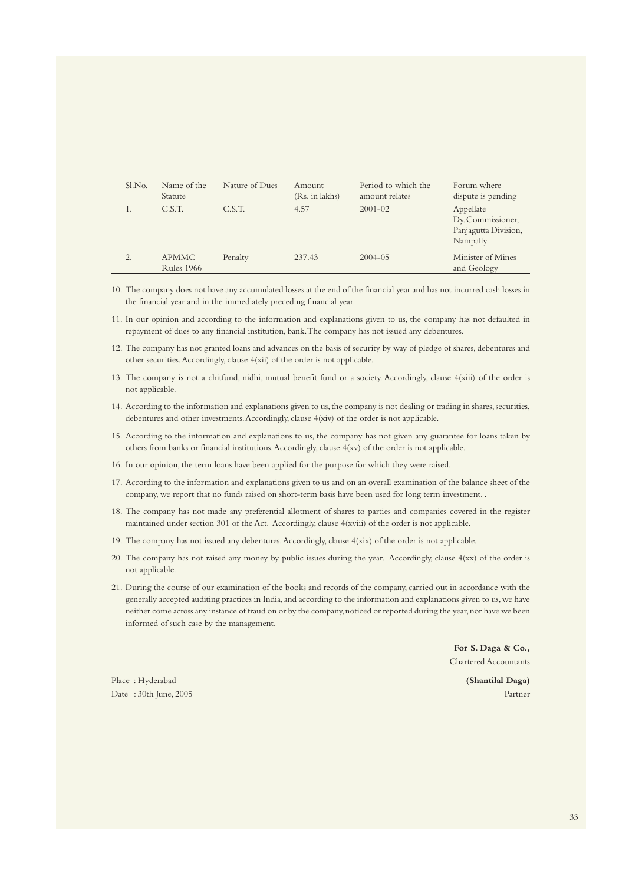| $S1$ . No. | Name of the<br>Statute            | Nature of Dues | Amount<br>(Rs. in lakhs) | Period to which the<br>amount relates | Forum where<br>dispute is pending                                  |
|------------|-----------------------------------|----------------|--------------------------|---------------------------------------|--------------------------------------------------------------------|
|            | C.S.T.                            | C.S.T.         | 4.57                     | $2001 - 02$                           | Appellate<br>Dy. Commissioner,<br>Panjagutta Division,<br>Nampally |
| 2.         | <b>APMMC</b><br><b>Rules</b> 1966 | Penalty        | 237.43                   | $2004 - 05$                           | Minister of Mines<br>and Geology                                   |

- 10. The company does not have any accumulated losses at the end of the financial year and has not incurred cash losses in the financial year and in the immediately preceding financial year.
- 11. In our opinion and according to the information and explanations given to us, the company has not defaulted in repayment of dues to any financial institution, bank. The company has not issued any debentures.
- 12. The company has not granted loans and advances on the basis of security by way of pledge of shares, debentures and other securities. Accordingly, clause 4(xii) of the order is not applicable.
- 13. The company is not a chitfund, nidhi, mutual benefit fund or a society. Accordingly, clause 4(xiii) of the order is not applicable.
- 14. According to the information and explanations given to us, the company is not dealing or trading in shares, securities, debentures and other investments. Accordingly, clause 4(xiv) of the order is not applicable.
- 15. According to the information and explanations to us, the company has not given any guarantee for loans taken by others from banks or financial institutions. Accordingly, clause 4(xv) of the order is not applicable.
- 16. In our opinion, the term loans have been applied for the purpose for which they were raised.
- 17. According to the information and explanations given to us and on an overall examination of the balance sheet of the company, we report that no funds raised on short-term basis have been used for long term investment. .
- 18. The company has not made any preferential allotment of shares to parties and companies covered in the register maintained under section 301 of the Act. Accordingly, clause 4(xviii) of the order is not applicable.
- 19. The company has not issued any debentures. Accordingly, clause 4(xix) of the order is not applicable.
- 20. The company has not raised any money by public issues during the year. Accordingly, clause 4(xx) of the order is not applicable.
- 21. During the course of our examination of the books and records of the company, carried out in accordance with the generally accepted auditing practices in India, and according to the information and explanations given to us, we have neither come across any instance of fraud on or by the company, noticed or reported during the year, nor have we been informed of such case by the management.

**For S. Daga & Co.,** Chartered Accountants

Place : Hyderabad **(Shantilal Daga)** Date : 30th June, 2005 Partner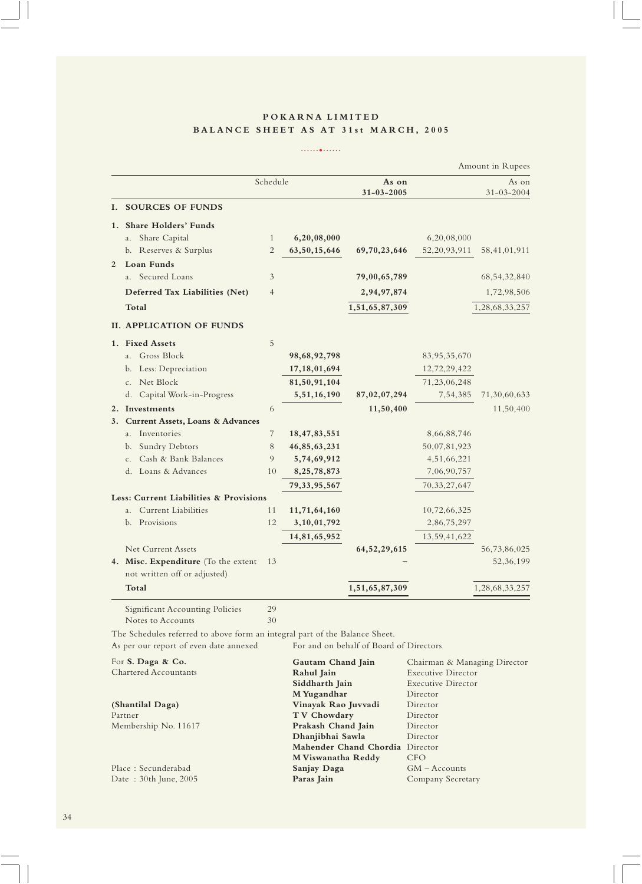# **POKARNA LIMITED BALANCE SHEET AS AT 31st MARCH, 2005**

|    |                                             |                |                 |                           |                 | Amount in Rupees          |
|----|---------------------------------------------|----------------|-----------------|---------------------------|-----------------|---------------------------|
|    |                                             | Schedule       |                 | As on<br>$31 - 03 - 2005$ |                 | As on<br>$31 - 03 - 2004$ |
| Ι. | <b>SOURCES OF FUNDS</b>                     |                |                 |                           |                 |                           |
| 1. | <b>Share Holders' Funds</b>                 |                |                 |                           |                 |                           |
|    | Share Capital<br>a.                         | 1              | 6,20,08,000     |                           | 6,20,08,000     |                           |
|    | b. Reserves & Surplus                       | $\overline{2}$ | 63,50,15,646    | 69,70,23,646              | 52, 20, 93, 911 | 58,41,01,911              |
| 2  | Loan Funds                                  |                |                 |                           |                 |                           |
|    | Secured Loans<br>$a_{-}$                    | 3              |                 | 79,00,65,789              |                 | 68, 54, 32, 840           |
|    | Deferred Tax Liabilities (Net)              | $\overline{4}$ |                 | 2,94,97,874               |                 | 1,72,98,506               |
|    | Total                                       |                |                 | 1,51,65,87,309            |                 | 1,28,68,33,257            |
|    | <b>II. APPLICATION OF FUNDS</b>             |                |                 |                           |                 |                           |
|    | 1. Fixed Assets                             | 5              |                 |                           |                 |                           |
|    | Gross Block<br>a.                           |                | 98,68,92,798    |                           | 83,95,35,670    |                           |
|    | b. Less: Depreciation                       |                | 17, 18, 01, 694 |                           | 12,72,29,422    |                           |
|    | Net Block<br>$\mathsf{C}$ .                 |                | 81,50,91,104    |                           | 71,23,06,248    |                           |
|    | d. Capital Work-in-Progress                 |                | 5,51,16,190     | 87,02,07,294              | 7,54,385        | 71,30,60,633              |
|    | 2. Investments                              | 6              |                 | 11,50,400                 |                 | 11,50,400                 |
| 3. | <b>Current Assets, Loans &amp; Advances</b> |                |                 |                           |                 |                           |
|    | Inventories<br>a.                           | 7              | 18,47,83,551    |                           | 8,66,88,746     |                           |
|    | Sundry Debtors<br>b.                        | 8              | 46,85,63,231    |                           | 50,07,81,923    |                           |
|    | Cash & Bank Balances<br>$c_{\cdot}$         | 9              | 5,74,69,912     |                           | 4,51,66,221     |                           |
|    | d. Loans & Advances                         | 10             | 8, 25, 78, 873  |                           | 7,06,90,757     |                           |
|    |                                             |                | 79, 33, 95, 567 |                           | 70, 33, 27, 647 |                           |
|    | Less: Current Liabilities & Provisions      |                |                 |                           |                 |                           |
|    | Current Liabilities<br>a <sub>z</sub>       | 11             | 11,71,64,160    |                           | 10,72,66,325    |                           |
|    | b. Provisions                               | 12             | 3,10,01,792     |                           | 2,86,75,297     |                           |
|    |                                             |                | 14,81,65,952    |                           | 13,59,41,622    |                           |
|    | Net Current Assets                          |                |                 | 64, 52, 29, 615           |                 | 56,73,86,025              |
|    | 4. Misc. Expenditure (To the extent         | 13             |                 |                           |                 | 52, 36, 199               |
|    | not written off or adjusted)                |                |                 |                           |                 |                           |
|    | Total                                       |                |                 | 1,51,65,87,309            |                 | 1,28,68,33,257            |
|    | <b>Significant Accounting Policies</b>      | 29             |                 |                           |                 |                           |

......•......

The Schedules referred to above form an integral part of the Balance Sheet.

Notes to Accounts 30

| For and on behalf of Board of Directors           |  |  |
|---------------------------------------------------|--|--|
| Gautam Chand Jain<br>Chairman & Managing Director |  |  |
| <b>Executive Director</b>                         |  |  |
| Executive Director                                |  |  |
| Director                                          |  |  |
| Vinayak Rao Juvvadi<br>Director                   |  |  |
| Director                                          |  |  |
| Prakash Chand Jain<br>Director                    |  |  |
| Director                                          |  |  |
| Mahender Chand Chordia Director                   |  |  |
| <b>CFO</b><br><b>M Viswanatha Reddy</b>           |  |  |
| $GM -$ Accounts                                   |  |  |
| Company Secretary                                 |  |  |
|                                                   |  |  |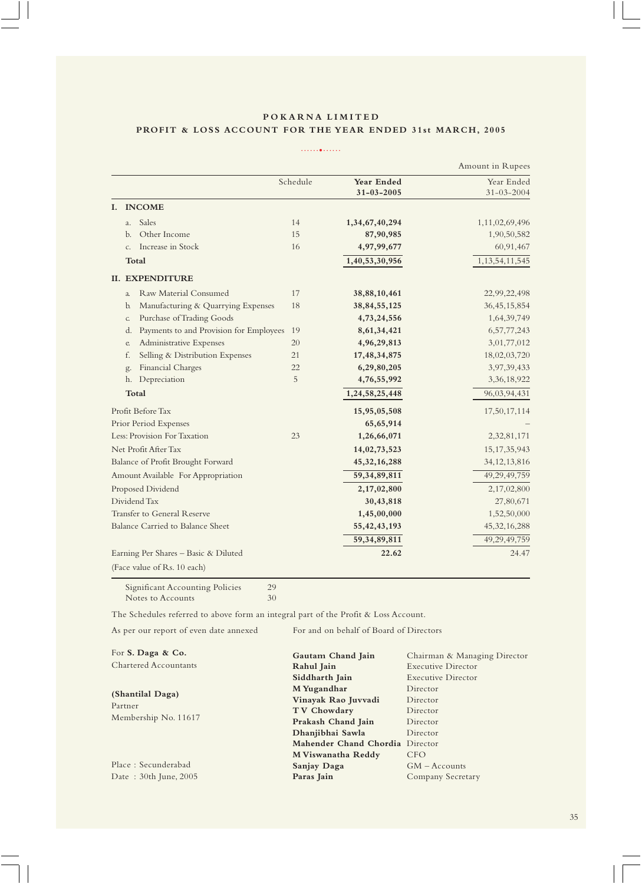# **POKARNA LIMITED PROFIT & LOSS ACCOUNT FOR THE YEAR ENDED 31st MARCH, 2005**

|                                               |          |                  | Amount in Rupees   |
|-----------------------------------------------|----------|------------------|--------------------|
|                                               | Schedule | Year Ended       | Year Ended         |
|                                               |          | $31 - 03 - 2005$ | $31 - 03 - 2004$   |
| <b>INCOME</b><br>Ι.                           |          |                  |                    |
| Sales<br>a <sub>z</sub>                       | 14       | 1,34,67,40,294   | 1,11,02,69,496     |
| Other Income<br>b.                            | 15       | 87,90,985        | 1,90,50,582        |
| Increase in Stock<br>C.                       | 16       | 4,97,99,677      | 60,91,467          |
| Total                                         |          | 1,40,53,30,956   | 1, 13, 54, 11, 545 |
| <b>II. EXPENDITURE</b>                        |          |                  |                    |
| Raw Material Consumed<br>a.                   | 17       | 38,88,10,461     | 22,99,22,498       |
| Manufacturing & Quarrying Expenses<br>b.      | 18       | 38, 84, 55, 125  | 36, 45, 15, 854    |
| Purchase of Trading Goods<br>$\mathsf{C}$     |          | 4,73,24,556      | 1,64,39,749        |
| Payments to and Provision for Employees<br>d. | 19       | 8,61,34,421      | 6, 57, 77, 243     |
| Administrative Expenses<br>e.                 | 20       | 4,96,29,813      | 3,01,77,012        |
| f.<br>Selling & Distribution Expenses         | 21       | 17,48,34,875     | 18,02,03,720       |
| Financial Charges<br>g.                       | 22       | 6,29,80,205      | 3,97,39,433        |
| Depreciation<br>h.                            | 5        | 4,76,55,992      | 3,36,18,922        |
| <b>Total</b>                                  |          | 1,24,58,25,448   | 96,03,94,431       |
| Profit Before Tax                             |          | 15,95,05,508     | 17,50,17,114       |
| Prior Period Expenses                         |          | 65,65,914        |                    |
| Less: Provision For Taxation                  | 23       | 1,26,66,071      | 2,32,81,171        |
| Net Profit After Tax                          |          | 14,02,73,523     | 15, 17, 35, 943    |
| Balance of Profit Brought Forward             |          | 45, 32, 16, 288  | 34, 12, 13, 816    |
| Amount Available For Appropriation            |          | 59, 34, 89, 811  | 49, 29, 49, 759    |
| Proposed Dividend                             |          | 2,17,02,800      | 2,17,02,800        |
| Dividend Tax                                  |          | 30,43,818        | 27,80,671          |
| Transfer to General Reserve                   |          | 1,45,00,000      | 1,52,50,000        |
| Balance Carried to Balance Sheet              |          | 55, 42, 43, 193  | 45, 32, 16, 288    |
|                                               |          | 59, 34, 89, 811  | 49,29,49,759       |
| Earning Per Shares - Basic & Diluted          |          | 22.62            | 24.47              |
| (Face value of Rs. 10 each)                   |          |                  |                    |

......•......

The Schedules referred to above form an integral part of the Profit & Loss Account.

As per our report of even date annexed For and on behalf of Board of Directors

Significant Accounting Policies 29<br>Notes to Accounts 30

Notes to Accounts

| Chairman & Managing Director    |
|---------------------------------|
| Executive Director              |
| Executive Director              |
| Director                        |
| Director                        |
| Director                        |
| Director                        |
| Director                        |
| Mahender Chand Chordia Director |
| <b>CFO</b>                      |
| $GM -$ Accounts                 |
| Company Secretary               |
|                                 |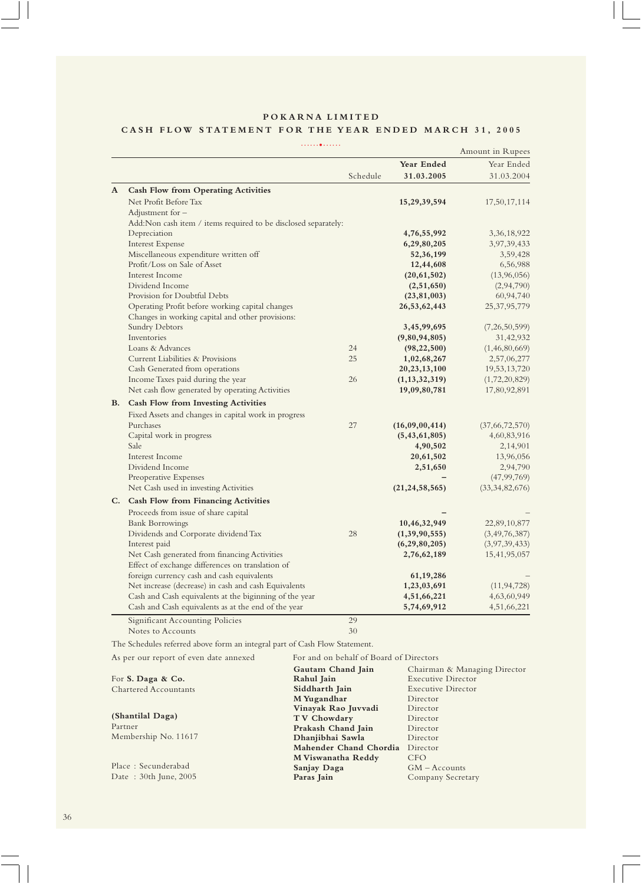# **POKARNA LIMITED**

## **CASH FLOW STATEMENT FOR THE YEAR ENDED MARCH 31, 2005**

|           | . <b>.</b>                                                     |          |                   | Amount in Rupees |
|-----------|----------------------------------------------------------------|----------|-------------------|------------------|
|           |                                                                |          | Year Ended        | Year Ended       |
|           |                                                                | Schedule | 31.03.2005        | 31.03.2004       |
| A         | <b>Cash Flow from Operating Activities</b>                     |          |                   |                  |
|           | Net Profit Before Tax                                          |          | 15,29,39,594      | 17,50,17,114     |
|           | Adjustment for -                                               |          |                   |                  |
|           | Add:Non cash item / items required to be disclosed separately: |          |                   |                  |
|           | Depreciation                                                   |          | 4,76,55,992       | 3, 36, 18, 922   |
|           | Interest Expense                                               |          | 6,29,80,205       | 3,97,39,433      |
|           | Miscellaneous expenditure written off                          |          | 52, 36, 199       | 3,59,428         |
|           | Profit/Loss on Sale of Asset                                   |          | 12,44,608         | 6,56,988         |
|           | Interest Income                                                |          | (20,61,502)       | (13,96,056)      |
|           | Dividend Income                                                |          | (2,51,650)        | (2, 94, 790)     |
|           | Provision for Doubtful Debts                                   |          | (23, 81, 003)     | 60,94,740        |
|           | Operating Profit before working capital changes                |          | 26, 53, 62, 443   | 25, 37, 95, 779  |
|           | Changes in working capital and other provisions:               |          |                   |                  |
|           | <b>Sundry Debtors</b>                                          |          | 3,45,99,695       | (7,26,50,599)    |
|           | Inventories                                                    |          | (9,80,94,805)     | 31,42,932        |
|           | Loans & Advances                                               | 24       | (98, 22, 500)     | (1,46,80,669)    |
|           | Current Liabilities & Provisions                               | 25       | 1,02,68,267       | 2,57,06,277      |
|           | Cash Generated from operations                                 |          | 20, 23, 13, 100   | 19,53,13,720     |
|           | Income Taxes paid during the year                              | 26       | (1, 13, 32, 319)  | (1,72,20,829)    |
|           | Net cash flow generated by operating Activities                |          | 19,09,80,781      | 17,80,92,891     |
| <b>B.</b> |                                                                |          |                   |                  |
|           | <b>Cash Flow from Investing Activities</b>                     |          |                   |                  |
|           | Fixed Assets and changes in capital work in progress           |          |                   |                  |
|           | Purchases                                                      | 27       | (16,09,00,414)    | (37,66,72,570)   |
|           | Capital work in progress                                       |          | (5,43,61,805)     | 4,60,83,916      |
|           | Sale                                                           |          | 4,90,502          | 2,14,901         |
|           | Interest Income                                                |          | 20,61,502         | 13,96,056        |
|           | Dividend Income                                                |          | 2,51,650          | 2,94,790         |
|           | Preoperative Expenses                                          |          |                   | (47, 99, 769)    |
|           | Net Cash used in investing Activities                          |          | (21, 24, 58, 565) | (33,34,82,676)   |
| C.        | <b>Cash Flow from Financing Activities</b>                     |          |                   |                  |
|           | Proceeds from issue of share capital                           |          |                   |                  |
|           | <b>Bank Borrowings</b>                                         |          | 10,46,32,949      | 22,89,10,877     |
|           | Dividends and Corporate dividend Tax                           | 28       | (1,39,90,555)     | (3, 49, 76, 387) |
|           | Interest paid                                                  |          | (6, 29, 80, 205)  | (3,97,39,433)    |
|           | Net Cash generated from financing Activities                   |          | 2,76,62,189       | 15,41,95,057     |
|           | Effect of exchange differences on translation of               |          |                   |                  |
|           | foreign currency cash and cash equivalents                     |          | 61, 19, 286       |                  |
|           | Net increase (decrease) in cash and cash Equivalents           |          | 1,23,03,691       | (11, 94, 728)    |
|           | Cash and Cash equivalents at the biginning of the year         |          | 4,51,66,221       | 4,63,60,949      |
|           | Cash and Cash equivalents as at the end of the year            |          | 5,74,69,912       | 4,51,66,221      |
|           | <b>Significant Accounting Policies</b>                         | 29       |                   |                  |

The Schedules referred above form an integral part of Cash Flow Statement.

For **S. Daga & Co.** Chartered Accountants **(Shantilal Daga)**

Partner Membership No. 11617

Place : Secunderabad Date : 30th June, 2005

Notes to Accounts 30

As per our report of even date annexed For and on behalf of Board of Directors

**Gautam Chand Jain** Chairman & Managing Director **Rahul Jain** Executive Director **Siddharth Jain** Executive Director **M Yugandhar** Director **Vinayak Rao Juvvadi** Director **T V Chowdary** Director **Prakash Chand Jain** Director **Dhanjibhai Sawla** Director **Mahender Chand Chordia** Director **M Viswanatha Reddy** CFO<br>**Sanjay Daga** GM – Accounts **Sanjay Daga** Paras Jain Company Secretary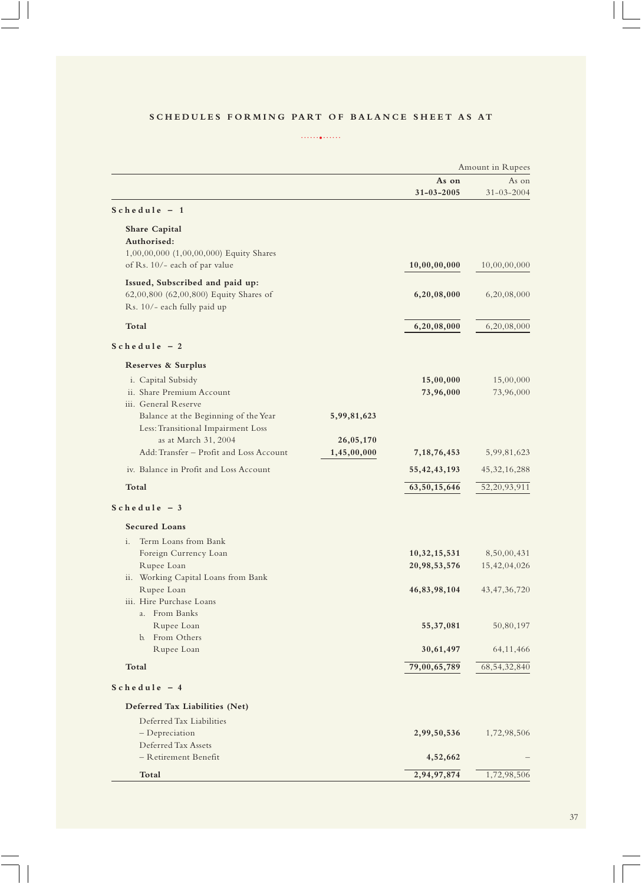# **SCHEDULES FORMING PART OF BALANCE SHEET AS AT**

#### ......•......

|                                                                            |             |                  | Amount in Rupees          |
|----------------------------------------------------------------------------|-------------|------------------|---------------------------|
|                                                                            |             | As on            | As on<br>$31 - 03 - 2004$ |
|                                                                            |             | $31 - 03 - 2005$ |                           |
| $Schedule - 1$                                                             |             |                  |                           |
| <b>Share Capital</b>                                                       |             |                  |                           |
| Authorised:<br>1,00,00,000 (1,00,00,000) Equity Shares                     |             |                  |                           |
| of Rs. 10/- each of par value                                              |             | 10,00,00,000     | 10,00,00,000              |
| Issued, Subscribed and paid up:                                            |             |                  |                           |
| 62,00,800 (62,00,800) Equity Shares of                                     |             | 6,20,08,000      | 6,20,08,000               |
| Rs. 10/- each fully paid up                                                |             |                  |                           |
| Total                                                                      |             | 6,20,08,000      |                           |
|                                                                            |             |                  | 6,20,08,000               |
| $Schedule - 2$                                                             |             |                  |                           |
| Reserves & Surplus                                                         |             |                  |                           |
| i. Capital Subsidy                                                         |             | 15,00,000        | 15,00,000                 |
| ii. Share Premium Account                                                  |             | 73,96,000        | 73,96,000                 |
| iii. General Reserve                                                       |             |                  |                           |
| Balance at the Beginning of the Year<br>Less: Transitional Impairment Loss | 5,99,81,623 |                  |                           |
| as at March 31, 2004                                                       | 26, 05, 170 |                  |                           |
| Add: Transfer - Profit and Loss Account                                    | 1,45,00,000 | 7, 18, 76, 453   | 5,99,81,623               |
| iv. Balance in Profit and Loss Account                                     |             | 55, 42, 43, 193  | 45, 32, 16, 288           |
| Total                                                                      |             | 63, 50, 15, 646  | 52, 20, 93, 911           |
| $Schedule - 3$                                                             |             |                  |                           |
| <b>Secured Loans</b>                                                       |             |                  |                           |
| Term Loans from Bank<br>$\mathbf{i}$ .                                     |             |                  |                           |
| Foreign Currency Loan                                                      |             | 10, 32, 15, 531  | 8,50,00,431               |
| Rupee Loan                                                                 |             | 20,98,53,576     | 15,42,04,026              |
| ii. Working Capital Loans from Bank                                        |             |                  |                           |
| Rupee Loan                                                                 |             | 46,83,98,104     | 43, 47, 36, 720           |
| iii. Hire Purchase Loans                                                   |             |                  |                           |
| a. From Banks<br>Rupee Loan                                                |             | 55, 37, 081      | 50,80,197                 |
| b. From Others                                                             |             |                  |                           |
| Rupee Loan                                                                 |             | 30,61,497        | 64, 11, 466               |
| Total                                                                      |             | 79,00,65,789     | 68, 54, 32, 840           |
| $Schedule - 4$                                                             |             |                  |                           |
| Deferred Tax Liabilities (Net)                                             |             |                  |                           |
| Deferred Tax Liabilities                                                   |             |                  |                           |
| - Depreciation                                                             |             | 2,99,50,536      | 1,72,98,506               |
| Deferred Tax Assets                                                        |             |                  |                           |
| - Retirement Benefit                                                       |             | 4,52,662         |                           |
| Total                                                                      |             | 2,94,97,874      | 1,72,98,506               |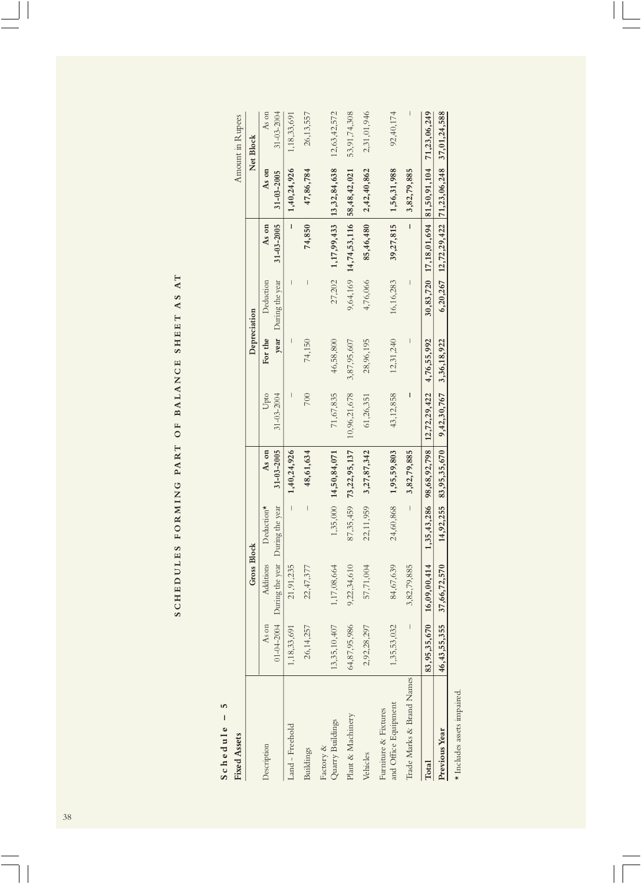| <b>Fixed Assets</b>                          |                                |                              |                                |                          |                                                     |                                |                          |                                    |                                                          | Amount in Rupees |
|----------------------------------------------|--------------------------------|------------------------------|--------------------------------|--------------------------|-----------------------------------------------------|--------------------------------|--------------------------|------------------------------------|----------------------------------------------------------|------------------|
|                                              |                                | Gross Block                  |                                |                          |                                                     | Depreciation                   |                          |                                    |                                                          | Net Block        |
| Description                                  | As on                          | Additions                    | Deduction*                     | As on                    | Upto                                                | For the                        | Deduction                | As on                              | As on                                                    | As on            |
|                                              |                                | $01-04-2004$ During the year | During the year                | $31 - 03 - 2005$         | $31 - 03 - 2004$                                    |                                | year During the year     | $31 - 03 - 2005$                   | 31-03-2005                                               | $31 - 03 - 2004$ |
| Land - Freehold                              | 1,18,33,691                    | 21,91,235                    | $\overline{\phantom{a}}$       | 1,40,24,926              |                                                     |                                |                          | I                                  | 1,40,24,926                                              | 1,18,33,691      |
| Buildings                                    | 26, 14, 257                    | 22,47,377                    | $\begin{array}{c} \end{array}$ | 48,61,634                | 700                                                 | 74,150                         |                          | 74,850                             | 47,86,784                                                | 26,13,557        |
| Quarry Buildings<br>Factory $\&$             | 13,35,10,407                   | 1,17,08,664                  |                                | $1,35,000$ 14,50,84,071  | 71,67,835                                           | 46,58,800                      | 27,202                   |                                    | $1,17,99,433$ 13,32,84,638                               | 12,63,42,572     |
| Plant & Machinery                            | 64,87,95,986                   | 9,22,34,610                  |                                | $87,35,459$ 73,22,95,137 | 10,96,21,678                                        | 3,87,95,607                    |                          | 9,64,169 14,74,53,116 58,48,42,021 |                                                          | 53,91,74,308     |
| Vehicles                                     | 2,92,28,297                    | 57,71,004                    | 22,11,959                      | 3,27,87,342              | 61,26,351                                           | 28,96,195                      | 4,76,066                 | 85,46,480                          | 2,42,40,862                                              | 2,31,01,946      |
| and Office Equipment<br>Furniture & Fixtures | 1,35,53,032                    | 84,67,639                    |                                | 24,60,868 1,95,59,803    | 43,12,858                                           | 12,31,240                      | 16,16,283                | 39,27,815                          | 1,56,31,988                                              | 92,40,174        |
| Trade Marks & Brand Names                    | $\begin{array}{c} \end{array}$ | 3,82,79,885                  | $\mid$                         | 3,82,79,885              | I                                                   | $\begin{array}{c} \end{array}$ | $\overline{\phantom{a}}$ | I                                  | 3,82,79,885                                              | $\mid$           |
| Total                                        |                                | $83,95,35,670$ 16,09,00,414  |                                |                          | $1,35,43,286$ 98,68,92,798 12,72,29,422 4,76,55,992 |                                |                          |                                    | $30,83,720$ $17,18,01,694$ $81,50,91,104$ $71,23,06,249$ |                  |
| Previous Year                                | 46, 43, 55, 355                | 37,66,72,570                 |                                | 14,92,255 83,95,35,670   | $9,42,30,767$ 3,36,18,922                           |                                |                          |                                    | $6,20,267$ $12,72,29,422$ $71,23,06,248$ $37,01,24,588$  |                  |
| * Includes assets impaired.                  |                                |                              |                                |                          |                                                     |                                |                          |                                    |                                                          |                  |

SCHEDULES FORMING PART OF BALANCE SHEET AS AT **SCHEDULES FORMING PART OF BALANCE SHEET AS AT**

**Schedule – 5**

 $Schedule - 5$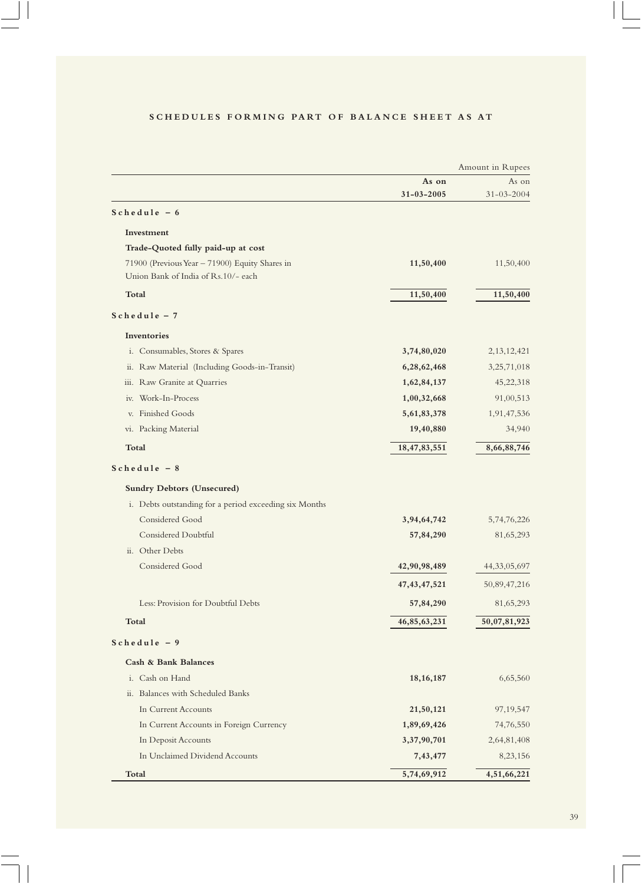|                                                                                       |                  | Amount in Rupees |
|---------------------------------------------------------------------------------------|------------------|------------------|
|                                                                                       | As on            | As on            |
|                                                                                       | $31 - 03 - 2005$ | $31 - 03 - 2004$ |
| $Schedule - 6$                                                                        |                  |                  |
| Investment                                                                            |                  |                  |
| Trade-Quoted fully paid-up at cost                                                    |                  |                  |
| 71900 (Previous Year - 71900) Equity Shares in<br>Union Bank of India of Rs.10/- each | 11,50,400        | 11,50,400        |
| Total                                                                                 | 11,50,400        | 11,50,400        |
| $S$ chedule - 7                                                                       |                  |                  |
| Inventories                                                                           |                  |                  |
| i. Consumables, Stores & Spares                                                       | 3,74,80,020      | 2, 13, 12, 421   |
| ii. Raw Material (Including Goods-in-Transit)                                         | 6,28,62,468      | 3,25,71,018      |
| iii. Raw Granite at Quarries                                                          | 1,62,84,137      | 45,22,318        |
| iv. Work-In-Process                                                                   | 1,00,32,668      | 91,00,513        |
| v. Finished Goods                                                                     | 5, 61, 83, 378   | 1,91,47,536      |
| vi. Packing Material                                                                  | 19,40,880        | 34,940           |
| Total                                                                                 | 18,47,83,551     | 8,66,88,746      |
| $Schedule - 8$                                                                        |                  |                  |
| <b>Sundry Debtors (Unsecured)</b>                                                     |                  |                  |
| i. Debts outstanding for a period exceeding six Months                                |                  |                  |
| Considered Good                                                                       | 3,94,64,742      | 5,74,76,226      |
| Considered Doubtful                                                                   | 57,84,290        | 81,65,293        |
| ii. Other Debts                                                                       |                  |                  |
| Considered Good                                                                       | 42,90,98,489     | 44, 33, 05, 697  |
|                                                                                       | 47, 43, 47, 521  | 50,89,47,216     |
| Less: Provision for Doubtful Debts                                                    | 57,84,290        | 81,65,293        |
| <b>Total</b>                                                                          | 46,85,63,231     | 50,07,81,923     |
| $Schedule - 9$                                                                        |                  |                  |
| <b>Cash &amp; Bank Balances</b>                                                       |                  |                  |
| i. Cash on Hand                                                                       | 18, 16, 187      | 6,65,560         |
| ii. Balances with Scheduled Banks                                                     |                  |                  |
| In Current Accounts                                                                   | 21,50,121        | 97, 19, 547      |
| In Current Accounts in Foreign Currency                                               | 1,89,69,426      | 74,76,550        |
| In Deposit Accounts                                                                   | 3,37,90,701      | 2,64,81,408      |
| In Unclaimed Dividend Accounts                                                        | 7,43,477         | 8, 23, 156       |
| <b>Total</b>                                                                          | 5,74,69,912      | 4,51,66,221      |

# **SCHEDULES FORMING PART OF BALANCE SHEET AS AT**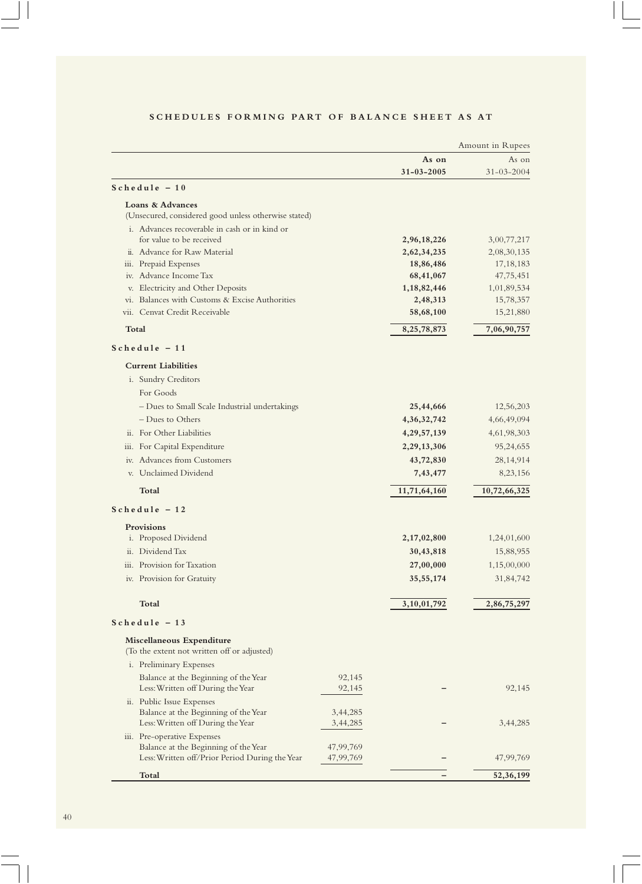|                                                                           |           |                | Amount in Rupees |
|---------------------------------------------------------------------------|-----------|----------------|------------------|
|                                                                           |           | As on          | As on            |
|                                                                           |           | 31-03-2005     | $31 - 03 - 2004$ |
| $Schedule - 10$                                                           |           |                |                  |
| Loans & Advances                                                          |           |                |                  |
| (Unsecured, considered good unless otherwise stated)                      |           |                |                  |
| i. Advances recoverable in cash or in kind or<br>for value to be received |           | 2,96,18,226    | 3,00,77,217      |
| ii. Advance for Raw Material                                              |           | 2,62,34,235    | 2,08,30,135      |
| iii. Prepaid Expenses                                                     |           | 18,86,486      | 17, 18, 183      |
| iv. Advance Income Tax                                                    |           | 68,41,067      | 47,75,451        |
| v. Electricity and Other Deposits                                         |           | 1,18,82,446    | 1,01,89,534      |
| vi. Balances with Customs & Excise Authorities                            |           | 2,48,313       | 15,78,357        |
| vii. Cenvat Credit Receivable                                             |           | 58,68,100      | 15,21,880        |
| <b>Total</b>                                                              |           | 8, 25, 78, 873 | 7,06,90,757      |
| $Schedule - 11$                                                           |           |                |                  |
| <b>Current Liabilities</b>                                                |           |                |                  |
| i. Sundry Creditors                                                       |           |                |                  |
| For Goods                                                                 |           |                |                  |
| - Dues to Small Scale Industrial undertakings                             |           | 25,44,666      | 12,56,203        |
| $-D$ ues to Others                                                        |           | 4, 36, 32, 742 | 4,66,49,094      |
| ii. For Other Liabilities                                                 |           | 4,29,57,139    | 4,61,98,303      |
| iii. For Capital Expenditure                                              |           | 2,29,13,306    | 95,24,655        |
| iv. Advances from Customers                                               |           | 43,72,830      | 28, 14, 914      |
| v. Unclaimed Dividend                                                     |           | 7,43,477       | 8,23,156         |
| Total                                                                     |           | 11,71,64,160   | 10,72,66,325     |
| $Schedule - 12$                                                           |           |                |                  |
| Provisions                                                                |           |                |                  |
| i. Proposed Dividend                                                      |           | 2,17,02,800    | 1,24,01,600      |
| ii. Dividend Tax                                                          |           | 30,43,818      | 15,88,955        |
| iii. Provision for Taxation                                               |           | 27,00,000      | 1,15,00,000      |
| iv. Provision for Gratuity                                                |           | 35, 55, 174    | 31,84,742        |
| Total                                                                     |           | 3, 10, 01, 792 | 2,86,75,297      |
| $Schedule - 13$                                                           |           |                |                  |
| Miscellaneous Expenditure<br>(To the extent not written off or adjusted)  |           |                |                  |
| i. Preliminary Expenses                                                   |           |                |                  |
| Balance at the Beginning of the Year                                      | 92,145    |                |                  |
| Less: Written off During the Year                                         | 92,145    |                | 92,145           |
| ii. Public Issue Expenses                                                 |           |                |                  |
| Balance at the Beginning of the Year                                      | 3,44,285  |                |                  |
| Less: Written off During the Year                                         | 3,44,285  |                | 3,44,285         |
| iii. Pre-operative Expenses<br>Balance at the Beginning of the Year       | 47,99,769 |                |                  |
| Less: Written off/Prior Period During the Year                            | 47,99,769 |                | 47,99,769        |
| Total                                                                     |           |                | 52, 36, 199      |

# **SCHEDULES FORMING PART OF BALANCE SHEET AS AT**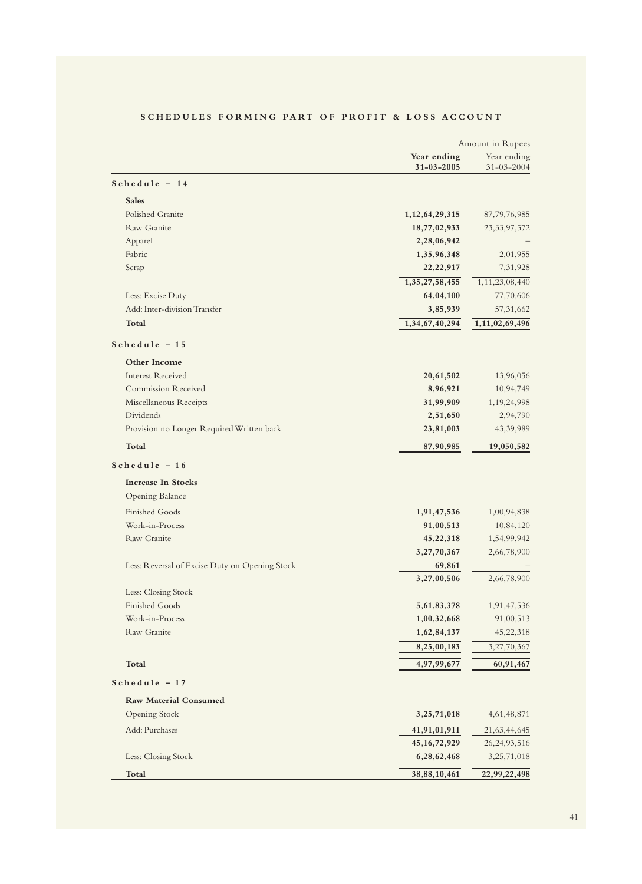|                                                | Amount in Rupees   |                  |
|------------------------------------------------|--------------------|------------------|
|                                                | Year ending        | Year ending      |
| $Schedule - 14$                                | 31-03-2005         | $31 - 03 - 2004$ |
|                                                |                    |                  |
| <b>Sales</b>                                   |                    |                  |
| Polished Granite                               | 1, 12, 64, 29, 315 | 87,79,76,985     |
| Raw Granite                                    | 18,77,02,933       | 23, 33, 97, 572  |
| Apparel                                        | 2,28,06,942        |                  |
| Fabric                                         | 1,35,96,348        | 2,01,955         |
| Scrap                                          | 22, 22, 917        | 7,31,928         |
|                                                | 1,35,27,58,455     | 1,11,23,08,440   |
| Less: Excise Duty                              | 64,04,100          | 77,70,606        |
| Add: Inter-division Transfer                   | 3,85,939           | 57, 31, 662      |
| <b>Total</b>                                   | 1,34,67,40,294     | 1,11,02,69,496   |
| $Schedule - 15$                                |                    |                  |
| Other Income                                   |                    |                  |
| <b>Interest Received</b>                       | 20,61,502          | 13,96,056        |
| Commission Received                            | 8,96,921           | 10,94,749        |
| Miscellaneous Receipts                         | 31,99,909          | 1,19,24,998      |
| Dividends                                      | 2,51,650           | 2,94,790         |
| Provision no Longer Required Written back      | 23,81,003          | 43,39,989        |
| <b>Total</b>                                   | 87,90,985          | 19,050,582       |
| $Schedule - 16$                                |                    |                  |
| <b>Increase In Stocks</b>                      |                    |                  |
| Opening Balance                                |                    |                  |
| Finished Goods                                 | 1,91,47,536        | 1,00,94,838      |
| Work-in-Process                                | 91,00,513          | 10,84,120        |
| Raw Granite                                    | 45,22,318          | 1,54,99,942      |
|                                                | 3,27,70,367        | 2,66,78,900      |
| Less: Reversal of Excise Duty on Opening Stock | 69,861             |                  |
|                                                | 3,27,00,506        | 2,66,78,900      |
| Less: Closing Stock                            |                    |                  |
| Finished Goods                                 | 5,61,83,378        | 1,91,47,536      |
| Work-in-Process                                | 1,00,32,668        | 91,00,513        |
| Raw Granite                                    | 1,62,84,137        | 45,22,318        |
|                                                | 8,25,00,183        | 3,27,70,367      |
| <b>Total</b>                                   | 4,97,99,677        | 60,91,467        |
| $Schedule - 17$                                |                    |                  |
| <b>Raw Material Consumed</b>                   |                    |                  |
| Opening Stock                                  | 3, 25, 71, 018     | 4,61,48,871      |
| Add: Purchases                                 | 41,91,01,911       | 21,63,44,645     |
|                                                | 45, 16, 72, 929    | 26, 24, 93, 516  |
| Less: Closing Stock                            | 6,28,62,468        | 3,25,71,018      |
| <b>Total</b>                                   | 38, 88, 10, 461    | 22,99,22,498     |

# **SCHEDULES FORMING PART OF PROFIT & LOSS ACCOUNT**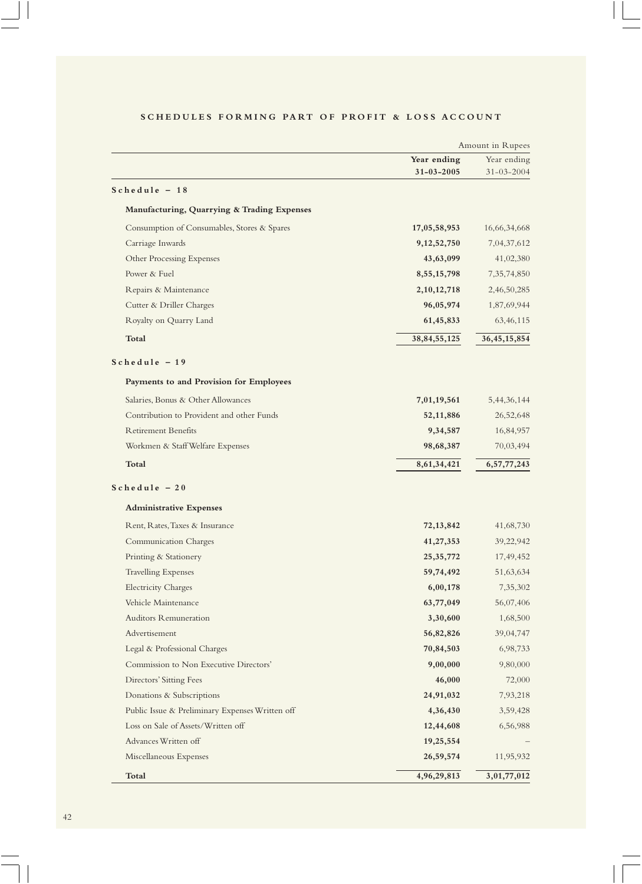|                                                 | Amount in Rupees |                  |
|-------------------------------------------------|------------------|------------------|
|                                                 | Year ending      | Year ending      |
|                                                 | $31 - 03 - 2005$ | $31 - 03 - 2004$ |
| $Schedule - 18$                                 |                  |                  |
| Manufacturing, Quarrying & Trading Expenses     |                  |                  |
| Consumption of Consumables, Stores & Spares     | 17,05,58,953     | 16,66,34,668     |
| Carriage Inwards                                | 9, 12, 52, 750   | 7,04,37,612      |
| Other Processing Expenses                       | 43,63,099        | 41,02,380        |
| Power & Fuel                                    | 8, 55, 15, 798   | 7, 35, 74, 850   |
| Repairs & Maintenance                           | 2, 10, 12, 718   | 2,46,50,285      |
| Cutter & Driller Charges                        | 96,05,974        | 1,87,69,944      |
| Royalty on Quarry Land                          | 61,45,833        | 63,46,115        |
| Total                                           | 38, 84, 55, 125  | 36, 45, 15, 854  |
|                                                 |                  |                  |
| $Schedule - 19$                                 |                  |                  |
| Payments to and Provision for Employees         |                  |                  |
| Salaries, Bonus & Other Allowances              | 7,01,19,561      | 5, 44, 36, 144   |
| Contribution to Provident and other Funds       | 52, 11, 886      | 26,52,648        |
| <b>Retirement Benefits</b>                      | 9,34,587         | 16,84,957        |
| Workmen & Staff Welfare Expenses                | 98,68,387        | 70,03,494        |
| Total                                           | 8,61,34,421      | 6, 57, 77, 243   |
| $Schedule - 20$                                 |                  |                  |
| <b>Administrative Expenses</b>                  |                  |                  |
| Rent, Rates, Taxes & Insurance                  | 72, 13, 842      | 41,68,730        |
| <b>Communication Charges</b>                    | 41,27,353        | 39,22,942        |
| Printing & Stationery                           | 25, 35, 772      | 17,49,452        |
| <b>Travelling Expenses</b>                      | 59,74,492        | 51,63,634        |
| <b>Electricity Charges</b>                      | 6,00,178         | 7,35,302         |
| Vehicle Maintenance                             | 63,77,049        | 56,07,406        |
| <b>Auditors Remuneration</b>                    | 3,30,600         | 1,68,500         |
| Advertisement                                   | 56,82,826        | 39,04,747        |
| Legal & Professional Charges                    | 70,84,503        | 6,98,733         |
| Commission to Non Executive Directors'          | 9,00,000         | 9,80,000         |
| Directors' Sitting Fees                         | 46,000           | 72,000           |
| Donations & Subscriptions                       | 24,91,032        | 7,93,218         |
| Public Issue & Preliminary Expenses Written off | 4,36,430         | 3,59,428         |
| Loss on Sale of Assets/Written off              | 12,44,608        | 6,56,988         |
| Advances Written off                            | 19,25,554        |                  |
| Miscellaneous Expenses                          | 26,59,574        | 11,95,932        |
| Total                                           | 4,96,29,813      | 3,01,77,012      |

# **SCHEDULES FORMING PART OF PROFIT & LOSS ACCOUNT**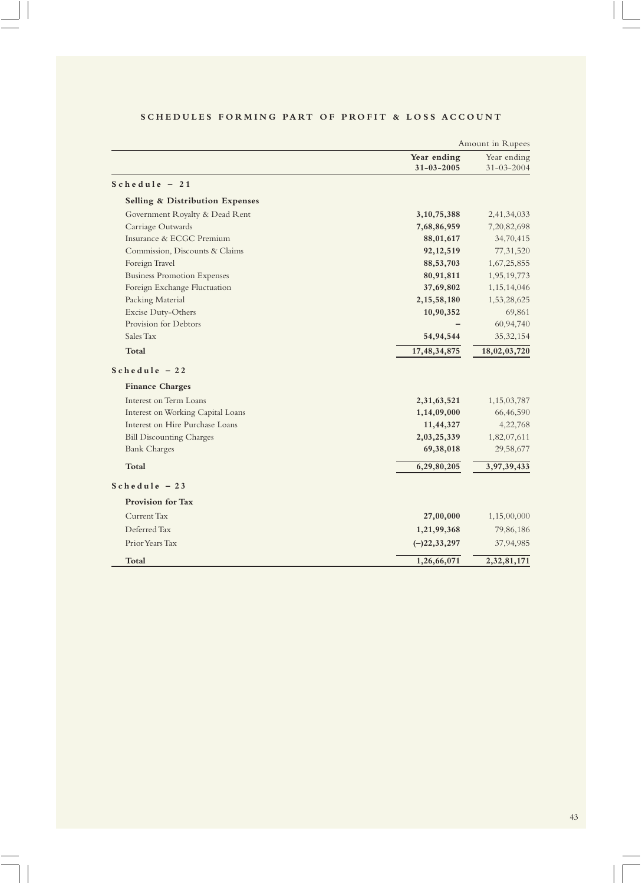|                                    | Amount in Rupees                |                                 |
|------------------------------------|---------------------------------|---------------------------------|
|                                    | Year ending<br>$31 - 03 - 2005$ | Year ending<br>$31 - 03 - 2004$ |
| $Schedule - 21$                    |                                 |                                 |
| Selling & Distribution Expenses    |                                 |                                 |
| Government Royalty & Dead Rent     | 3, 10, 75, 388                  | 2,41,34,033                     |
| Carriage Outwards                  | 7,68,86,959                     | 7,20,82,698                     |
| Insurance & ECGC Premium           | 88,01,617                       | 34,70,415                       |
| Commission, Discounts & Claims     | 92, 12, 519                     | 77,31,520                       |
| Foreign Travel                     | 88, 53, 703                     | 1,67,25,855                     |
| <b>Business Promotion Expenses</b> | 80,91,811                       | 1,95,19,773                     |
| Foreign Exchange Fluctuation       | 37,69,802                       | 1, 15, 14, 046                  |
| Packing Material                   | 2, 15, 58, 180                  | 1,53,28,625                     |
| Excise Duty-Others                 | 10,90,352                       | 69,861                          |
| Provision for Debtors              |                                 | 60,94,740                       |
| Sales Tax                          | 54,94,544                       | 35, 32, 154                     |
| Total                              | 17, 48, 34, 875                 | 18,02,03,720                    |
| $Schedule - 22$                    |                                 |                                 |
| <b>Finance Charges</b>             |                                 |                                 |
| Interest on Term Loans             | 2,31,63,521                     | 1,15,03,787                     |
| Interest on Working Capital Loans  | 1,14,09,000                     | 66,46,590                       |
| Interest on Hire Purchase Loans    | 11,44,327                       | 4,22,768                        |
| <b>Bill Discounting Charges</b>    | 2,03,25,339                     | 1,82,07,611                     |
| <b>Bank Charges</b>                | 69,38,018                       | 29,58,677                       |
| Total                              | 6,29,80,205                     | 3,97,39,433                     |
| $Schedule - 23$                    |                                 |                                 |
| <b>Provision for Tax</b>           |                                 |                                 |
| <b>Current Tax</b>                 | 27,00,000                       | 1,15,00,000                     |
| Deferred Tax                       | 1,21,99,368                     | 79,86,186                       |
| Prior Years Tax                    | $(-)22,33,297$                  | 37,94,985                       |
| Total                              | 1,26,66,071                     | 2,32,81,171                     |

# **SCHEDULES FORMING PART OF PROFIT & LOSS ACCOUNT**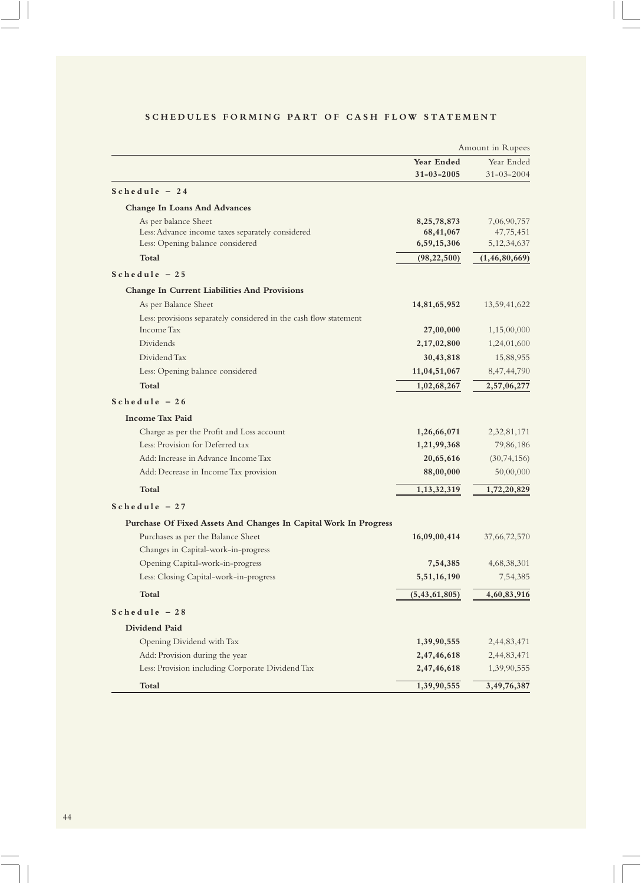|                                                                   | Amount in Rupees |                  |  |
|-------------------------------------------------------------------|------------------|------------------|--|
|                                                                   | Year Ended       | Year Ended       |  |
|                                                                   | $31 - 03 - 2005$ | $31 - 03 - 2004$ |  |
| $Schedule - 24$                                                   |                  |                  |  |
| <b>Change In Loans And Advances</b>                               |                  |                  |  |
| As per balance Sheet                                              | 8, 25, 78, 873   | 7,06,90,757      |  |
| Less: Advance income taxes separately considered                  | 68,41,067        | 47,75,451        |  |
| Less: Opening balance considered                                  | 6,59,15,306      | 5, 12, 34, 637   |  |
| Total                                                             | (98, 22, 500)    | (1,46,80,669)    |  |
| $S$ chedule - 25                                                  |                  |                  |  |
| <b>Change In Current Liabilities And Provisions</b>               |                  |                  |  |
| As per Balance Sheet                                              | 14,81,65,952     | 13,59,41,622     |  |
| Less: provisions separately considered in the cash flow statement |                  |                  |  |
| Income Tax                                                        | 27,00,000        | 1,15,00,000      |  |
| Dividends                                                         | 2,17,02,800      | 1,24,01,600      |  |
| Dividend Tax                                                      | 30,43,818        | 15,88,955        |  |
| Less: Opening balance considered                                  | 11,04,51,067     | 8, 47, 44, 790   |  |
| Total                                                             | 1,02,68,267      | 2,57,06,277      |  |
| $Schedule - 26$                                                   |                  |                  |  |
| <b>Income Tax Paid</b>                                            |                  |                  |  |
| Charge as per the Profit and Loss account                         | 1,26,66,071      | 2,32,81,171      |  |
| Less: Provision for Deferred tax                                  | 1,21,99,368      | 79,86,186        |  |
| Add: Increase in Advance Income Tax                               | 20,65,616        | (30,74,156)      |  |
| Add: Decrease in Income Tax provision                             | 88,00,000        | 50,00,000        |  |
| Total                                                             | 1,13,32,319      | 1,72,20,829      |  |
| $Schedule - 27$                                                   |                  |                  |  |
| Purchase Of Fixed Assets And Changes In Capital Work In Progress  |                  |                  |  |
| Purchases as per the Balance Sheet                                | 16,09,00,414     | 37,66,72,570     |  |
| Changes in Capital-work-in-progress                               |                  |                  |  |
| Opening Capital-work-in-progress                                  | 7,54,385         | 4,68,38,301      |  |
| Less: Closing Capital-work-in-progress                            | 5,51,16,190      | 7,54,385         |  |
| Total                                                             | (5,43,61,805)    | 4,60,83,916      |  |
| $Schedule - 28$                                                   |                  |                  |  |
| Dividend Paid                                                     |                  |                  |  |
| Opening Dividend with Tax                                         | 1,39,90,555      | 2,44,83,471      |  |
| Add: Provision during the year                                    | 2,47,46,618      | 2,44,83,471      |  |
| Less: Provision including Corporate Dividend Tax                  | 2,47,46,618      | 1,39,90,555      |  |
| <b>Total</b>                                                      | 1,39,90,555      | 3,49,76,387      |  |

# **SCHEDULES FORMING PART OF CASH FLOW STATEMENT**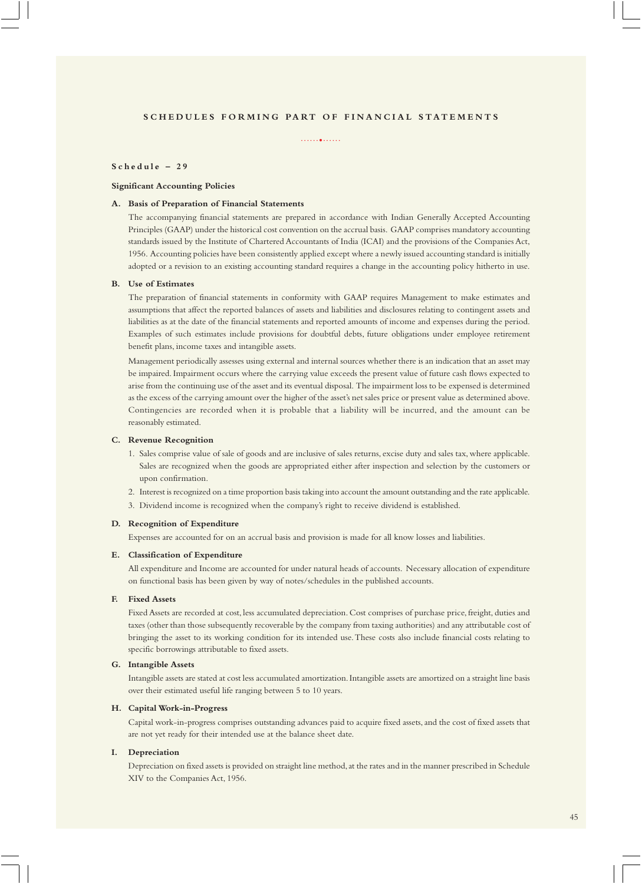......•......

#### **Schedule – 29**

#### **Significant Accounting Policies**

#### **A. Basis of Preparation of Financial Statements**

The accompanying financial statements are prepared in accordance with Indian Generally Accepted Accounting Principles (GAAP) under the historical cost convention on the accrual basis. GAAP comprises mandatory accounting standards issued by the Institute of Chartered Accountants of India (ICAI) and the provisions of the Companies Act, 1956. Accounting policies have been consistently applied except where a newly issued accounting standard is initially adopted or a revision to an existing accounting standard requires a change in the accounting policy hitherto in use.

#### **B. Use of Estimates**

The preparation of financial statements in conformity with GAAP requires Management to make estimates and assumptions that affect the reported balances of assets and liabilities and disclosures relating to contingent assets and liabilities as at the date of the financial statements and reported amounts of income and expenses during the period. Examples of such estimates include provisions for doubtful debts, future obligations under employee retirement benefit plans, income taxes and intangible assets.

Management periodically assesses using external and internal sources whether there is an indication that an asset may be impaired. Impairment occurs where the carrying value exceeds the present value of future cash flows expected to arise from the continuing use of the asset and its eventual disposal. The impairment loss to be expensed is determined as the excess of the carrying amount over the higher of the asset's net sales price or present value as determined above. Contingencies are recorded when it is probable that a liability will be incurred, and the amount can be reasonably estimated.

#### **C. Revenue Recognition**

- 1. Sales comprise value of sale of goods and are inclusive of sales returns, excise duty and sales tax, where applicable. Sales are recognized when the goods are appropriated either after inspection and selection by the customers or upon confirmation.
- 2. Interest is recognized on a time proportion basis taking into account the amount outstanding and the rate applicable.
- 3. Dividend income is recognized when the company's right to receive dividend is established.

#### **D. Recognition of Expenditure**

Expenses are accounted for on an accrual basis and provision is made for all know losses and liabilities.

#### **E. Classification of Expenditure**

All expenditure and Income are accounted for under natural heads of accounts. Necessary allocation of expenditure on functional basis has been given by way of notes/schedules in the published accounts.

#### **F. Fixed Assets**

Fixed Assets are recorded at cost, less accumulated depreciation. Cost comprises of purchase price, freight, duties and taxes (other than those subsequently recoverable by the company from taxing authorities) and any attributable cost of bringing the asset to its working condition for its intended use. These costs also include financial costs relating to specific borrowings attributable to fixed assets.

#### **G. Intangible Assets**

Intangible assets are stated at cost less accumulated amortization. Intangible assets are amortized on a straight line basis over their estimated useful life ranging between 5 to 10 years.

#### **H. Capital Work-in-Progress**

Capital work-in-progress comprises outstanding advances paid to acquire fixed assets, and the cost of fixed assets that are not yet ready for their intended use at the balance sheet date.

#### **I. Depreciation**

Depreciation on fixed assets is provided on straight line method, at the rates and in the manner prescribed in Schedule XIV to the Companies Act, 1956.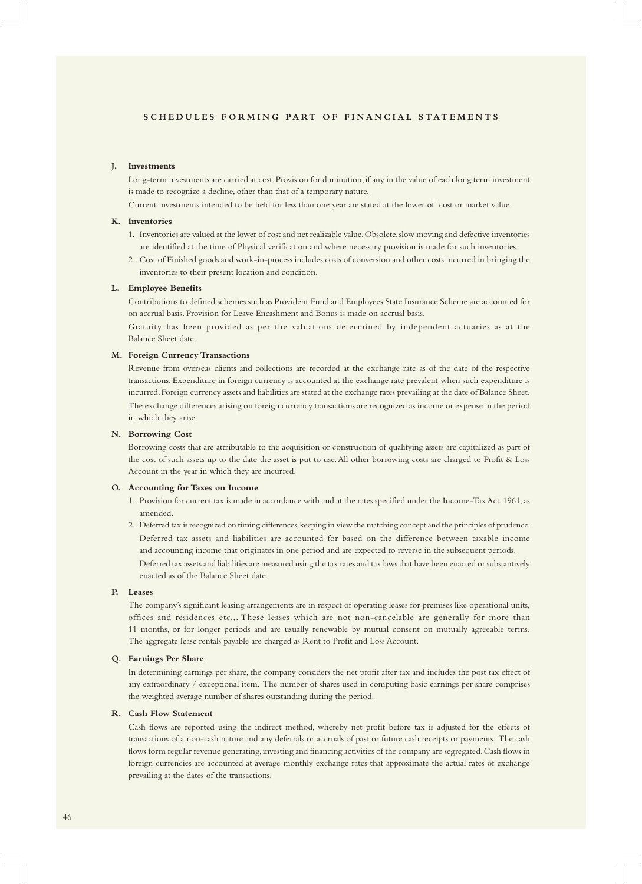#### **J. Investments**

Long-term investments are carried at cost. Provision for diminution, if any in the value of each long term investment is made to recognize a decline, other than that of a temporary nature.

Current investments intended to be held for less than one year are stated at the lower of cost or market value.

#### **K. Inventories**

- 1. Inventories are valued at the lower of cost and net realizable value. Obsolete, slow moving and defective inventories are identified at the time of Physical verification and where necessary provision is made for such inventories.
- 2. Cost of Finished goods and work-in-process includes costs of conversion and other costs incurred in bringing the inventories to their present location and condition.

#### **L. Employee Benefits**

Contributions to defined schemes such as Provident Fund and Employees State Insurance Scheme are accounted for on accrual basis. Provision for Leave Encashment and Bonus is made on accrual basis.

Gratuity has been provided as per the valuations determined by independent actuaries as at the Balance Sheet date.

### **M. Foreign Currency Transactions**

Revenue from overseas clients and collections are recorded at the exchange rate as of the date of the respective transactions. Expenditure in foreign currency is accounted at the exchange rate prevalent when such expenditure is incurred. Foreign currency assets and liabilities are stated at the exchange rates prevailing at the date of Balance Sheet. The exchange differences arising on foreign currency transactions are recognized as income or expense in the period in which they arise.

#### **N. Borrowing Cost**

Borrowing costs that are attributable to the acquisition or construction of qualifying assets are capitalized as part of the cost of such assets up to the date the asset is put to use. All other borrowing costs are charged to Profit & Loss Account in the year in which they are incurred.

#### **O. Accounting for Taxes on Income**

enacted as of the Balance Sheet date.

- 1. Provision for current tax is made in accordance with and at the rates specified under the Income-Tax Act, 1961, as amended.
- 2. Deferred tax is recognized on timing differences, keeping in view the matching concept and the principles of prudence. Deferred tax assets and liabilities are accounted for based on the difference between taxable income and accounting income that originates in one period and are expected to reverse in the subsequent periods. Deferred tax assets and liabilities are measured using the tax rates and tax laws that have been enacted or substantively

# **P. Leases**

The company's significant leasing arrangements are in respect of operating leases for premises like operational units, offices and residences etc.,. These leases which are not non-cancelable are generally for more than 11 months, or for longer periods and are usually renewable by mutual consent on mutually agreeable terms. The aggregate lease rentals payable are charged as Rent to Profit and Loss Account.

#### **Q. Earnings Per Share**

In determining earnings per share, the company considers the net profit after tax and includes the post tax effect of any extraordinary / exceptional item. The number of shares used in computing basic earnings per share comprises the weighted average number of shares outstanding during the period.

#### **R. Cash Flow Statement**

Cash flows are reported using the indirect method, whereby net profit before tax is adjusted for the effects of transactions of a non-cash nature and any deferrals or accruals of past or future cash receipts or payments. The cash flows form regular revenue generating, investing and financing activities of the company are segregated. Cash flows in foreign currencies are accounted at average monthly exchange rates that approximate the actual rates of exchange prevailing at the dates of the transactions.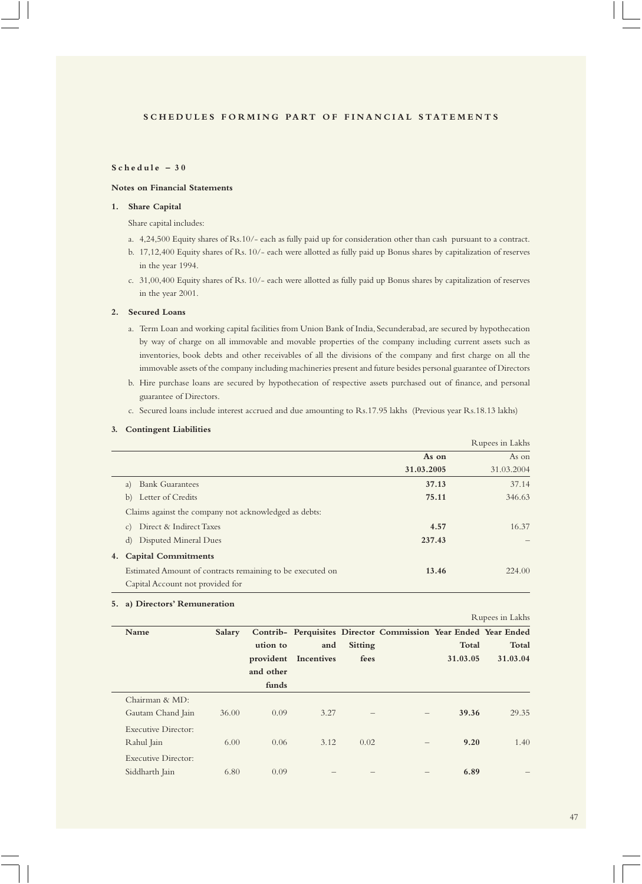## $S$  c h e d u l e  $-30$

### **Notes on Financial Statements**

### **1. Share Capital**

Share capital includes:

- a. 4,24,500 Equity shares of Rs.10/- each as fully paid up for consideration other than cash pursuant to a contract.
- b. 17,12,400 Equity shares of Rs. 10/- each were allotted as fully paid up Bonus shares by capitalization of reserves in the year 1994.
- c. 31,00,400 Equity shares of Rs. 10/- each were allotted as fully paid up Bonus shares by capitalization of reserves in the year 2001.

### **2. Secured Loans**

- a. Term Loan and working capital facilities from Union Bank of India, Secunderabad, are secured by hypothecation by way of charge on all immovable and movable properties of the company including current assets such as inventories, book debts and other receivables of all the divisions of the company and first charge on all the immovable assets of the company including machineries present and future besides personal guarantee of Directors
- b. Hire purchase loans are secured by hypothecation of respective assets purchased out of finance, and personal guarantee of Directors.
- c. Secured loans include interest accrued and due amounting to Rs.17.95 lakhs (Previous year Rs.18.13 lakhs)

### **3. Contingent Liabilities**

|            | Rupees in Lakhs |
|------------|-----------------|
| As on      | As on           |
| 31.03.2005 | 31.03.2004      |
| 37.13      | 37.14           |
| 75.11      | 346.63          |
|            |                 |
| 4.57       | 16.37           |
| 237.43     |                 |
|            |                 |
| 13.46      | 224.00          |
|            |                 |
|            |                 |

### **5. a) Directors' Remuneration**

Rupees in Lakhs

| Name                | <b>Salary</b> |           |                   |                          | Contrib- Perquisites Director Commission Year Ended Year Ended |          |          |
|---------------------|---------------|-----------|-------------------|--------------------------|----------------------------------------------------------------|----------|----------|
|                     |               | ution to  | and               | Sitting                  |                                                                | Total    | Total    |
|                     |               | provident | <b>Incentives</b> | fees                     |                                                                | 31.03.05 | 31.03.04 |
|                     |               | and other |                   |                          |                                                                |          |          |
|                     |               | funds     |                   |                          |                                                                |          |          |
| Chairman & MD:      |               |           |                   |                          |                                                                |          |          |
| Gautam Chand Jain   | 36.00         | 0.09      | 3.27              | $\overline{\phantom{a}}$ |                                                                | 39.36    | 29.35    |
| Executive Director: |               |           |                   |                          |                                                                |          |          |
| Rahul Jain          | 6.00          | 0.06      | 3.12              | 0.02                     |                                                                | 9.20     | 1.40     |
| Executive Director: |               |           |                   |                          |                                                                |          |          |
| Siddharth Jain      | 6.80          | 0.09      |                   |                          |                                                                | 6.89     |          |
|                     |               |           |                   |                          |                                                                |          |          |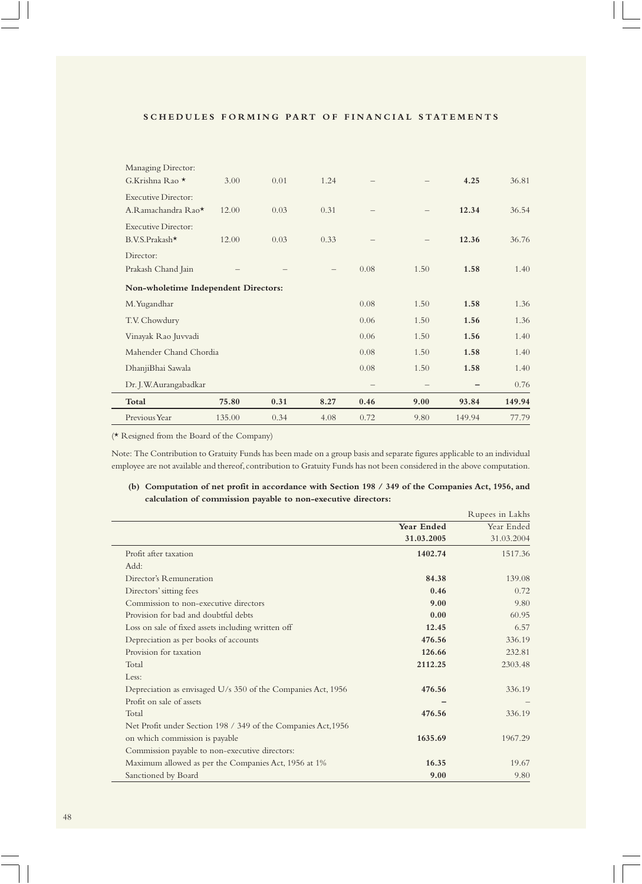| Previous Year                                    | 135.00 | 0.34 | 4.08 | 0.72 | 9.80 | 149.94 | 77.79  |
|--------------------------------------------------|--------|------|------|------|------|--------|--------|
| Total                                            | 75.80  | 0.31 | 8.27 | 0.46 | 9.00 | 93.84  | 149.94 |
| Dr. J.W.Aurangabadkar                            |        |      |      |      |      |        | 0.76   |
| DhanjiBhai Sawala                                |        |      |      | 0.08 | 1.50 | 1.58   | 1.40   |
| Mahender Chand Chordia                           |        |      |      | 0.08 | 1.50 | 1.58   | 1.40   |
| Vinayak Rao Juvvadi                              |        |      |      | 0.06 | 1.50 | 1.56   | 1.40   |
| T.V. Chowdury                                    |        |      |      | 0.06 | 1.50 | 1.56   | 1.36   |
| M. Yugandhar                                     |        |      |      | 0.08 | 1.50 | 1.58   | 1.36   |
| Non-wholetime Independent Directors:             |        |      |      |      |      |        |        |
| Prakash Chand Jain                               |        |      |      | 0.08 | 1.50 | 1.58   | 1.40   |
| Director:                                        |        |      |      |      |      |        |        |
| B.V.S.Prakash*                                   | 12.00  | 0.03 | 0.33 |      |      | 12.36  | 36.76  |
| <b>Executive Director:</b>                       |        |      |      |      |      |        |        |
| <b>Executive Director:</b><br>A.Ramachandra Rao* | 12.00  | 0.03 | 0.31 |      |      | 12.34  | 36.54  |
| Managing Director:<br>G.Krishna Rao $\star$      | 3.00   | 0.01 | 1.24 |      |      | 4.25   | 36.81  |

(\* Resigned from the Board of the Company)

 $\overline{a}$ 

Note: The Contribution to Gratuity Funds has been made on a group basis and separate figures applicable to an individual employee are not available and thereof, contribution to Gratuity Funds has not been considered in the above computation.

# **(b) Computation of net profit in accordance with Section 198 / 349 of the Companies Act, 1956, and calculation of commission payable to non-executive directors:**

|                                                               |            | Rupees in Lakhs |
|---------------------------------------------------------------|------------|-----------------|
|                                                               | Year Ended | Year Ended      |
|                                                               | 31.03.2005 | 31.03.2004      |
| Profit after taxation                                         | 1402.74    | 1517.36         |
| Add:                                                          |            |                 |
| Director's Remuneration                                       | 84.38      | 139.08          |
| Directors' sitting fees                                       | 0.46       | 0.72            |
| Commission to non-executive directors                         | 9.00       | 9.80            |
| Provision for bad and doubtful debts                          | 0.00       | 60.95           |
| Loss on sale of fixed assets including written off            | 12.45      | 6.57            |
| Depreciation as per books of accounts                         | 476.56     | 336.19          |
| Provision for taxation                                        | 126.66     | 232.81          |
| Total                                                         | 2112.25    | 2303.48         |
| Less:                                                         |            |                 |
| Depreciation as envisaged U/s 350 of the Companies Act, 1956  | 476.56     | 336.19          |
| Profit on sale of assets                                      |            |                 |
| Total                                                         | 476.56     | 336.19          |
| Net Profit under Section 198 / 349 of the Companies Act, 1956 |            |                 |
| on which commission is payable                                | 1635.69    | 1967.29         |
| Commission payable to non-executive directors:                |            |                 |
| Maximum allowed as per the Companies Act, 1956 at 1%          | 16.35      | 19.67           |
| Sanctioned by Board                                           | 9.00       | 9.80            |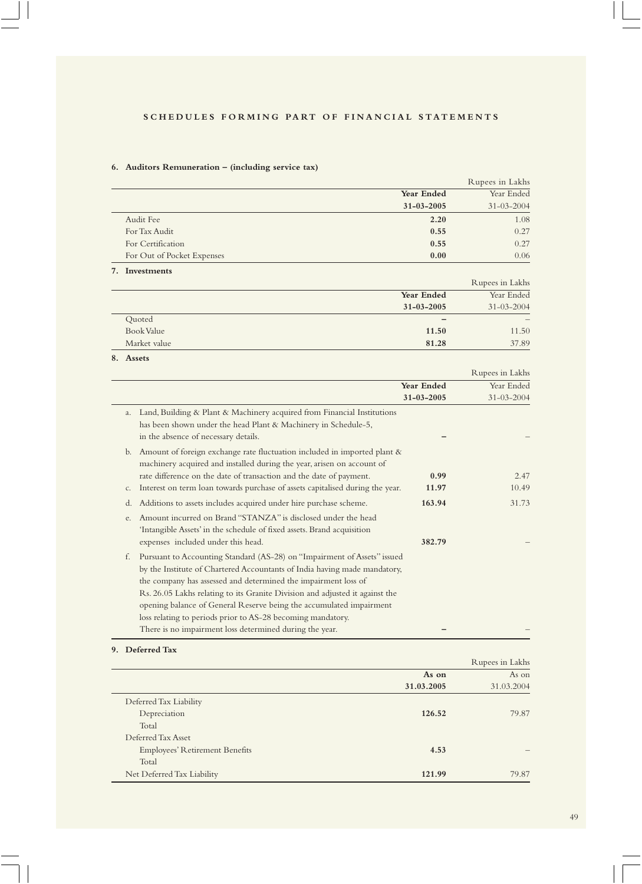# **6. Auditors Remuneration – (including service tax)**

|                            |                  | Rupees in Lakhs  |
|----------------------------|------------------|------------------|
|                            | Year Ended       | Year Ended       |
|                            | $31 - 03 - 2005$ | $31 - 03 - 2004$ |
| Audit Fee                  | 2.20             | 1.08             |
| For Tax Audit              | 0.55             | 0.27             |
| For Certification          | 0.55             | 0.27             |
| For Out of Pocket Expenses | 0.00             | 0.06             |

## **7. Investments**

|              |                   | Rupees in Lakhs  |
|--------------|-------------------|------------------|
|              | <b>Year Ended</b> | Year Ended       |
|              | $31 - 03 - 2005$  | $31 - 03 - 2004$ |
| Quoted       |                   |                  |
| Book Value   | 11.50             | 11.50            |
| Market value | 81.28             | 37.89            |
|              |                   |                  |

# **8. Assets**

|             |                                                                                                                                                                                                                                                                                                                                                                                                                                               |            | Rupees in Lakhs  |
|-------------|-----------------------------------------------------------------------------------------------------------------------------------------------------------------------------------------------------------------------------------------------------------------------------------------------------------------------------------------------------------------------------------------------------------------------------------------------|------------|------------------|
|             |                                                                                                                                                                                                                                                                                                                                                                                                                                               | Year Ended | Year Ended       |
|             |                                                                                                                                                                                                                                                                                                                                                                                                                                               | 31-03-2005 | $31 - 03 - 2004$ |
| $a_{\cdot}$ | Land, Building & Plant & Machinery acquired from Financial Institutions<br>has been shown under the head Plant & Machinery in Schedule-5,<br>in the absence of necessary details.                                                                                                                                                                                                                                                             |            |                  |
| b.          | Amount of foreign exchange rate fluctuation included in imported plant &<br>machinery acquired and installed during the year, arisen on account of<br>rate difference on the date of transaction and the date of payment.                                                                                                                                                                                                                     | 0.99       | 2.47             |
| $C_{\star}$ | Interest on term loan towards purchase of assets capitalised during the year.                                                                                                                                                                                                                                                                                                                                                                 | 11.97      | 10.49            |
| d.          | Additions to assets includes acquired under hire purchase scheme.                                                                                                                                                                                                                                                                                                                                                                             | 163.94     | 31.73            |
| e.          | Amount incurred on Brand "STANZA" is disclosed under the head<br>'Intangible Assets' in the schedule of fixed assets. Brand acquisition<br>expenses included under this head.                                                                                                                                                                                                                                                                 | 382.79     |                  |
| f.          | Pursuant to Accounting Standard (AS-28) on "Impairment of Assets" issued<br>by the Institute of Chartered Accountants of India having made mandatory,<br>the company has assessed and determined the impairment loss of<br>Rs. 26.05 Lakhs relating to its Granite Division and adjusted it against the<br>opening balance of General Reserve being the accumulated impairment<br>loss relating to periods prior to AS-28 becoming mandatory. |            |                  |
|             | There is no impairment loss determined during the year.                                                                                                                                                                                                                                                                                                                                                                                       |            |                  |

# **9. Deferred Tax**

| Rupees in Lakhs |            |
|-----------------|------------|
| As on           | As on      |
| 31.03.2005      | 31.03.2004 |
|                 |            |
| 126.52          | 79.87      |
|                 |            |
|                 |            |
| 4.53            |            |
|                 |            |
| 121.99          | 79.87      |
|                 |            |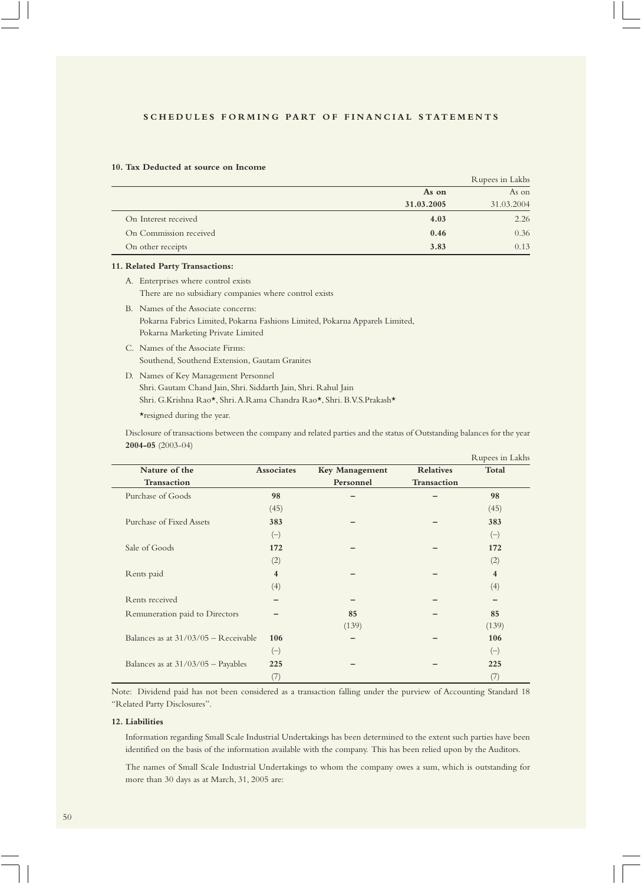## **10. Tax Deducted at source on Income**

|                        |            | Rupees in Lakhs |
|------------------------|------------|-----------------|
|                        | As on      | As on           |
|                        | 31.03.2005 | 31.03.2004      |
| On Interest received   | 4.03       | 2.26            |
| On Commission received | 0.46       | 0.36            |
| On other receipts      | 3.83       | 0.13            |

### **11. Related Party Transactions:**

- A. Enterprises where control exists There are no subsidiary companies where control exists
- B. Names of the Associate concerns: Pokarna Fabrics Limited, Pokarna Fashions Limited, Pokarna Apparels Limited, Pokarna Marketing Private Limited
- C. Names of the Associate Firms: Southend, Southend Extension, Gautam Granites
- D. Names of Key Management Personnel Shri. Gautam Chand Jain, Shri. Siddarth Jain, Shri. Rahul Jain Shri. G.Krishna Rao\*, Shri. A.Rama Chandra Rao\*, Shri. B.V.S.Prakash\* \*resigned during the year.

Disclosure of transactions between the company and related parties and the status of Outstanding balances for the year **2004-05** (2003-04)

|                                        |                         |                       |                  | Rupees in Lakhs |
|----------------------------------------|-------------------------|-----------------------|------------------|-----------------|
| Nature of the                          | Associates              | <b>Key Management</b> | <b>Relatives</b> | Total           |
| Transaction                            |                         | Personnel             | Transaction      |                 |
| Purchase of Goods                      | 98                      |                       |                  | 98              |
|                                        | (45)                    |                       |                  | (45)            |
| Purchase of Fixed Assets               | 383                     |                       |                  | 383             |
|                                        | $(-)$                   |                       |                  | $(-)$           |
| Sale of Goods                          | 172                     |                       |                  | 172             |
|                                        | (2)                     |                       |                  | (2)             |
| Rents paid                             | $\overline{\mathbf{4}}$ |                       |                  | $\overline{4}$  |
|                                        | (4)                     |                       |                  | (4)             |
| Rents received                         |                         |                       |                  |                 |
| Remuneration paid to Directors         |                         | 85                    |                  | 85              |
|                                        |                         | (139)                 |                  | (139)           |
| Balances as at $31/03/05$ – Receivable | 106                     |                       |                  | 106             |
|                                        | $(-)$                   |                       |                  | $(-)$           |
| Balances as at $31/03/05$ – Payables   | 225                     |                       |                  | 225             |
|                                        | (7)                     |                       |                  | (7)             |

Note: Dividend paid has not been considered as a transaction falling under the purview of Accounting Standard 18 "Related Party Disclosures".

### **12. Liabilities**

Information regarding Small Scale Industrial Undertakings has been determined to the extent such parties have been identified on the basis of the information available with the company. This has been relied upon by the Auditors.

The names of Small Scale Industrial Undertakings to whom the company owes a sum, which is outstanding for more than 30 days as at March, 31, 2005 are: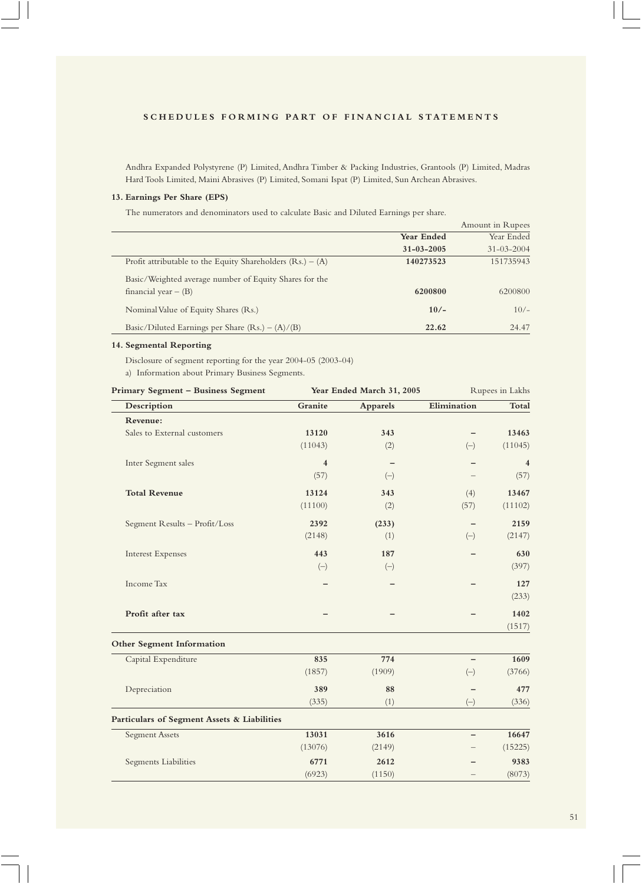Andhra Expanded Polystyrene (P) Limited, Andhra Timber & Packing Industries, Grantools (P) Limited, Madras Hard Tools Limited, Maini Abrasives (P) Limited, Somani Ispat (P) Limited, Sun Archean Abrasives.

## **13. Earnings Per Share (EPS)**

The numerators and denominators used to calculate Basic and Diluted Earnings per share.

|                                                              |                  | Amount in Rupees |
|--------------------------------------------------------------|------------------|------------------|
|                                                              | Year Ended       | Year Ended       |
|                                                              | $31 - 03 - 2005$ | $31 - 03 - 2004$ |
| Profit attributable to the Equity Shareholders $(Rs.) - (A)$ | 140273523        | 151735943        |
| Basic/Weighted average number of Equity Shares for the       |                  |                  |
| financial year $-$ (B)                                       | 6200800          | 6200800          |
| Nominal Value of Equity Shares (Rs.)                         | $10/-$           | $10/-$           |
| Basic/Diluted Earnings per Share $(Rs.) - (A)/(B)$           | 22.62            | 24.47            |

## **14. Segmental Reporting**

Disclosure of segment reporting for the year 2004-05 (2003-04) a) Information about Primary Business Segments.

| Primary Segment - Business Segment          |                         | Year Ended March 31, 2005 |             | Rupees in Lakhs         |  |  |
|---------------------------------------------|-------------------------|---------------------------|-------------|-------------------------|--|--|
| Description                                 | Granite                 | <b>Apparels</b>           | Elimination | Total                   |  |  |
| Revenue:                                    |                         |                           |             |                         |  |  |
| Sales to External customers                 | 13120                   | 343                       |             | 13463                   |  |  |
|                                             | (11043)                 | (2)                       | $(-)$       | (11045)                 |  |  |
| Inter Segment sales                         | $\overline{\mathbf{4}}$ |                           |             | $\overline{\mathbf{4}}$ |  |  |
|                                             | (57)                    | $(-)$                     |             | (57)                    |  |  |
| <b>Total Revenue</b>                        | 13124                   | 343                       | (4)         | 13467                   |  |  |
|                                             | (11100)                 | (2)                       | (57)        | (11102)                 |  |  |
| Segment Results - Profit/Loss               | 2392                    | (233)                     |             | 2159                    |  |  |
|                                             | (2148)                  | (1)                       | $(-)$       | (2147)                  |  |  |
| <b>Interest Expenses</b>                    | 443                     | 187                       |             | 630                     |  |  |
|                                             | $(-)$                   | $(-)$                     |             | (397)                   |  |  |
| Income Tax                                  |                         |                           |             | 127                     |  |  |
|                                             |                         |                           |             | (233)                   |  |  |
| Profit after tax                            |                         |                           |             | 1402                    |  |  |
|                                             |                         |                           |             | (1517)                  |  |  |
| Other Segment Information                   |                         |                           |             |                         |  |  |
| Capital Expenditure                         | 835                     | 774                       |             | 1609                    |  |  |
|                                             | (1857)                  | (1909)                    | $(-)$       | (3766)                  |  |  |
| Depreciation                                | 389                     | 88                        |             | 477                     |  |  |
|                                             | (335)                   | (1)                       | $(-)$       | (336)                   |  |  |
| Particulars of Segment Assets & Liabilities |                         |                           |             |                         |  |  |
| <b>Segment Assets</b>                       | 13031                   | 3616                      |             | 16647                   |  |  |
|                                             | (13076)                 | (2149)                    |             | (15225)                 |  |  |
| Segments Liabilities                        | 6771                    | 2612                      |             | 9383                    |  |  |
|                                             | (6923)                  | (1150)                    |             | (8073)                  |  |  |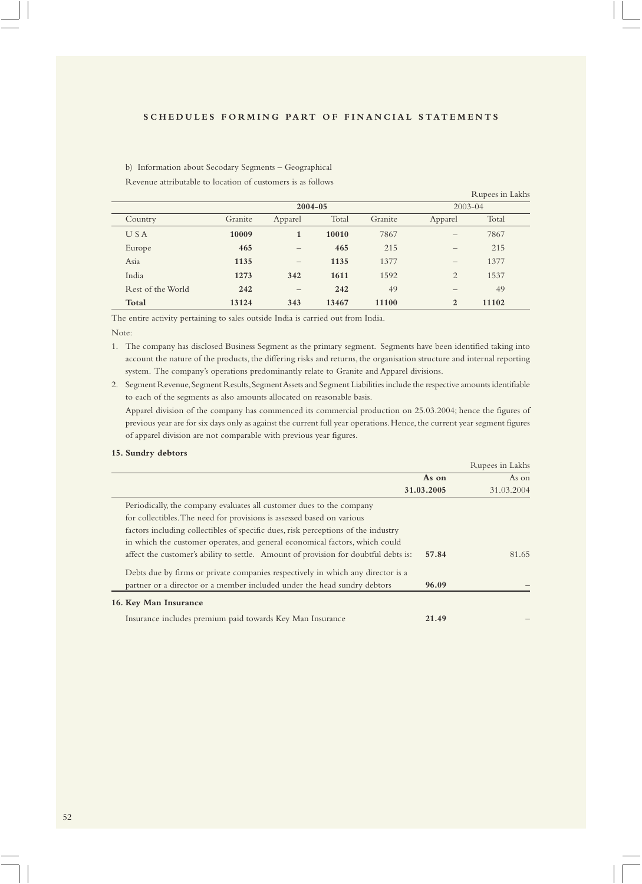# b) Information about Secodary Segments – Geographical Revenue attributable to location of customers is as follows

|                   |             |                          |       |         |                          | Rupees in Lakhs |
|-------------------|-------------|--------------------------|-------|---------|--------------------------|-----------------|
|                   | $2004 - 05$ |                          |       |         |                          |                 |
| Country           | Granite     | Apparel                  | Total | Granite | Apparel                  | Total           |
| USA               | 10009       | 1                        | 10010 | 7867    | —                        | 7867            |
| Europe            | 465         | $\overline{\phantom{a}}$ | 465   | 215     | $\qquad \qquad -$        | 215             |
| Asia              | 1135        |                          | 1135  | 1377    | $\overline{\phantom{0}}$ | 1377            |
| India             | 1273        | 342                      | 1611  | 1592    | $\overline{2}$           | 1537            |
| Rest of the World | 242         | $\qquad \qquad -$        | 242   | 49      | -                        | 49              |
| Total             | 13124       | 343                      | 13467 | 11100   | $\overline{2}$           | 11102           |

The entire activity pertaining to sales outside India is carried out from India.

Note:

- 1. The company has disclosed Business Segment as the primary segment. Segments have been identified taking into account the nature of the products, the differing risks and returns, the organisation structure and internal reporting system. The company's operations predominantly relate to Granite and Apparel divisions.
- 2. Segment Revenue, Segment Results, Segment Assets and Segment Liabilities include the respective amounts identifiable to each of the segments as also amounts allocated on reasonable basis.

Apparel division of the company has commenced its commercial production on 25.03.2004; hence the figures of previous year are for six days only as against the current full year operations. Hence, the current year segment figures of apparel division are not comparable with previous year figures.

### **15. Sundry debtors**

|                                                                                     |            | Rupees in Lakhs |
|-------------------------------------------------------------------------------------|------------|-----------------|
|                                                                                     | As on      | As on           |
|                                                                                     | 31.03.2005 | 31.03.2004      |
| Periodically, the company evaluates all customer dues to the company                |            |                 |
| for collectibles. The need for provisions is assessed based on various              |            |                 |
| factors including collectibles of specific dues, risk perceptions of the industry   |            |                 |
| in which the customer operates, and general economical factors, which could         |            |                 |
| affect the customer's ability to settle. Amount of provision for doubtful debts is: | 57.84      | 81.65           |
| Debts due by firms or private companies respectively in which any director is a     |            |                 |
| partner or a director or a member included under the head sundry debtors            | 96.09      |                 |
| 16. Key Man Insurance                                                               |            |                 |
| Insurance includes premium paid towards Key Man Insurance                           | 21.49      |                 |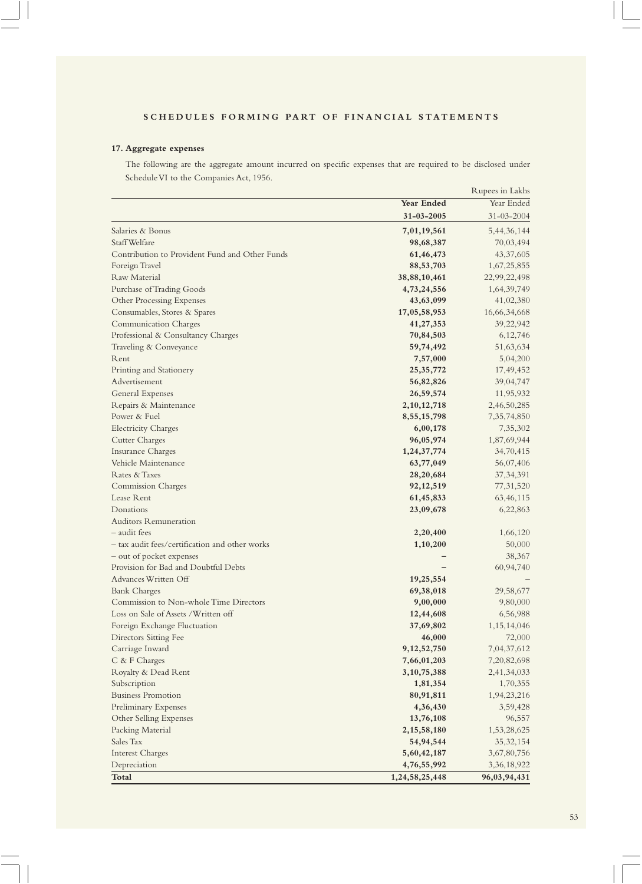# **17. Aggregate expenses**

The following are the aggregate amount incurred on specific expenses that are required to be disclosed under Schedule VI to the Companies Act, 1956.

|                                                |                   | Rupees in Lakhs  |
|------------------------------------------------|-------------------|------------------|
|                                                | <b>Year Ended</b> | Year Ended       |
|                                                | $31 - 03 - 2005$  | $31 - 03 - 2004$ |
| Salaries & Bonus                               | 7,01,19,561       | 5, 44, 36, 144   |
| Staff Welfare                                  | 98,68,387         | 70,03,494        |
| Contribution to Provident Fund and Other Funds | 61,46,473         | 43, 37, 605      |
| Foreign Travel                                 | 88, 53, 703       | 1,67,25,855      |
| Raw Material                                   | 38,88,10,461      | 22,99,22,498     |
| Purchase of Trading Goods                      | 4,73,24,556       | 1,64,39,749      |
| Other Processing Expenses                      | 43,63,099         | 41,02,380        |
| Consumables, Stores & Spares                   | 17,05,58,953      | 16,66,34,668     |
| Communication Charges                          | 41,27,353         | 39,22,942        |
| Professional & Consultancy Charges             | 70,84,503         | 6, 12, 746       |
| Traveling & Conveyance                         | 59,74,492         | 51,63,634        |
| Rent                                           | 7,57,000          | 5,04,200         |
| Printing and Stationery                        | 25, 35, 772       | 17,49,452        |
| Advertisement                                  | 56,82,826         | 39,04,747        |
| General Expenses                               | 26, 59, 574       | 11,95,932        |
| Repairs & Maintenance                          | 2, 10, 12, 718    | 2,46,50,285      |
| Power & Fuel                                   | 8, 55, 15, 798    | 7,35,74,850      |
| <b>Electricity Charges</b>                     | 6,00,178          | 7,35,302         |
| <b>Cutter Charges</b>                          | 96,05,974         | 1,87,69,944      |
| <b>Insurance Charges</b>                       | 1, 24, 37, 774    | 34,70,415        |
| Vehicle Maintenance                            | 63,77,049         | 56,07,406        |
| Rates & Taxes                                  | 28,20,684         | 37, 34, 391      |
| <b>Commission Charges</b>                      | 92, 12, 519       | 77, 31, 520      |
| Lease Rent                                     | 61,45,833         | 63, 46, 115      |
| Donations                                      | 23,09,678         | 6,22,863         |
| <b>Auditors Remuneration</b>                   |                   |                  |
| - audit fees                                   | 2,20,400          | 1,66,120         |
| - tax audit fees/certification and other works | 1,10,200          | 50,000           |
| - out of pocket expenses                       |                   | 38,367           |
| Provision for Bad and Doubtful Debts           |                   | 60,94,740        |
| Advances Written Off                           | 19,25,554         |                  |
| <b>Bank Charges</b>                            | 69,38,018         | 29,58,677        |
| Commission to Non-whole Time Directors         | 9,00,000          | 9,80,000         |
| Loss on Sale of Assets / Written off           | 12,44,608         | 6,56,988         |
| Foreign Exchange Fluctuation                   | 37,69,802         | 1,15,14,046      |
| Directors Sitting Fee                          | 46,000            | 72,000           |
| Carriage Inward                                | 9, 12, 52, 750    | 7,04,37,612      |
| C & F Charges                                  | 7,66,01,203       | 7,20,82,698      |
| Royalty & Dead Rent                            | 3, 10, 75, 388    | 2,41,34,033      |
| Subscription                                   | 1,81,354          | 1,70,355         |
| <b>Business Promotion</b>                      | 80,91,811         | 1,94,23,216      |
| Preliminary Expenses                           | 4,36,430          | 3,59,428         |
| Other Selling Expenses                         | 13,76,108         | 96,557           |
| Packing Material                               | 2, 15, 58, 180    | 1,53,28,625      |
| Sales Tax                                      | 54,94,544         | 35, 32, 154      |
| <b>Interest Charges</b>                        | 5,60,42,187       | 3,67,80,756      |
| Depreciation                                   | 4,76,55,992       | 3,36,18,922      |
| Total                                          | 1,24,58,25,448    | 96,03,94,431     |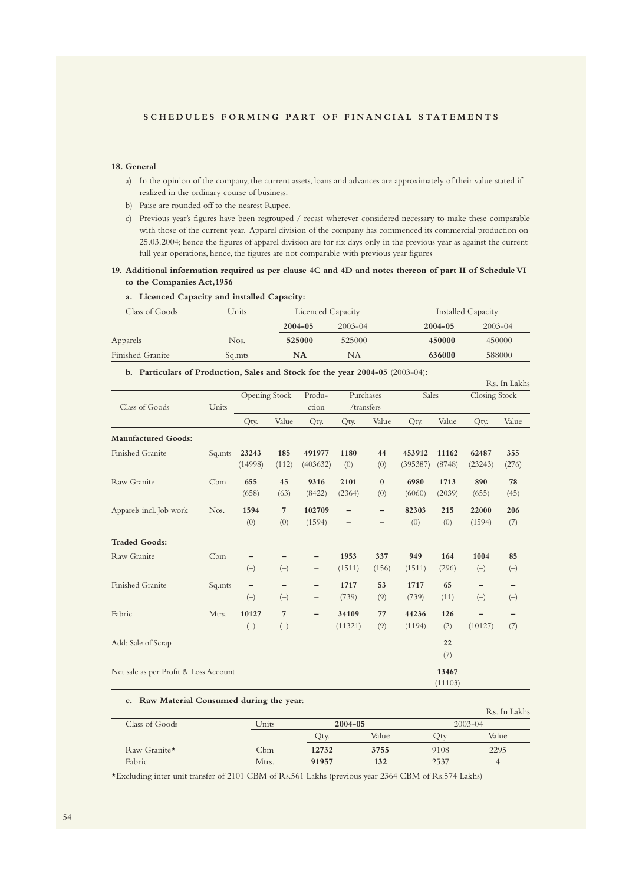### **18. General**

- a) In the opinion of the company, the current assets, loans and advances are approximately of their value stated if realized in the ordinary course of business.
- b) Paise are rounded off to the nearest Rupee.
- c) Previous year's figures have been regrouped / recast wherever considered necessary to make these comparable with those of the current year. Apparel division of the company has commenced its commercial production on 25.03.2004; hence the figures of apparel division are for six days only in the previous year as against the current full year operations, hence, the figures are not comparable with previous year figures

### **19. Additional information required as per clause 4C and 4D and notes thereon of part II of Schedule VI to the Companies Act,1956**

### **a. Licenced Capacity and installed Capacity:**

| Class of Goods          | Units  |             | Licenced Capacity | Installed Capacity |             |
|-------------------------|--------|-------------|-------------------|--------------------|-------------|
|                         |        | $2004 - 05$ | $2003 - 04$       | $2004 - 05$        | $2003 - 04$ |
| Apparels                | Nos.   | 525000      | 525000            | 450000             | 450000      |
| <b>Finished Granite</b> | Sq.mts | NA          | NΑ                | 636000             | 588000      |

Rs. In Lakhs

|                |       |                      |       |            |       | Rs. In La     |
|----------------|-------|----------------------|-------|------------|-------|---------------|
|                |       | Opening Stock Produ- |       | Purchases  | Sales | Closing Stock |
| Class of Goods | Units |                      | ction | /transfers |       |               |
|                |       |                      |       |            |       |               |

**b. Particulars of Production, Sales and Stock for the year 2004-05** (2003-04)**:**

|                                       |        | Qty.    | Value          | Qty.                            | Qty.                     | Value             | Qty.     | Value   | Qty.    | Value             |
|---------------------------------------|--------|---------|----------------|---------------------------------|--------------------------|-------------------|----------|---------|---------|-------------------|
| <b>Manufactured Goods:</b>            |        |         |                |                                 |                          |                   |          |         |         |                   |
| Finished Granite                      | Sq.mts | 23243   | 185            | 491977                          | 1180                     | 44                | 453912   | 11162   | 62487   | 355               |
|                                       |        | (14998) | (112)          | (403632)                        | (0)                      | (0)               | (395387) | (8748)  | (23243) | (276)             |
| Raw Granite                           | Cbm    | 655     | 45             | 9316                            | 2101                     | $\bf{0}$          | 6980     | 1713    | 890     | 78                |
|                                       |        | (658)   | (63)           | (8422)                          | (2364)                   | (0)               | (6060)   | (2039)  | (655)   | (45)              |
| Apparels incl. Job work               | Nos.   | 1594    | $\overline{7}$ | 102709                          |                          | -                 | 82303    | 215     | 22000   | 206               |
|                                       |        | (0)     | (0)            | (1594)                          | $\overline{\phantom{m}}$ | $\qquad \qquad -$ | (0)      | (0)     | (1594)  | (7)               |
| <b>Traded Goods:</b>                  |        |         |                |                                 |                          |                   |          |         |         |                   |
| Raw Granite                           | Cbm    |         |                | -                               | 1953                     | 337               | 949      | 164     | 1004    | 85                |
|                                       |        | $(-)$   | $(-)$          | $\hspace{0.1mm}-\hspace{0.1mm}$ | (1511)                   | (156)             | (1511)   | (296)   | $(-)$   | $\left( -\right)$ |
| <b>Finished Granite</b>               | Sq.mts | -       | -              | -                               | 1717                     | 53                | 1717     | 65      |         |                   |
|                                       |        | $(-)$   | $(-)$          | $\qquad \qquad -$               | (739)                    | (9)               | (739)    | (11)    | $(-)$   | $(-)$             |
| Fabric                                | Mtrs.  | 10127   | $\overline{7}$ | -                               | 34109                    | 77                | 44236    | 126     |         |                   |
|                                       |        | $(-)$   | $(-)$          | $\overline{\phantom{m}}$        | (11321)                  | (9)               | (1194)   | (2)     | (10127) | (7)               |
| Add: Sale of Scrap                    |        |         |                |                                 |                          |                   |          | 22      |         |                   |
|                                       |        |         |                |                                 |                          |                   |          | (7)     |         |                   |
| Net sale as per Profit & Loss Account |        |         |                |                                 |                          |                   |          | 13467   |         |                   |
|                                       |        |         |                |                                 |                          |                   |          | (11103) |         |                   |

### **c. Raw Material Consumed during the year**:

|                |       |       |             |      | Rs. In Lakhs |  |  |  |
|----------------|-------|-------|-------------|------|--------------|--|--|--|
| Class of Goods | Units |       | $2004 - 05$ |      | $2003 - 04$  |  |  |  |
|                |       | Qty.  | Value       | Qty. | Value        |  |  |  |
| Raw Granite*   | Cbm   | 12732 | 3755        | 9108 | 2295         |  |  |  |
| Fabric         | Mtrs. | 91957 | 132         | 2537 |              |  |  |  |

\*Excluding inter unit transfer of 2101 CBM of Rs.561 Lakhs (previous year 2364 CBM of Rs.574 Lakhs)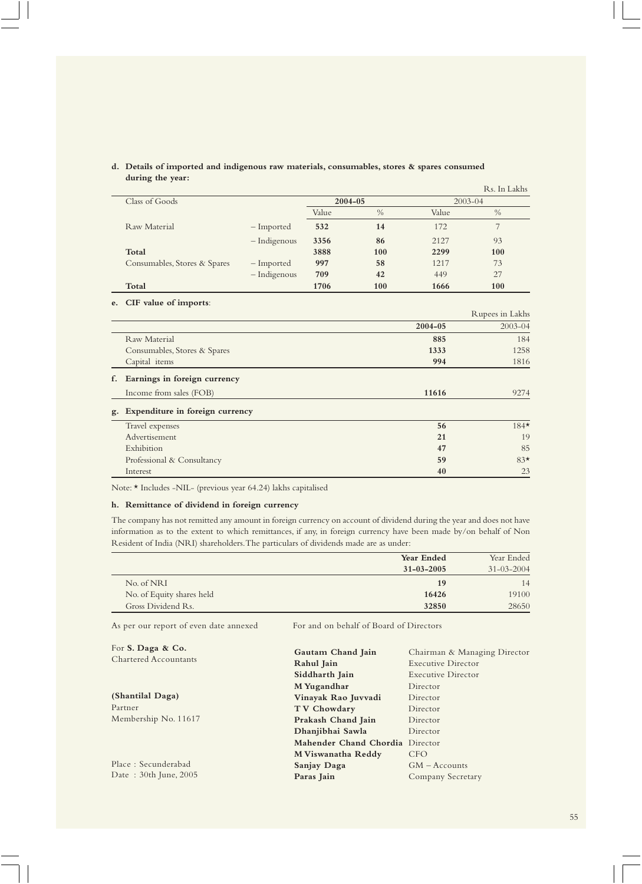## **d. Details of imported and indigenous raw materials, consumables, stores & spares consumed during the year:**

|                              |              |         |               |             | Rs. In Lakhs  |
|------------------------------|--------------|---------|---------------|-------------|---------------|
| Class of Goods               |              | 2004-05 |               | $2003 - 04$ |               |
|                              |              | Value   | $\frac{0}{0}$ | Value       | $\frac{0}{0}$ |
| Raw Material                 | - Imported   | 532     | 14            | 172         |               |
|                              | - Indigenous | 3356    | 86            | 2127        | 93            |
| Total                        |              | 3888    | 100           | 2299        | <b>100</b>    |
| Consumables, Stores & Spares | - Imported   | 997     | 58            | 1217        | 73            |
|                              | - Indigenous | 709     | 42            | 449         | 27            |
| Total                        |              | 1706    | 100           | 1666        | 100           |

## **e. CIF value of imports**:

|                                    |             | Rupees in Lakhs |
|------------------------------------|-------------|-----------------|
|                                    | $2004 - 05$ | $2003 - 04$     |
| Raw Material                       | 885         | 184             |
| Consumables, Stores & Spares       | 1333        | 1258            |
| Capital items                      | 994         | 1816            |
| f. Earnings in foreign currency    |             |                 |
| Income from sales (FOB)            | 11616       | 9274            |
| g. Expenditure in foreign currency |             |                 |
| Travel expenses                    | 56          | $184*$          |
| Advertisement                      | 21          | 19              |
| Exhibition                         | 47          | 85              |
| Professional & Consultancy         | 59          | $83*$           |
| Interest                           | 40          | 23              |

Note: \* Includes -NIL- (previous year 64.24) lakhs capitalised

### **h. Remittance of dividend in foreign currency**

The company has not remitted any amount in foreign currency on account of dividend during the year and does not have information as to the extent to which remittances, if any, in foreign currency have been made by/on behalf of Non Resident of India (NRI) shareholders. The particulars of dividends made are as under:

| Year Ended       |
|------------------|
| $31 - 03 - 2004$ |
| 14               |
| 19100            |
| 28650            |
|                  |

As per our report of even date annexed For and on behalf of Board of Directors

| For S. Daga & Co.            | Gautam Chand Jain               | Chairman & Managing Director |  |  |  |  |  |  |  |  |
|------------------------------|---------------------------------|------------------------------|--|--|--|--|--|--|--|--|
| <b>Chartered Accountants</b> | Rahul Jain                      | Executive Director           |  |  |  |  |  |  |  |  |
|                              | Siddharth Jain                  | Executive Director           |  |  |  |  |  |  |  |  |
|                              | M Yugandhar                     | Director                     |  |  |  |  |  |  |  |  |
| (Shantilal Daga)             | Vinayak Rao Juvvadi             | Director                     |  |  |  |  |  |  |  |  |
| Partner                      | T V Chowdary                    | Director                     |  |  |  |  |  |  |  |  |
| Membership No. 11617         | Prakash Chand Jain              | Director                     |  |  |  |  |  |  |  |  |
|                              | Dhanjibhai Sawla                | Director                     |  |  |  |  |  |  |  |  |
|                              | Mahender Chand Chordia Director |                              |  |  |  |  |  |  |  |  |
|                              | M Viswanatha Reddy              | <b>CFO</b>                   |  |  |  |  |  |  |  |  |
| Place: Secunderabad          | Sanjay Daga                     | $GM -$ Accounts              |  |  |  |  |  |  |  |  |
| Date: $30th$ June, $2005$    | Paras Jain                      | Company Secretary            |  |  |  |  |  |  |  |  |